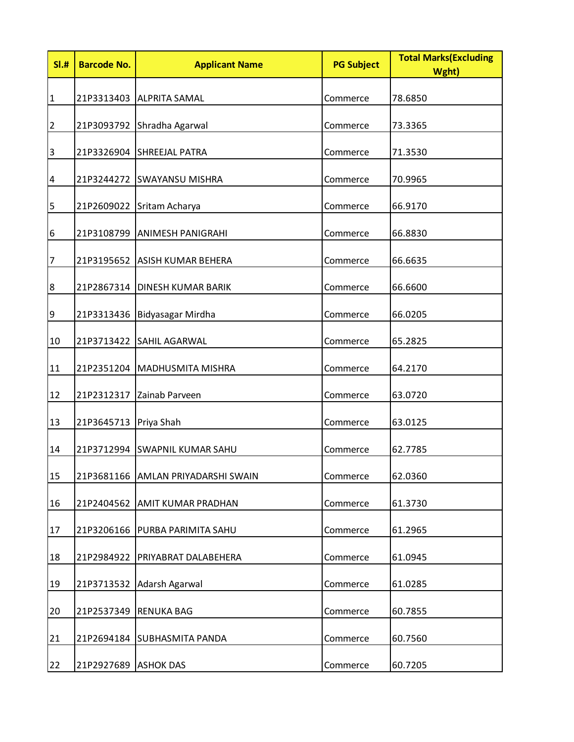| SI.#             | <b>Barcode No.</b> | <b>Applicant Name</b>     | <b>PG Subject</b> | <b>Total Marks (Excluding</b><br>Wght) |
|------------------|--------------------|---------------------------|-------------------|----------------------------------------|
| $\mathbf{1}$     | 21P3313403         | <b>ALPRITA SAMAL</b>      | Commerce          | 78.6850                                |
| $\overline{2}$   | 21P3093792         | Shradha Agarwal           | Commerce          | 73.3365                                |
| $\overline{3}$   | 21P3326904         | SHREEJAL PATRA            | Commerce          | 71.3530                                |
| $\overline{a}$   | 21P3244272         | <b>SWAYANSU MISHRA</b>    | Commerce          | 70.9965                                |
| 5                | 21P2609022         | Sritam Acharya            | Commerce          | 66.9170                                |
| $\boldsymbol{6}$ | 21P3108799         | <b>ANIMESH PANIGRAHI</b>  | Commerce          | 66.8830                                |
| $\overline{7}$   | 21P3195652         | ASISH KUMAR BEHERA        | Commerce          | 66.6635                                |
| 8                | 21P2867314         | <b>DINESH KUMAR BARIK</b> | Commerce          | 66.6600                                |
| $\overline{9}$   | 21P3313436         | Bidyasagar Mirdha         | Commerce          | 66.0205                                |
| 10               | 21P3713422         | SAHIL AGARWAL             | Commerce          | 65.2825                                |
| 11               | 21P2351204         | MADHUSMITA MISHRA         | Commerce          | 64.2170                                |
| 12               | 21P2312317         | Zainab Parveen            | Commerce          | 63.0720                                |
| 13               | 21P3645713         | Priya Shah                | Commerce          | 63.0125                                |
| 14               | 21P3712994         | SWAPNIL KUMAR SAHU        | Commerce          | 62.7785                                |
| 15               | 21P3681166         | AMLAN PRIYADARSHI SWAIN   | Commerce          | 62.0360                                |
| 16               | 21P2404562         | AMIT KUMAR PRADHAN        | Commerce          | 61.3730                                |
| 17               | 21P3206166         | PURBA PARIMITA SAHU       | Commerce          | 61.2965                                |
| 18               | 21P2984922         | PRIYABRAT DALABEHERA      | Commerce          | 61.0945                                |
| 19               | 21P3713532         | Adarsh Agarwal            | Commerce          | 61.0285                                |
| 20               | 21P2537349         | <b>RENUKA BAG</b>         | Commerce          | 60.7855                                |
| 21               | 21P2694184         | <b>SUBHASMITA PANDA</b>   | Commerce          | 60.7560                                |
| 22               | 21P2927689         | <b>ASHOK DAS</b>          | Commerce          | 60.7205                                |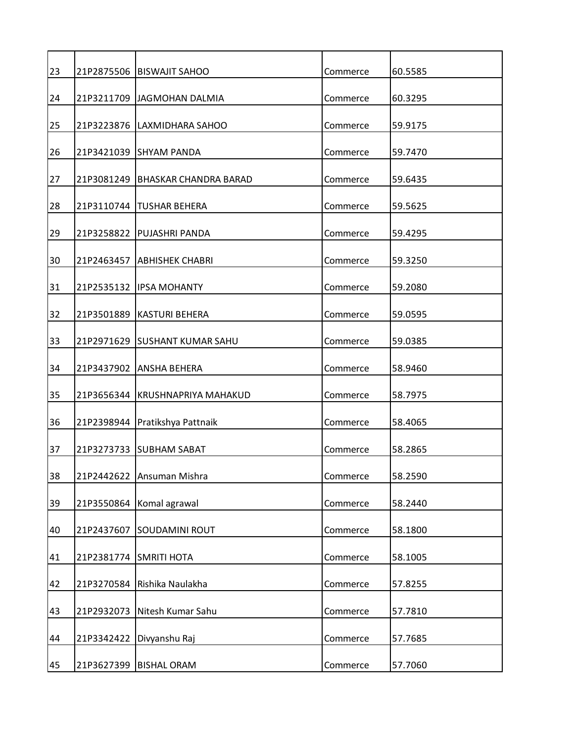| 23 | 21P2875506 | <b>BISWAJIT SAHOO</b>           | Commerce | 60.5585 |
|----|------------|---------------------------------|----------|---------|
| 24 | 21P3211709 | <b>JAGMOHAN DALMIA</b>          | Commerce | 60.3295 |
| 25 |            | 21P3223876   LAXMIDHARA SAHOO   | Commerce | 59.9175 |
| 26 | 21P3421039 | ISHYAM PANDA                    | Commerce | 59.7470 |
|    |            | <b>BHASKAR CHANDRA BARAD</b>    |          |         |
| 27 | 21P3081249 |                                 | Commerce | 59.6435 |
| 28 | 21P3110744 | <b>TUSHAR BEHERA</b>            | Commerce | 59.5625 |
| 29 | 21P3258822 | PUJASHRI PANDA                  | Commerce | 59.4295 |
| 30 | 21P2463457 | <b>ABHISHEK CHABRI</b>          | Commerce | 59.3250 |
| 31 | 21P2535132 | <b>IPSA MOHANTY</b>             | Commerce | 59.2080 |
| 32 | 21P3501889 | <b>KASTURI BEHERA</b>           | Commerce | 59.0595 |
|    |            |                                 |          |         |
| 33 | 21P2971629 | <b>SUSHANT KUMAR SAHU</b>       | Commerce | 59.0385 |
| 34 | 21P3437902 | ANSHA BEHERA                    | Commerce | 58.9460 |
| 35 |            | 21P3656344 KRUSHNAPRIYA MAHAKUD | Commerce | 58.7975 |
| 36 | 21P2398944 | Pratikshya Pattnaik             | Commerce | 58.4065 |
| 37 |            | 21P3273733 SUBHAM SABAT         | Commerce | 58.2865 |
| 38 | 21P2442622 | Ansuman Mishra                  | Commerce | 58.2590 |
| 39 | 21P3550864 | Komal agrawal                   | Commerce | 58.2440 |
| 40 | 21P2437607 | SOUDAMINI ROUT                  | Commerce | 58.1800 |
| 41 | 21P2381774 | <b>SMRITI HOTA</b>              | Commerce | 58.1005 |
| 42 | 21P3270584 | Rishika Naulakha                | Commerce | 57.8255 |
| 43 | 21P2932073 | Nitesh Kumar Sahu               | Commerce | 57.7810 |
|    |            |                                 |          |         |
| 44 | 21P3342422 | Divyanshu Raj                   | Commerce | 57.7685 |
| 45 | 21P3627399 | <b>BISHAL ORAM</b>              | Commerce | 57.7060 |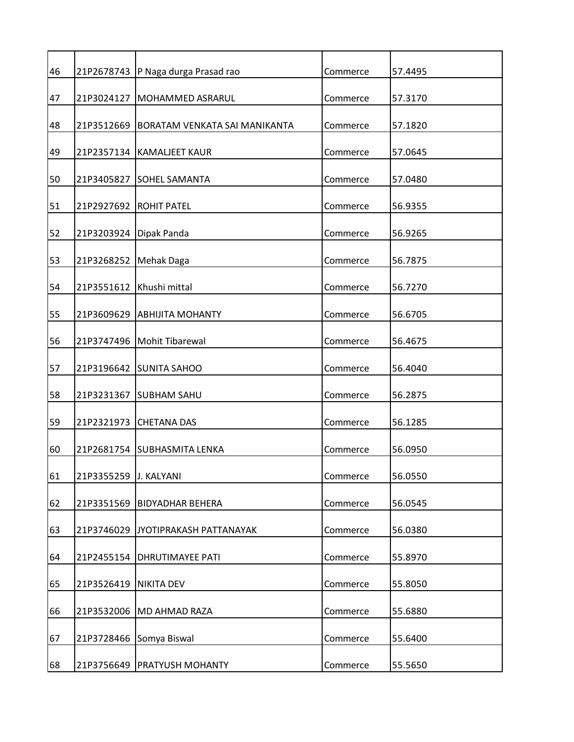| 46 | 21P2678743              | P Naga durga Prasad rao       | Commerce | 57.4495 |
|----|-------------------------|-------------------------------|----------|---------|
| 47 | 21P3024127              | <b>MOHAMMED ASRARUL</b>       | Commerce | 57.3170 |
| 48 | 21P3512669              | BORATAM VENKATA SAI MANIKANTA | Commerce | 57.1820 |
| 49 | 21P2357134              | KAMALJEET KAUR                | Commerce | 57.0645 |
| 50 | 21P3405827              | <b>SOHEL SAMANTA</b>          | Commerce | 57.0480 |
| 51 | 21P2927692              | <b>ROHIT PATEL</b>            | Commerce | 56.9355 |
| 52 | 21P3203924              | Dipak Panda                   | Commerce | 56.9265 |
| 53 | 21P3268252   Mehak Daga |                               | Commerce | 56.7875 |
| 54 | 21P3551612              | Khushi mittal                 | Commerce | 56.7270 |
| 55 | 21P3609629              | <b>ABHIJITA MOHANTY</b>       | Commerce | 56.6705 |
| 56 | 21P3747496              | <b>Mohit Tibarewal</b>        | Commerce | 56.4675 |
| 57 | 21P3196642              | <b>SUNITA SAHOO</b>           | Commerce | 56.4040 |
| 58 |                         | 21P3231367 SUBHAM SAHU        | Commerce | 56.2875 |
| 59 | 21P2321973              | <b>CHETANA DAS</b>            | Commerce | 56.1285 |
| 60 | 21P2681754              | SUBHASMITA LENKA              | Commerce | 56.0950 |
| 61 | 21P3355259 J. KALYANI   |                               | Commerce | 56.0550 |
| 62 | 21P3351569              | <b>BIDYADHAR BEHERA</b>       | Commerce | 56.0545 |
| 63 | 21P3746029              | JYOTIPRAKASH PATTANAYAK       | Commerce | 56.0380 |
| 64 | 21P2455154              | <b>DHRUTIMAYEE PATI</b>       | Commerce | 55.8970 |
| 65 | 21P3526419              | NIKITA DEV                    | Commerce | 55.8050 |
| 66 | 21P3532006              | MD AHMAD RAZA                 | Commerce | 55.6880 |
| 67 | 21P3728466              | Somya Biswal                  | Commerce | 55.6400 |
| 68 | 21P3756649              | <b>PRATYUSH MOHANTY</b>       | Commerce | 55.5650 |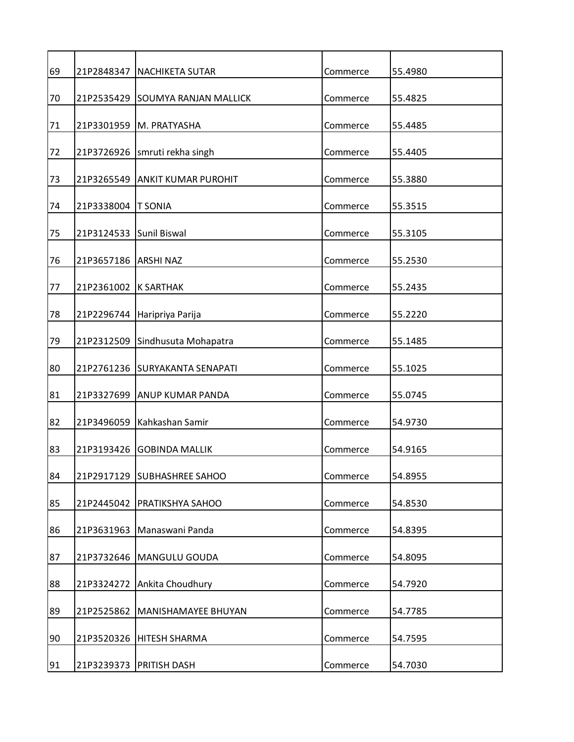| 69 | 21P2848347 | <b>NACHIKETA SUTAR</b>      | Commerce | 55.4980 |
|----|------------|-----------------------------|----------|---------|
| 70 | 21P2535429 | SOUMYA RANJAN MALLICK       | Commerce | 55.4825 |
| 71 | 21P3301959 | M. PRATYASHA                | Commerce | 55.4485 |
| 72 | 21P3726926 | smruti rekha singh          | Commerce | 55.4405 |
| 73 | 21P3265549 | <b>ANKIT KUMAR PUROHIT</b>  | Commerce | 55.3880 |
| 74 | 21P3338004 | <b>T SONIA</b>              | Commerce | 55.3515 |
|    |            |                             |          |         |
| 75 | 21P3124533 | Sunil Biswal                | Commerce | 55.3105 |
| 76 | 21P3657186 | <b>ARSHI NAZ</b>            | Commerce | 55.2530 |
| 77 | 21P2361002 | <b>K SARTHAK</b>            | Commerce | 55.2435 |
| 78 | 21P2296744 | Haripriya Parija            | Commerce | 55.2220 |
| 79 | 21P2312509 | Sindhusuta Mohapatra        | Commerce | 55.1485 |
| 80 | 21P2761236 | <b>SURYAKANTA SENAPATI</b>  | Commerce | 55.1025 |
| 81 | 21P3327699 | ANUP KUMAR PANDA            | Commerce | 55.0745 |
| 82 | 21P3496059 | Kahkashan Samir             | Commerce | 54.9730 |
| 83 | 21P3193426 | <b>GOBINDA MALLIK</b>       | Commerce | 54.9165 |
| 84 |            | 21P2917129 SUBHASHREE SAHOO | Commerce | 54.8955 |
| 85 | 21P2445042 | PRATIKSHYA SAHOO            | Commerce | 54.8530 |
| 86 | 21P3631963 | Manaswani Panda             | Commerce | 54.8395 |
| 87 | 21P3732646 | MANGULU GOUDA               | Commerce | 54.8095 |
| 88 | 21P3324272 | Ankita Choudhury            | Commerce | 54.7920 |
| 89 | 21P2525862 | MANISHAMAYEE BHUYAN         | Commerce | 54.7785 |
| 90 | 21P3520326 | HITESH SHARMA               | Commerce | 54.7595 |
| 91 | 21P3239373 | PRITISH DASH                | Commerce | 54.7030 |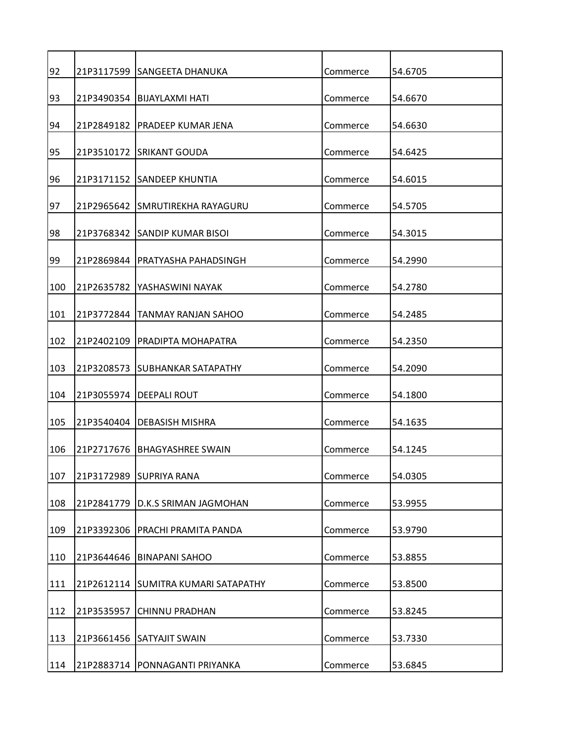| 92  |            | 21P3117599 ISANGEETA DHANUKA     | Commerce | 54.6705 |
|-----|------------|----------------------------------|----------|---------|
| 93  | 21P3490354 | IBIJAYLAXMI HATI                 | Commerce | 54.6670 |
| 94  |            | 21P2849182   PRADEEP KUMAR JENA  | Commerce | 54.6630 |
| 95  | 21P3510172 | <b>SRIKANT GOUDA</b>             | Commerce | 54.6425 |
| 96  | 21P3171152 | <b>SANDEEP KHUNTIA</b>           | Commerce | 54.6015 |
|     |            |                                  |          |         |
| 97  | 21P2965642 | ISMRUTIREKHA RAYAGURU            | Commerce | 54.5705 |
| 98  | 21P3768342 | <b>SANDIP KUMAR BISOI</b>        | Commerce | 54.3015 |
| 99  |            | 21P2869844 IPRATYASHA PAHADSINGH | Commerce | 54.2990 |
| 100 | 21P2635782 | YASHASWINI NAYAK                 | Commerce | 54.2780 |
| 101 | 21P3772844 | TANMAY RANJAN SAHOO              | Commerce | 54.2485 |
| 102 | 21P2402109 | <b>PRADIPTA MOHAPATRA</b>        | Commerce | 54.2350 |
| 103 | 21P3208573 | SUBHANKAR SATAPATHY              | Commerce | 54.2090 |
| 104 | 21P3055974 | <b>IDEEPALI ROUT</b>             | Commerce | 54.1800 |
| 105 | 21P3540404 | <b>DEBASISH MISHRA</b>           | Commerce | 54.1635 |
| 106 | 21P2717676 | <b>BHAGYASHREE SWAIN</b>         | Commerce | 54.1245 |
| 107 | 21P3172989 | <b>SUPRIYA RANA</b>              | Commerce | 54.0305 |
| 108 | 21P2841779 | <b>D.K.S SRIMAN JAGMOHAN</b>     | Commerce | 53.9955 |
| 109 | 21P3392306 | PRACHI PRAMITA PANDA             | Commerce | 53.9790 |
| 110 | 21P3644646 | <b>BINAPANI SAHOO</b>            | Commerce | 53.8855 |
| 111 | 21P2612114 | SUMITRA KUMARI SATAPATHY         | Commerce | 53.8500 |
| 112 | 21P3535957 | <b>CHINNU PRADHAN</b>            | Commerce | 53.8245 |
| 113 | 21P3661456 | SATYAJIT SWAIN                   | Commerce | 53.7330 |
| 114 |            | 21P2883714   PONNAGANTI PRIYANKA | Commerce | 53.6845 |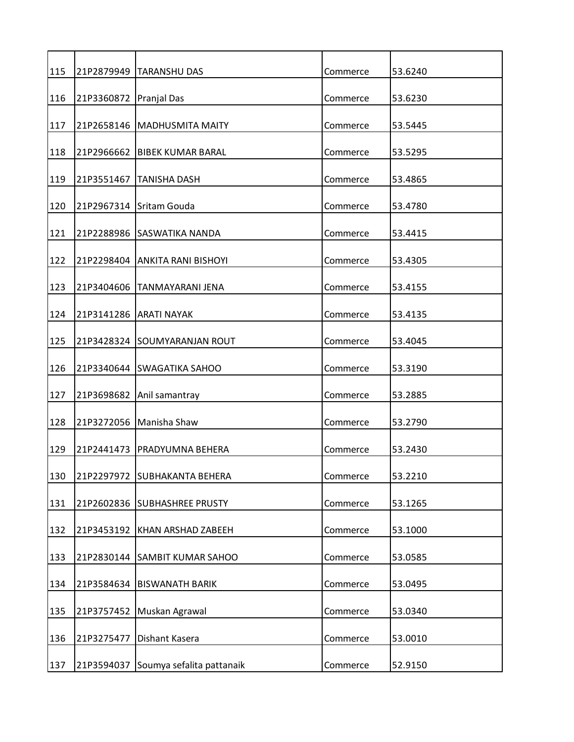| 115 | 21P2879949 | <b>TARANSHU DAS</b>           | Commerce | 53.6240 |
|-----|------------|-------------------------------|----------|---------|
| 116 | 21P3360872 | <b>Pranjal Das</b>            | Commerce | 53.6230 |
| 117 |            | 21P2658146   MADHUSMITA MAITY | Commerce | 53.5445 |
|     |            |                               |          |         |
| 118 | 21P2966662 | <b>BIBEK KUMAR BARAL</b>      | Commerce | 53.5295 |
| 119 | 21P3551467 | <b>TANISHA DASH</b>           | Commerce | 53.4865 |
| 120 | 21P2967314 | <b>Sritam Gouda</b>           | Commerce | 53.4780 |
| 121 | 21P2288986 | SASWATIKA NANDA               | Commerce | 53.4415 |
| 122 | 21P2298404 | ANKITA RANI BISHOYI           | Commerce | 53.4305 |
| 123 | 21P3404606 | TANMAYARANI JENA              | Commerce | 53.4155 |
| 124 | 21P3141286 | <b>ARATI NAYAK</b>            | Commerce | 53.4135 |
|     |            |                               |          |         |
| 125 | 21P3428324 | SOUMYARANJAN ROUT             | Commerce | 53.4045 |
| 126 | 21P3340644 | <b>SWAGATIKA SAHOO</b>        | Commerce | 53.3190 |
| 127 | 21P3698682 | Anil samantray                | Commerce | 53.2885 |
| 128 | 21P3272056 | Manisha Shaw                  | Commerce | 53.2790 |
| 129 | 21P2441473 | PRADYUMNA BEHERA              | Commerce | 53.2430 |
| 130 | 21P2297972 | SUBHAKANTA BEHERA             | Commerce | 53.2210 |
| 131 | 21P2602836 | <b>SUBHASHREE PRUSTY</b>      | Commerce | 53.1265 |
| 132 | 21P3453192 | KHAN ARSHAD ZABEEH            | Commerce | 53.1000 |
| 133 | 21P2830144 | SAMBIT KUMAR SAHOO            | Commerce | 53.0585 |
| 134 | 21P3584634 | <b>BISWANATH BARIK</b>        | Commerce | 53.0495 |
| 135 | 21P3757452 | Muskan Agrawal                | Commerce | 53.0340 |
| 136 | 21P3275477 | Dishant Kasera                | Commerce | 53.0010 |
| 137 | 21P3594037 | Soumya sefalita pattanaik     | Commerce | 52.9150 |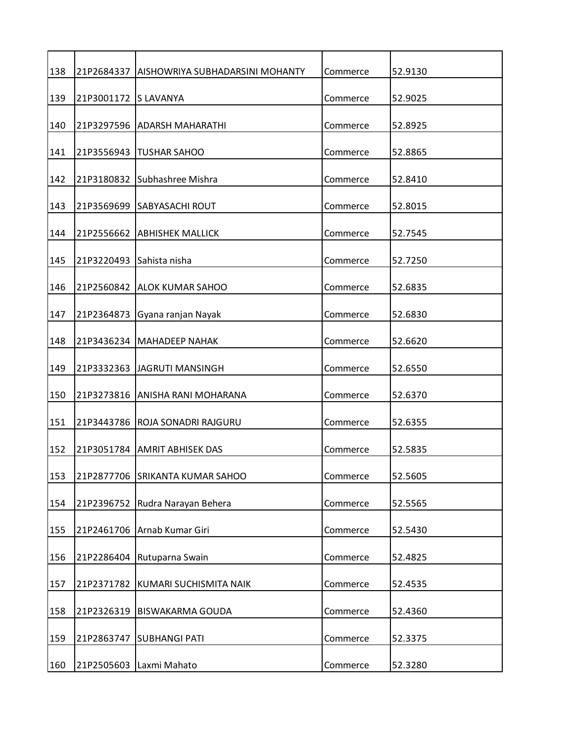| 138 | 21P2684337 | AISHOWRIYA SUBHADARSINI MOHANTY | Commerce | 52.9130 |
|-----|------------|---------------------------------|----------|---------|
| 139 | 21P3001172 | <b>SLAVANYA</b>                 | Commerce | 52.9025 |
| 140 | 21P3297596 | <b>ADARSH MAHARATHI</b>         | Commerce | 52.8925 |
| 141 | 21P3556943 | <b>TUSHAR SAHOO</b>             | Commerce | 52.8865 |
| 142 | 21P3180832 | Subhashree Mishra               | Commerce | 52.8410 |
| 143 | 21P3569699 | <b>SABYASACHI ROUT</b>          | Commerce | 52.8015 |
| 144 | 21P2556662 | <b>ABHISHEK MALLICK</b>         | Commerce | 52.7545 |
| 145 | 21P3220493 | Sahista nisha                   | Commerce | 52.7250 |
| 146 | 21P2560842 | ALOK KUMAR SAHOO                | Commerce | 52.6835 |
| 147 | 21P2364873 | Gyana ranjan Nayak              | Commerce | 52.6830 |
| 148 | 21P3436234 | <b>MAHADEEP NAHAK</b>           | Commerce | 52.6620 |
| 149 | 21P3332363 | <b>JAGRUTI MANSINGH</b>         | Commerce | 52.6550 |
| 150 | 21P3273816 | ANISHA RANI MOHARANA            | Commerce | 52.6370 |
| 151 | 21P3443786 | ROJA SONADRI RAJGURU            | Commerce | 52.6355 |
| 152 | 21P3051784 | <b>AMRIT ABHISEK DAS</b>        | Commerce | 52.5835 |
| 153 | 21P2877706 | <b>SRIKANTA KUMAR SAHOO</b>     | Commerce | 52.5605 |
| 154 | 21P2396752 | Rudra Narayan Behera            | Commerce | 52.5565 |
| 155 | 21P2461706 | Arnab Kumar Giri                | Commerce | 52.5430 |
| 156 | 21P2286404 | Rutuparna Swain                 | Commerce | 52.4825 |
| 157 | 21P2371782 | KUMARI SUCHISMITA NAIK          | Commerce | 52.4535 |
| 158 | 21P2326319 | <b>BISWAKARMA GOUDA</b>         | Commerce | 52.4360 |
| 159 | 21P2863747 | <b>SUBHANGI PATI</b>            | Commerce | 52.3375 |
| 160 | 21P2505603 | Laxmi Mahato                    | Commerce | 52.3280 |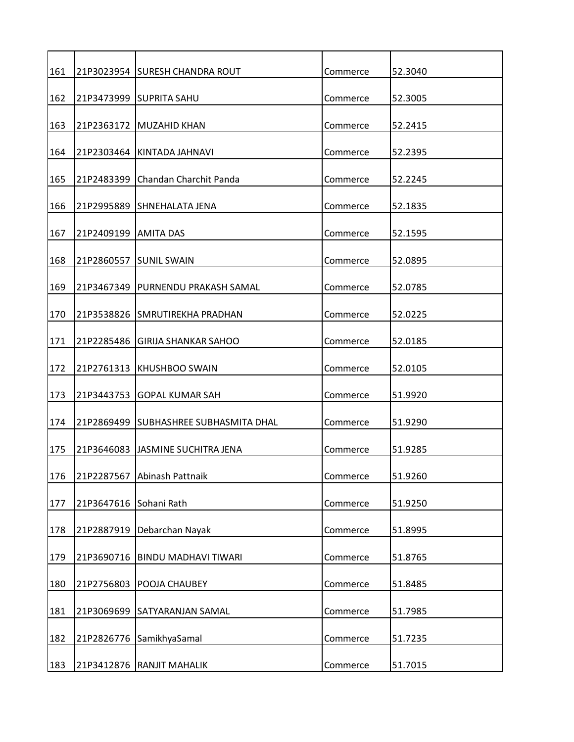| 161 | 21P3023954 | <b>SURESH CHANDRA ROUT</b>   | Commerce | 52.3040 |
|-----|------------|------------------------------|----------|---------|
| 162 | 21P3473999 | ISUPRITA SAHU                | Commerce | 52.3005 |
| 163 |            | 21P2363172 IMUZAHID KHAN     | Commerce | 52.2415 |
| 164 | 21P2303464 | KINTADA JAHNAVI              | Commerce | 52.2395 |
| 165 | 21P2483399 | Chandan Charchit Panda       | Commerce | 52.2245 |
| 166 | 21P2995889 | ISHNEHALATA JENA             | Commerce | 52.1835 |
| 167 | 21P2409199 | <b>AMITA DAS</b>             | Commerce | 52.1595 |
| 168 |            | 21P2860557 SUNIL SWAIN       | Commerce | 52.0895 |
| 169 | 21P3467349 | IPURNENDU PRAKASH SAMAL      | Commerce | 52.0785 |
| 170 | 21P3538826 | SMRUTIREKHA PRADHAN          | Commerce | 52.0225 |
| 171 | 21P2285486 | <b>GIRIJA SHANKAR SAHOO</b>  | Commerce | 52.0185 |
| 172 | 21P2761313 | <b>KHUSHBOO SWAIN</b>        | Commerce | 52.0105 |
| 173 | 21P3443753 | <b>GOPAL KUMAR SAH</b>       | Commerce | 51.9920 |
| 174 | 21P2869499 | ISUBHASHREE SUBHASMITA DHAL  | Commerce | 51.9290 |
| 175 | 21P3646083 | <b>JASMINE SUCHITRA JENA</b> | Commerce | 51.9285 |
| 176 | 21P2287567 | Abinash Pattnaik             | Commerce | 51.9260 |
| 177 | 21P3647616 | Sohani Rath                  | Commerce | 51.9250 |
| 178 | 21P2887919 | Debarchan Nayak              | Commerce | 51.8995 |
| 179 | 21P3690716 | <b>BINDU MADHAVI TIWARI</b>  | Commerce | 51.8765 |
| 180 | 21P2756803 | POOJA CHAUBEY                | Commerce | 51.8485 |
| 181 | 21P3069699 | SATYARANJAN SAMAL            | Commerce | 51.7985 |
| 182 | 21P2826776 | SamikhyaSamal                | Commerce | 51.7235 |
| 183 | 21P3412876 | <b>RANJIT MAHALIK</b>        | Commerce | 51.7015 |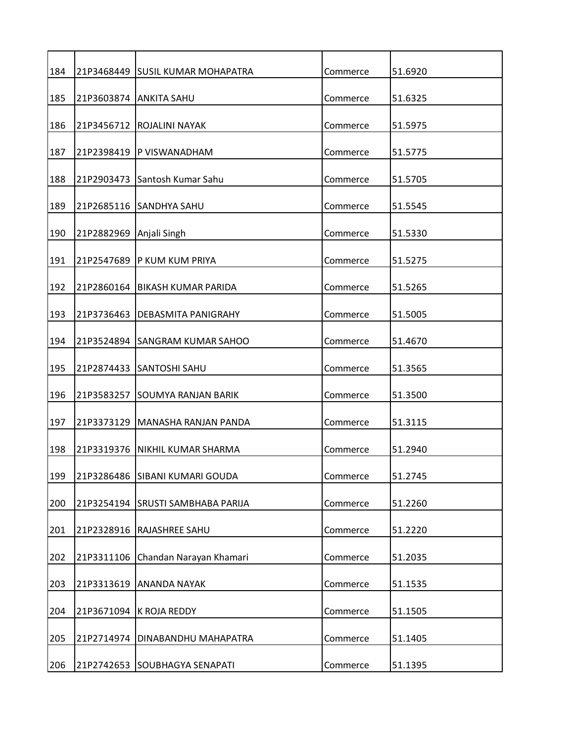| 184 | 21P3468449 | ISUSIL KUMAR MOHAPATRA     | Commerce | 51.6920 |
|-----|------------|----------------------------|----------|---------|
| 185 | 21P3603874 | <b>ANKITA SAHU</b>         | Commerce | 51.6325 |
| 186 |            | 21P3456712 ROJALINI NAYAK  | Commerce | 51.5975 |
| 187 | 21P2398419 | IP VISWANADHAM             | Commerce | 51.5775 |
| 188 | 21P2903473 | Santosh Kumar Sahu         | Commerce | 51.5705 |
| 189 | 21P2685116 | ISANDHYA SAHU              | Commerce | 51.5545 |
| 190 | 21P2882969 | Anjali Singh               | Commerce | 51.5330 |
| 191 | 21P2547689 | <b>IP KUM KUM PRIYA</b>    | Commerce | 51.5275 |
| 192 | 21P2860164 | BIKASH KUMAR PARIDA        | Commerce | 51.5265 |
| 193 | 21P3736463 | DEBASMITA PANIGRAHY        | Commerce | 51.5005 |
| 194 | 21P3524894 | SANGRAM KUMAR SAHOO        | Commerce | 51.4670 |
| 195 | 21P2874433 | SANTOSHI SAHU              | Commerce | 51.3565 |
| 196 | 21P3583257 | ISOUMYA RANJAN BARIK       | Commerce | 51.3500 |
| 197 | 21P3373129 | MANASHA RANJAN PANDA       | Commerce | 51.3115 |
| 198 | 21P3319376 | NIKHIL KUMAR SHARMA        | Commerce | 51.2940 |
| 199 | 21P3286486 | <b>SIBANI KUMARI GOUDA</b> | Commerce | 51.2745 |
| 200 | 21P3254194 | SRUSTI SAMBHABA PARIJA     | Commerce | 51.2260 |
| 201 | 21P2328916 | RAJASHREE SAHU             | Commerce | 51.2220 |
| 202 | 21P3311106 | Chandan Narayan Khamari    | Commerce | 51.2035 |
| 203 | 21P3313619 | <b>ANANDA NAYAK</b>        | Commerce | 51.1535 |
| 204 | 21P3671094 | K ROJA REDDY               | Commerce | 51.1505 |
| 205 | 21P2714974 | DINABANDHU MAHAPATRA       | Commerce | 51.1405 |
| 206 | 21P2742653 | <b>SOUBHAGYA SENAPATI</b>  | Commerce | 51.1395 |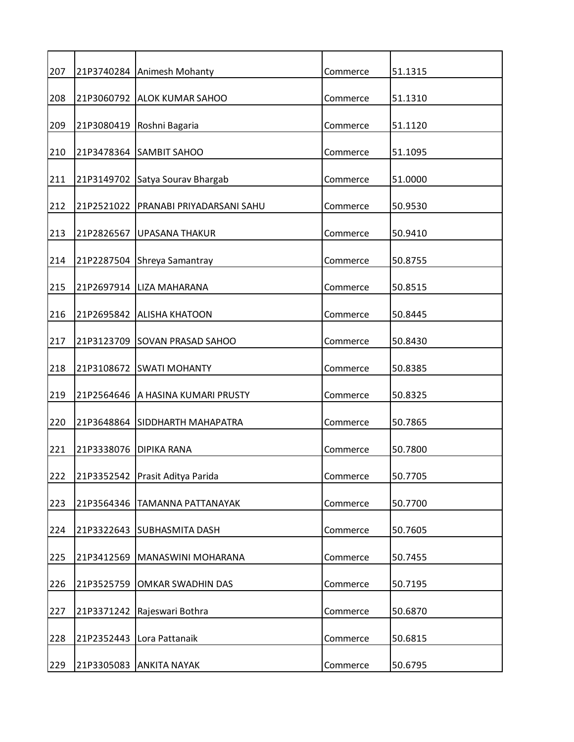| 207 | 21P3740284 | Animesh Mohanty             | Commerce | 51.1315 |
|-----|------------|-----------------------------|----------|---------|
| 208 | 21P3060792 | <b>ALOK KUMAR SAHOO</b>     | Commerce | 51.1310 |
| 209 | 21P3080419 | Roshni Bagaria              | Commerce | 51.1120 |
| 210 | 21P3478364 | SAMBIT SAHOO                | Commerce | 51.1095 |
| 211 | 21P3149702 | Satya Sourav Bhargab        | Commerce | 51.0000 |
|     |            |                             |          |         |
| 212 | 21P2521022 | PRANABI PRIYADARSANI SAHU   | Commerce | 50.9530 |
| 213 | 21P2826567 | <b>UPASANA THAKUR</b>       | Commerce | 50.9410 |
| 214 |            | 21P2287504 Shreya Samantray | Commerce | 50.8755 |
| 215 | 21P2697914 | LIZA MAHARANA               | Commerce | 50.8515 |
| 216 | 21P2695842 | <b>ALISHA KHATOON</b>       | Commerce | 50.8445 |
|     |            |                             |          |         |
| 217 | 21P3123709 | <b>SOVAN PRASAD SAHOO</b>   | Commerce | 50.8430 |
| 218 | 21P3108672 | <b>SWATI MOHANTY</b>        | Commerce | 50.8385 |
| 219 | 21P2564646 | A HASINA KUMARI PRUSTY      | Commerce | 50.8325 |
| 220 | 21P3648864 | SIDDHARTH MAHAPATRA         | Commerce | 50.7865 |
| 221 | 21P3338076 | <b>DIPIKA RANA</b>          | Commerce | 50.7800 |
| 222 | 21P3352542 | Prasit Aditya Parida        | Commerce | 50.7705 |
| 223 | 21P3564346 | TAMANNA PATTANAYAK          | Commerce | 50.7700 |
| 224 | 21P3322643 | <b>SUBHASMITA DASH</b>      | Commerce | 50.7605 |
| 225 | 21P3412569 | MANASWINI MOHARANA          | Commerce | 50.7455 |
| 226 | 21P3525759 | OMKAR SWADHIN DAS           | Commerce | 50.7195 |
| 227 | 21P3371242 | Rajeswari Bothra            | Commerce | 50.6870 |
| 228 | 21P2352443 | Lora Pattanaik              | Commerce | 50.6815 |
| 229 | 21P3305083 | <b>ANKITA NAYAK</b>         | Commerce | 50.6795 |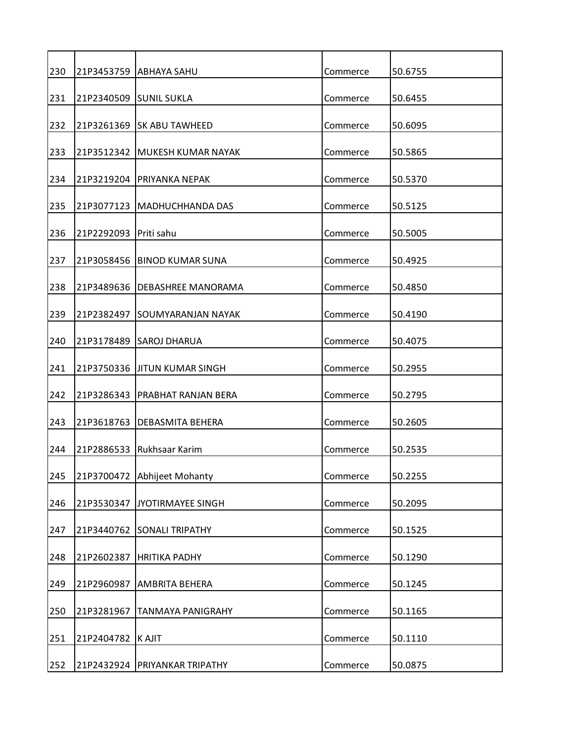| 230 | 21P3453759 | IABHAYA SAHU              | Commerce | 50.6755 |
|-----|------------|---------------------------|----------|---------|
| 231 | 21P2340509 | <b>SUNIL SUKLA</b>        | Commerce | 50.6455 |
| 232 |            | 21P3261369 SK ABU TAWHEED | Commerce | 50.6095 |
| 233 | 21P3512342 | <b>MUKESH KUMAR NAYAK</b> | Commerce | 50.5865 |
| 234 | 21P3219204 | PRIYANKA NEPAK            | Commerce | 50.5370 |
| 235 | 21P3077123 | IMADHUCHHANDA DAS         | Commerce | 50.5125 |
| 236 | 21P2292093 | Priti sahu                | Commerce | 50.5005 |
| 237 | 21P3058456 | <b>BINOD KUMAR SUNA</b>   | Commerce | 50.4925 |
| 238 | 21P3489636 | DEBASHREE MANORAMA        | Commerce | 50.4850 |
| 239 | 21P2382497 | SOUMYARANJAN NAYAK        | Commerce | 50.4190 |
| 240 | 21P3178489 | ISAROJ DHARUA             | Commerce | 50.4075 |
| 241 | 21P3750336 | <b>JITUN KUMAR SINGH</b>  | Commerce | 50.2955 |
| 242 | 21P3286343 | IPRABHAT RANJAN BERA      | Commerce | 50.2795 |
| 243 | 21P3618763 | <b>DEBASMITA BEHERA</b>   | Commerce | 50.2605 |
| 244 | 21P2886533 | Rukhsaar Karim            | Commerce | 50.2535 |
| 245 | 21P3700472 | Abhijeet Mohanty          | Commerce | 50.2255 |
| 246 | 21P3530347 | JYOTIRMAYEE SINGH         | Commerce | 50.2095 |
| 247 | 21P3440762 | <b>SONALI TRIPATHY</b>    | Commerce | 50.1525 |
| 248 | 21P2602387 | <b>HRITIKA PADHY</b>      | Commerce | 50.1290 |
| 249 | 21P2960987 | AMBRITA BEHERA            | Commerce | 50.1245 |
| 250 | 21P3281967 | <b>TANMAYA PANIGRAHY</b>  | Commerce | 50.1165 |
| 251 | 21P2404782 | <b>KAJIT</b>              | Commerce | 50.1110 |
| 252 | 21P2432924 | PRIYANKAR TRIPATHY        | Commerce | 50.0875 |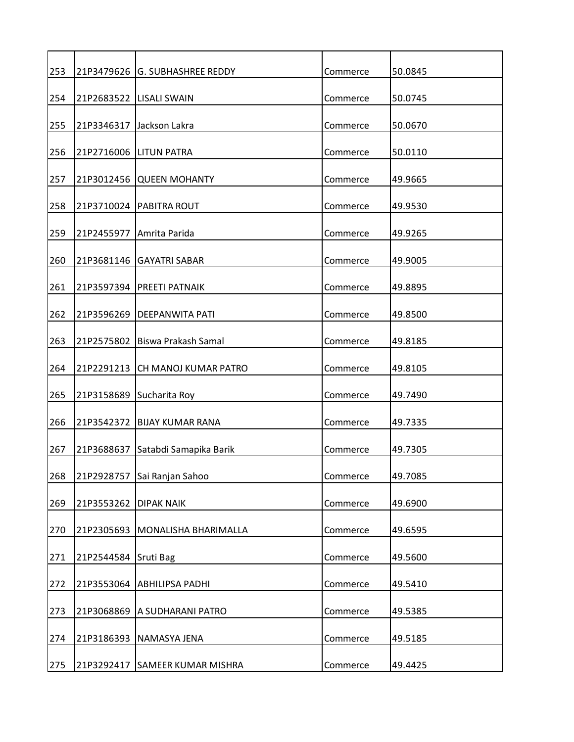| 253 | 21P3479626 | <b>G. SUBHASHREE REDDY</b> | Commerce | 50.0845 |
|-----|------------|----------------------------|----------|---------|
| 254 | 21P2683522 | <b>LISALI SWAIN</b>        | Commerce | 50.0745 |
| 255 | 21P3346317 | Jackson Lakra              | Commerce | 50.0670 |
| 256 | 21P2716006 | <b>LITUN PATRA</b>         | Commerce | 50.0110 |
| 257 | 21P3012456 | <b>QUEEN MOHANTY</b>       | Commerce | 49.9665 |
| 258 | 21P3710024 | <b>PABITRA ROUT</b>        | Commerce | 49.9530 |
| 259 | 21P2455977 | Amrita Parida              | Commerce | 49.9265 |
| 260 | 21P3681146 | <b>GAYATRI SABAR</b>       | Commerce | 49.9005 |
| 261 | 21P3597394 | PREETI PATNAIK             | Commerce | 49.8895 |
| 262 | 21P3596269 | DEEPANWITA PATI            | Commerce | 49.8500 |
| 263 | 21P2575802 | <b>Biswa Prakash Samal</b> | Commerce | 49.8185 |
| 264 | 21P2291213 | CH MANOJ KUMAR PATRO       | Commerce | 49.8105 |
| 265 | 21P3158689 | Sucharita Roy              | Commerce | 49.7490 |
| 266 | 21P3542372 | <b>BIJAY KUMAR RANA</b>    | Commerce | 49.7335 |
| 267 | 21P3688637 | Satabdi Samapika Barik     | Commerce | 49.7305 |
| 268 | 21P2928757 | Sai Ranjan Sahoo           | Commerce | 49.7085 |
| 269 | 21P3553262 | <b>DIPAK NAIK</b>          | Commerce | 49.6900 |
| 270 | 21P2305693 | MONALISHA BHARIMALLA       | Commerce | 49.6595 |
| 271 | 21P2544584 | Sruti Bag                  | Commerce | 49.5600 |
| 272 | 21P3553064 | <b>ABHILIPSA PADHI</b>     | Commerce | 49.5410 |
| 273 | 21P3068869 | A SUDHARANI PATRO          | Commerce | 49.5385 |
| 274 | 21P3186393 | NAMASYA JENA               | Commerce | 49.5185 |
| 275 | 21P3292417 | SAMEER KUMAR MISHRA        | Commerce | 49.4425 |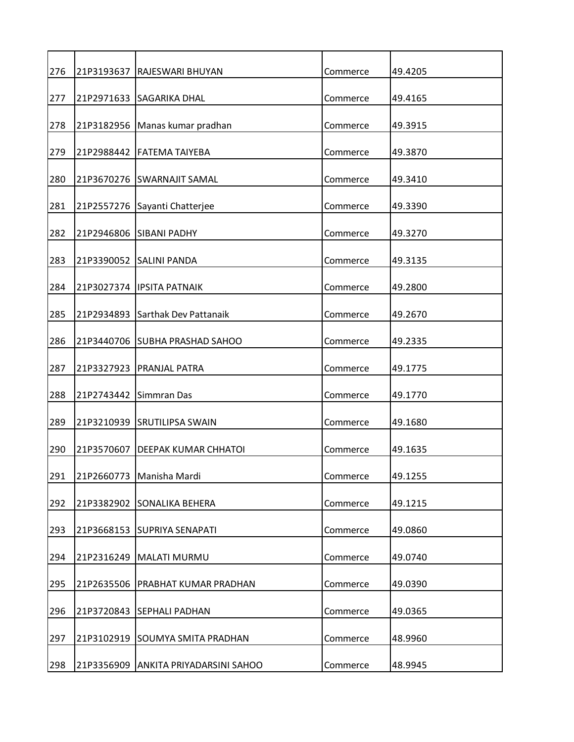| 276 | 21P3193637 | RAJESWARI BHUYAN           | Commerce | 49.4205 |
|-----|------------|----------------------------|----------|---------|
| 277 | 21P2971633 | SAGARIKA DHAL              | Commerce | 49.4165 |
| 278 | 21P3182956 | Manas kumar pradhan        | Commerce | 49.3915 |
|     | 21P2988442 |                            |          |         |
| 279 |            | <b>FATEMA TAIYEBA</b>      | Commerce | 49.3870 |
| 280 | 21P3670276 | <b>SWARNAJIT SAMAL</b>     | Commerce | 49.3410 |
| 281 | 21P2557276 | Sayanti Chatterjee         | Commerce | 49.3390 |
| 282 | 21P2946806 | <b>SIBANI PADHY</b>        | Commerce | 49.3270 |
| 283 |            | 21P3390052   SALINI PANDA  | Commerce | 49.3135 |
|     |            |                            |          |         |
| 284 | 21P3027374 | <b>IPSITA PATNAIK</b>      | Commerce | 49.2800 |
| 285 | 21P2934893 | Sarthak Dev Pattanaik      | Commerce | 49.2670 |
|     |            |                            |          |         |
| 286 | 21P3440706 | <b>SUBHA PRASHAD SAHOO</b> | Commerce | 49.2335 |
| 287 | 21P3327923 | PRANJAL PATRA              | Commerce | 49.1775 |
| 288 | 21P2743442 | Simmran Das                | Commerce | 49.1770 |
| 289 | 21P3210939 | <b>SRUTILIPSA SWAIN</b>    | Commerce | 49.1680 |
| 290 | 21P3570607 | DEEPAK KUMAR CHHATOI       | Commerce | 49.1635 |
| 291 | 21P2660773 | Manisha Mardi              | Commerce | 49.1255 |
| 292 | 21P3382902 | <b>SONALIKA BEHERA</b>     | Commerce | 49.1215 |
| 293 | 21P3668153 | <b>SUPRIYA SENAPATI</b>    | Commerce | 49.0860 |
| 294 | 21P2316249 | <b>MALATI MURMU</b>        | Commerce | 49.0740 |
|     |            |                            |          |         |
| 295 | 21P2635506 | PRABHAT KUMAR PRADHAN      | Commerce | 49.0390 |
| 296 | 21P3720843 | SEPHALI PADHAN             | Commerce | 49.0365 |
| 297 | 21P3102919 | SOUMYA SMITA PRADHAN       | Commerce | 48.9960 |
|     |            |                            |          |         |
| 298 | 21P3356909 | ANKITA PRIYADARSINI SAHOO  | Commerce | 48.9945 |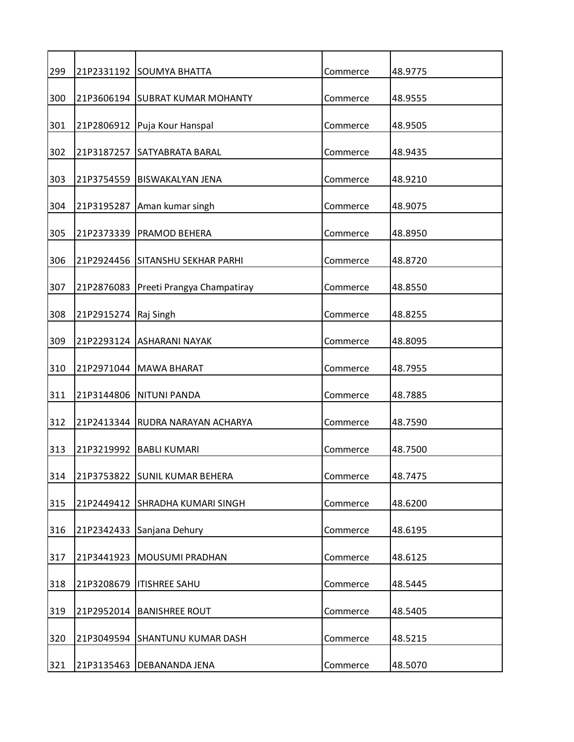| 299 | 21P2331192 | SOUMYA BHATTA                    | Commerce | 48.9775 |
|-----|------------|----------------------------------|----------|---------|
| 300 | 21P3606194 | <b>SUBRAT KUMAR MOHANTY</b>      | Commerce | 48.9555 |
| 301 | 21P2806912 | Puja Kour Hanspal                | Commerce | 48.9505 |
| 302 | 21P3187257 | <b>SATYABRATA BARAL</b>          | Commerce | 48.9435 |
| 303 | 21P3754559 | <b>BISWAKALYAN JENA</b>          | Commerce | 48.9210 |
| 304 | 21P3195287 | Aman kumar singh                 | Commerce | 48.9075 |
| 305 | 21P2373339 | PRAMOD BEHERA                    |          | 48.8950 |
|     |            |                                  | Commerce |         |
| 306 |            | 21P2924456 SITANSHU SEKHAR PARHI | Commerce | 48.8720 |
| 307 | 21P2876083 | Preeti Prangya Champatiray       | Commerce | 48.8550 |
| 308 | 21P2915274 | Raj Singh                        | Commerce | 48.8255 |
| 309 | 21P2293124 | <b>ASHARANI NAYAK</b>            | Commerce | 48.8095 |
| 310 | 21P2971044 | <b>MAWA BHARAT</b>               | Commerce | 48.7955 |
| 311 | 21P3144806 | <b>NITUNI PANDA</b>              | Commerce | 48.7885 |
| 312 |            | 21P2413344 RUDRA NARAYAN ACHARYA | Commerce | 48.7590 |
| 313 | 21P3219992 | <b>BABLI KUMARI</b>              | Commerce | 48.7500 |
| 314 | 21P3753822 | <b>SUNIL KUMAR BEHERA</b>        | Commerce | 48.7475 |
| 315 | 21P2449412 | SHRADHA KUMARI SINGH             | Commerce | 48.6200 |
| 316 | 21P2342433 | Sanjana Dehury                   | Commerce | 48.6195 |
| 317 | 21P3441923 | MOUSUMI PRADHAN                  | Commerce | 48.6125 |
| 318 | 21P3208679 | <b>ITISHREE SAHU</b>             | Commerce | 48.5445 |
| 319 | 21P2952014 | <b>BANISHREE ROUT</b>            | Commerce | 48.5405 |
| 320 | 21P3049594 | SHANTUNU KUMAR DASH              | Commerce | 48.5215 |
| 321 | 21P3135463 | <b>DEBANANDA JENA</b>            | Commerce | 48.5070 |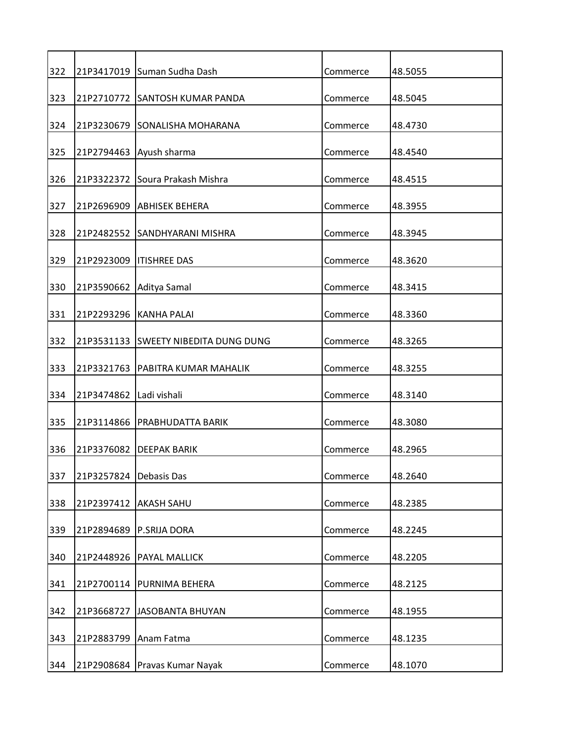| 322 | 21P3417019 | Suman Sudha Dash                 | Commerce | 48.5055 |
|-----|------------|----------------------------------|----------|---------|
| 323 | 21P2710772 | SANTOSH KUMAR PANDA              | Commerce | 48.5045 |
| 324 |            | 21P3230679 SONALISHA MOHARANA    | Commerce | 48.4730 |
| 325 | 21P2794463 | Ayush sharma                     | Commerce | 48.4540 |
|     |            |                                  |          |         |
| 326 | 21P3322372 | Soura Prakash Mishra             | Commerce | 48.4515 |
| 327 | 21P2696909 | <b>ABHISEK BEHERA</b>            | Commerce | 48.3955 |
| 328 | 21P2482552 | SANDHYARANI MISHRA               | Commerce | 48.3945 |
| 329 | 21P2923009 | <b>ITISHREE DAS</b>              | Commerce | 48.3620 |
| 330 | 21P3590662 | Aditya Samal                     | Commerce | 48.3415 |
|     |            |                                  |          |         |
| 331 | 21P2293296 | KANHA PALAI                      | Commerce | 48.3360 |
| 332 | 21P3531133 | <b>SWEETY NIBEDITA DUNG DUNG</b> | Commerce | 48.3265 |
| 333 | 21P3321763 | PABITRA KUMAR MAHALIK            | Commerce | 48.3255 |
| 334 | 21P3474862 | Ladi vishali                     | Commerce | 48.3140 |
| 335 | 21P3114866 | PRABHUDATTA BARIK                | Commerce | 48.3080 |
| 336 | 21P3376082 | <b>DEEPAK BARIK</b>              | Commerce | 48.2965 |
| 337 | 21P3257824 | Debasis Das                      | Commerce | 48.2640 |
| 338 | 21P2397412 | AKASH SAHU                       | Commerce | 48.2385 |
| 339 | 21P2894689 | P.SRIJA DORA                     | Commerce | 48.2245 |
| 340 | 21P2448926 | PAYAL MALLICK                    | Commerce | 48.2205 |
| 341 | 21P2700114 | PURNIMA BEHERA                   | Commerce | 48.2125 |
| 342 | 21P3668727 | <b>JASOBANTA BHUYAN</b>          | Commerce | 48.1955 |
| 343 | 21P2883799 | Anam Fatma                       | Commerce | 48.1235 |
|     |            |                                  |          |         |
| 344 |            | 21P2908684 Pravas Kumar Nayak    | Commerce | 48.1070 |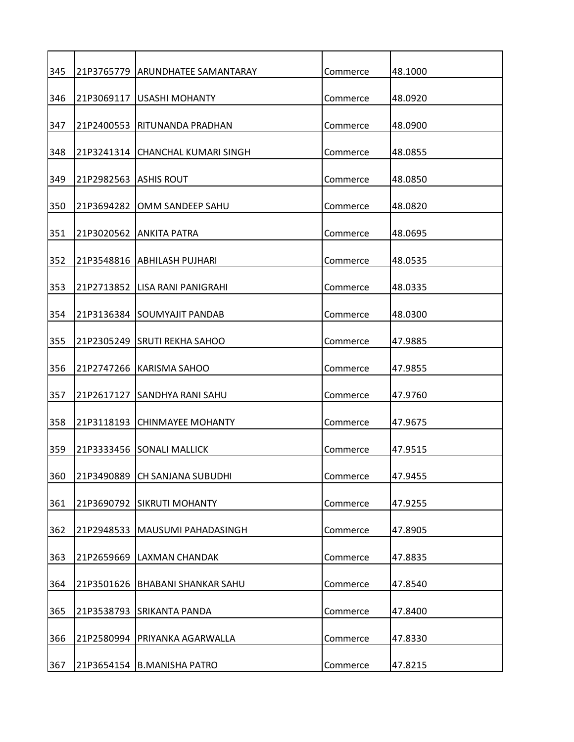| 345 | 21P3765779 | ARUNDHATEE SAMANTARAY       | Commerce | 48.1000 |
|-----|------------|-----------------------------|----------|---------|
| 346 | 21P3069117 | <b>USASHI MOHANTY</b>       | Commerce | 48.0920 |
| 347 | 21P2400553 | RITUNANDA PRADHAN           | Commerce | 48.0900 |
| 348 | 21P3241314 | CHANCHAL KUMARI SINGH       | Commerce | 48.0855 |
| 349 | 21P2982563 | <b>ASHIS ROUT</b>           | Commerce | 48.0850 |
| 350 | 21P3694282 | OMM SANDEEP SAHU            | Commerce | 48.0820 |
| 351 | 21P3020562 | <b>ANKITA PATRA</b>         | Commerce | 48.0695 |
| 352 | 21P3548816 | ABHILASH PUJHARI            | Commerce | 48.0535 |
| 353 | 21P2713852 | LISA RANI PANIGRAHI         | Commerce | 48.0335 |
| 354 | 21P3136384 | ISOUMYAJIT PANDAB           | Commerce | 48.0300 |
|     |            |                             |          |         |
| 355 | 21P2305249 | ISRUTI REKHA SAHOO          | Commerce | 47.9885 |
| 356 | 21P2747266 | <b>KARISMA SAHOO</b>        | Commerce | 47.9855 |
| 357 | 21P2617127 | ISANDHYA RANI SAHU          | Commerce | 47.9760 |
| 358 | 21P3118193 | <b>CHINMAYEE MOHANTY</b>    | Commerce | 47.9675 |
| 359 | 21P3333456 | <b>SONALI MALLICK</b>       | Commerce | 47.9515 |
| 360 | 21P3490889 | CH SANJANA SUBUDHI          | Commerce | 47.9455 |
| 361 | 21P3690792 | <b>SIKRUTI MOHANTY</b>      | Commerce | 47.9255 |
| 362 | 21P2948533 | MAUSUMI PAHADASINGH         | Commerce | 47.8905 |
| 363 | 21P2659669 | LAXMAN CHANDAK              | Commerce | 47.8835 |
| 364 | 21P3501626 | <b>BHABANI SHANKAR SAHU</b> | Commerce | 47.8540 |
| 365 | 21P3538793 | <b>SRIKANTA PANDA</b>       | Commerce | 47.8400 |
| 366 | 21P2580994 | PRIYANKA AGARWALLA          | Commerce | 47.8330 |
| 367 | 21P3654154 | <b>B.MANISHA PATRO</b>      | Commerce | 47.8215 |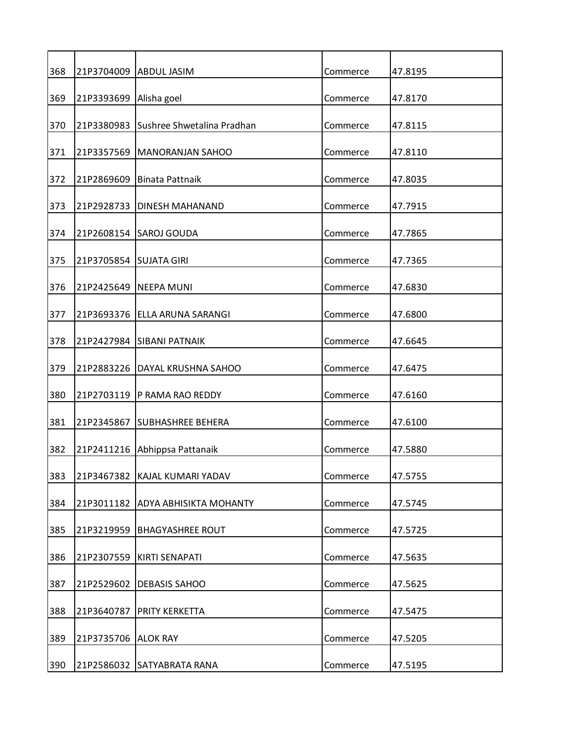| 368 | 21P3704009             | ABDUL JASIM                   | Commerce | 47.8195 |
|-----|------------------------|-------------------------------|----------|---------|
| 369 | 21P3393699             | Alisha goel                   | Commerce | 47.8170 |
| 370 | 21P3380983             | Sushree Shwetalina Pradhan    | Commerce | 47.8115 |
| 371 | 21P3357569             | <b>MANORANJAN SAHOO</b>       | Commerce | 47.8110 |
| 372 | 21P2869609             | <b>Binata Pattnaik</b>        | Commerce | 47.8035 |
| 373 | 21P2928733             | DINESH MAHANAND               | Commerce | 47.7915 |
| 374 | 21P2608154             | <b>SAROJ GOUDA</b>            | Commerce | 47.7865 |
| 375 | 21P3705854 SUJATA GIRI |                               | Commerce | 47.7365 |
| 376 | 21P2425649             | <b>NEEPA MUNI</b>             | Commerce | 47.6830 |
| 377 | 21P3693376             |                               |          | 47.6800 |
|     |                        | <b>ELLA ARUNA SARANGI</b>     | Commerce |         |
| 378 | 21P2427984             | <b>SIBANI PATNAIK</b>         | Commerce | 47.6645 |
| 379 | 21P2883226             | DAYAL KRUSHNA SAHOO           | Commerce | 47.6475 |
| 380 |                        | 21P2703119   P RAMA RAO REDDY | Commerce | 47.6160 |
| 381 | 21P2345867             | <b>SUBHASHREE BEHERA</b>      | Commerce | 47.6100 |
| 382 | 21P2411216             | Abhippsa Pattanaik            | Commerce | 47.5880 |
| 383 | 21P3467382             | KAJAL KUMARI YADAV            | Commerce | 47.5755 |
| 384 | 21P3011182             | ADYA ABHISIKTA MOHANTY        | Commerce | 47.5745 |
| 385 | 21P3219959             | <b>BHAGYASHREE ROUT</b>       | Commerce | 47.5725 |
| 386 | 21P2307559             | <b>KIRTI SENAPATI</b>         | Commerce | 47.5635 |
| 387 | 21P2529602             | <b>DEBASIS SAHOO</b>          | Commerce | 47.5625 |
| 388 | 21P3640787             | PRITY KERKETTA                | Commerce | 47.5475 |
| 389 | 21P3735706             | <b>ALOK RAY</b>               | Commerce | 47.5205 |
|     |                        |                               |          |         |
| 390 | 21P2586032             | SATYABRATA RANA               | Commerce | 47.5195 |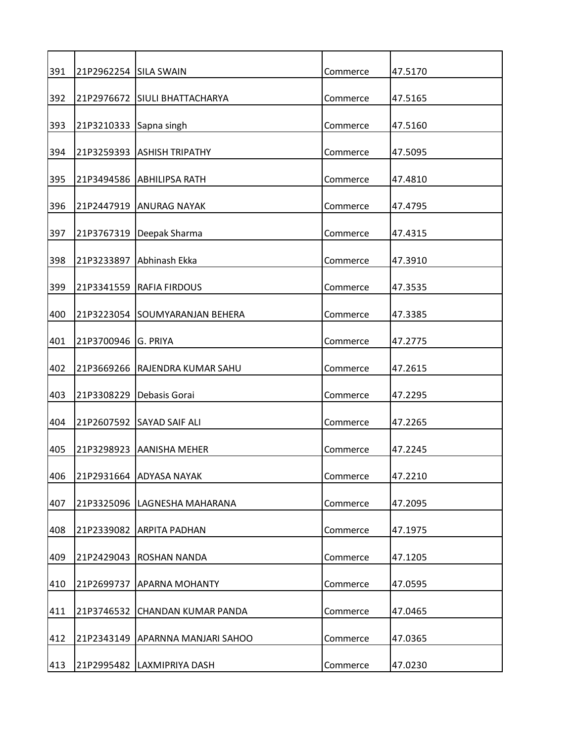| 391 | 21P2962254 | <b>SILA SWAIN</b>      | Commerce | 47.5170 |
|-----|------------|------------------------|----------|---------|
| 392 | 21P2976672 | SIULI BHATTACHARYA     | Commerce | 47.5165 |
| 393 | 21P3210333 | Sapna singh            | Commerce | 47.5160 |
| 394 | 21P3259393 | <b>ASHISH TRIPATHY</b> | Commerce | 47.5095 |
|     |            |                        |          |         |
| 395 | 21P3494586 | <b>ABHILIPSA RATH</b>  | Commerce | 47.4810 |
| 396 | 21P2447919 | <b>ANURAG NAYAK</b>    | Commerce | 47.4795 |
| 397 | 21P3767319 | Deepak Sharma          | Commerce | 47.4315 |
| 398 | 21P3233897 | Abhinash Ekka          | Commerce | 47.3910 |
| 399 | 21P3341559 | <b>RAFIA FIRDOUS</b>   | Commerce | 47.3535 |
|     |            |                        |          |         |
| 400 | 21P3223054 | ISOUMYARANJAN BEHERA   | Commerce | 47.3385 |
| 401 | 21P3700946 | G. PRIYA               | Commerce | 47.2775 |
| 402 | 21P3669266 | RAJENDRA KUMAR SAHU    | Commerce | 47.2615 |
| 403 | 21P3308229 | Debasis Gorai          | Commerce | 47.2295 |
| 404 | 21P2607592 | <b>SAYAD SAIF ALI</b>  | Commerce | 47.2265 |
| 405 | 21P3298923 | AANISHA MEHER          | Commerce | 47.2245 |
| 406 | 21P2931664 | ADYASA NAYAK           | Commerce | 47.2210 |
| 407 | 21P3325096 | LAGNESHA MAHARANA      | Commerce | 47.2095 |
| 408 | 21P2339082 | ARPITA PADHAN          | Commerce | 47.1975 |
| 409 | 21P2429043 | <b>ROSHAN NANDA</b>    | Commerce | 47.1205 |
| 410 | 21P2699737 | <b>APARNA MOHANTY</b>  | Commerce | 47.0595 |
| 411 | 21P3746532 | CHANDAN KUMAR PANDA    | Commerce | 47.0465 |
| 412 | 21P2343149 | APARNNA MANJARI SAHOO  | Commerce | 47.0365 |
| 413 | 21P2995482 | LAXMIPRIYA DASH        | Commerce | 47.0230 |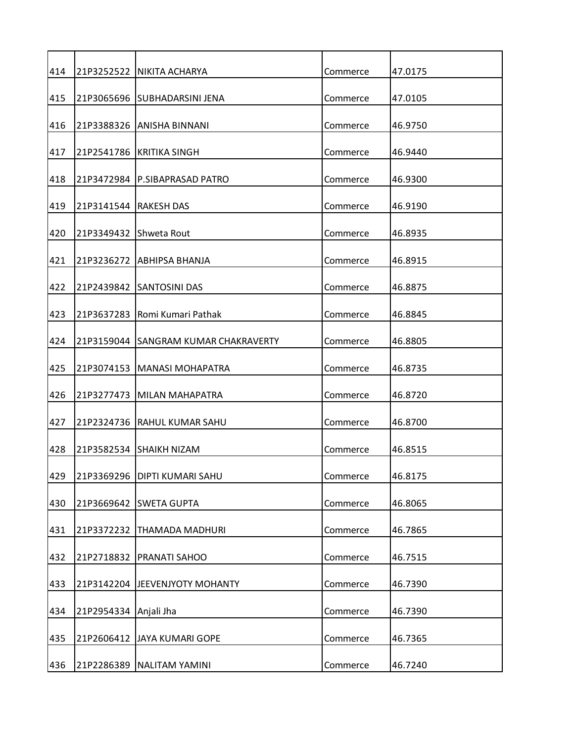| 414 | 21P3252522 | NIKITA ACHARYA              | Commerce | 47.0175 |
|-----|------------|-----------------------------|----------|---------|
| 415 | 21P3065696 | SUBHADARSINI JENA           | Commerce | 47.0105 |
| 416 | 21P3388326 | ANISHA BINNANI              | Commerce | 46.9750 |
| 417 | 21P2541786 | KRITIKA SINGH               | Commerce | 46.9440 |
| 418 | 21P3472984 | P.SIBAPRASAD PATRO          | Commerce | 46.9300 |
| 419 | 21P3141544 | <b>RAKESH DAS</b>           | Commerce | 46.9190 |
|     |            |                             |          |         |
| 420 | 21P3349432 | Shweta Rout                 | Commerce | 46.8935 |
| 421 | 21P3236272 | ABHIPSA BHANJA              | Commerce | 46.8915 |
| 422 | 21P2439842 | <b>SANTOSINI DAS</b>        | Commerce | 46.8875 |
| 423 | 21P3637283 | Romi Kumari Pathak          | Commerce | 46.8845 |
| 424 | 21P3159044 | ISANGRAM KUMAR CHAKRAVERTY  | Commerce | 46.8805 |
| 425 | 21P3074153 | <b>MANASI MOHAPATRA</b>     | Commerce | 46.8735 |
| 426 | 21P3277473 | <b>MILAN MAHAPATRA</b>      | Commerce | 46.8720 |
| 427 |            | 21P2324736 RAHUL KUMAR SAHU | Commerce | 46.8700 |
| 428 | 21P3582534 | ISHAIKH NIZAM               | Commerce | 46.8515 |
| 429 | 21P3369296 | <b>DIPTI KUMARI SAHU</b>    | Commerce | 46.8175 |
| 430 | 21P3669642 | <b>SWETA GUPTA</b>          | Commerce | 46.8065 |
| 431 | 21P3372232 | <b>THAMADA MADHURI</b>      | Commerce | 46.7865 |
| 432 | 21P2718832 | PRANATI SAHOO               | Commerce | 46.7515 |
| 433 | 21P3142204 | <b>JEEVENJYOTY MOHANTY</b>  | Commerce | 46.7390 |
| 434 | 21P2954334 | Anjali Jha                  | Commerce | 46.7390 |
| 435 | 21P2606412 | <b>JAYA KUMARI GOPE</b>     | Commerce | 46.7365 |
| 436 | 21P2286389 | <b>NALITAM YAMINI</b>       | Commerce | 46.7240 |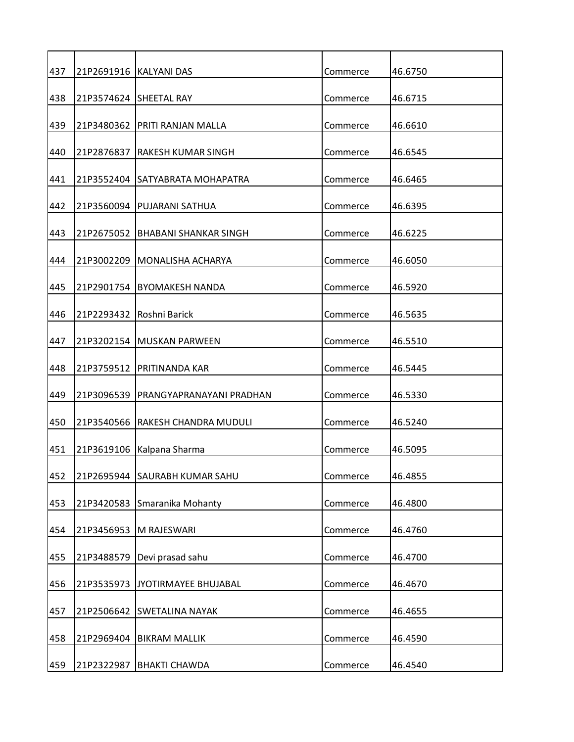| 437 | 21P2691916 | <b>KALYANI DAS</b>            | Commerce | 46.6750 |
|-----|------------|-------------------------------|----------|---------|
| 438 | 21P3574624 | <b>SHEETAL RAY</b>            | Commerce | 46.6715 |
| 439 |            | 21P3480362 PRITI RANJAN MALLA | Commerce | 46.6610 |
| 440 | 21P2876837 | RAKESH KUMAR SINGH            | Commerce | 46.6545 |
| 441 | 21P3552404 | SATYABRATA MOHAPATRA          | Commerce | 46.6465 |
| 442 | 21P3560094 | PUJARANI SATHUA               | Commerce | 46.6395 |
| 443 | 21P2675052 | <b>BHABANI SHANKAR SINGH</b>  |          | 46.6225 |
|     |            |                               | Commerce |         |
| 444 | 21P3002209 | MONALISHA ACHARYA             | Commerce | 46.6050 |
| 445 | 21P2901754 | <b>BYOMAKESH NANDA</b>        | Commerce | 46.5920 |
| 446 | 21P2293432 | Roshni Barick                 | Commerce | 46.5635 |
|     |            |                               |          |         |
| 447 | 21P3202154 | <b>MUSKAN PARWEEN</b>         | Commerce | 46.5510 |
| 448 | 21P3759512 | PRITINANDA KAR                | Commerce | 46.5445 |
| 449 | 21P3096539 | IPRANGYAPRANAYANI PRADHAN     | Commerce | 46.5330 |
| 450 | 21P3540566 | RAKESH CHANDRA MUDULI         | Commerce | 46.5240 |
| 451 | 21P3619106 | Kalpana Sharma                | Commerce | 46.5095 |
| 452 | 21P2695944 | SAURABH KUMAR SAHU            | Commerce | 46.4855 |
| 453 | 21P3420583 | Smaranika Mohanty             | Commerce | 46.4800 |
| 454 | 21P3456953 | M RAJESWARI                   | Commerce | 46.4760 |
| 455 | 21P3488579 | Devi prasad sahu              | Commerce | 46.4700 |
| 456 | 21P3535973 | JYOTIRMAYEE BHUJABAL          | Commerce | 46.4670 |
| 457 | 21P2506642 | <b>SWETALINA NAYAK</b>        | Commerce | 46.4655 |
| 458 | 21P2969404 | <b>BIKRAM MALLIK</b>          | Commerce | 46.4590 |
| 459 | 21P2322987 | <b>BHAKTI CHAWDA</b>          | Commerce | 46.4540 |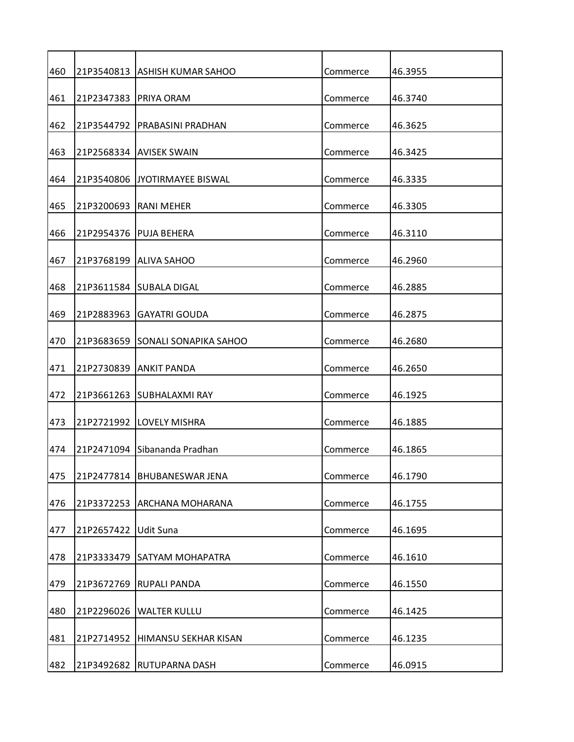| 460 | 21P3540813 | <b>ASHISH KUMAR SAHOO</b>      | Commerce | 46.3955 |
|-----|------------|--------------------------------|----------|---------|
| 461 | 21P2347383 | PRIYA ORAM                     | Commerce | 46.3740 |
| 462 |            | 21P3544792   PRABASINI PRADHAN | Commerce | 46.3625 |
| 463 | 21P2568334 | <b>AVISEK SWAIN</b>            | Commerce | 46.3425 |
| 464 | 21P3540806 | <b>JYOTIRMAYEE BISWAL</b>      | Commerce | 46.3335 |
| 465 | 21P3200693 | <b>RANI MEHER</b>              | Commerce | 46.3305 |
|     |            |                                |          |         |
| 466 | 21P2954376 | <b>PUJA BEHERA</b>             | Commerce | 46.3110 |
| 467 | 21P3768199 | <b>ALIVA SAHOO</b>             | Commerce | 46.2960 |
| 468 | 21P3611584 | ISUBALA DIGAL                  | Commerce | 46.2885 |
| 469 | 21P2883963 | <b>GAYATRI GOUDA</b>           | Commerce | 46.2875 |
| 470 | 21P3683659 | ISONALI SONAPIKA SAHOO         | Commerce | 46.2680 |
| 471 | 21P2730839 | <b>ANKIT PANDA</b>             | Commerce | 46.2650 |
| 472 |            | 21P3661263 ISUBHALAXMI RAY     | Commerce | 46.1925 |
| 473 | 21P2721992 | <b>LOVELY MISHRA</b>           | Commerce | 46.1885 |
|     |            |                                |          |         |
| 474 | 21P2471094 | Sibananda Pradhan              | Commerce | 46.1865 |
| 475 | 21P2477814 | <b>BHUBANESWAR JENA</b>        | Commerce | 46.1790 |
| 476 | 21P3372253 | ARCHANA MOHARANA               | Commerce | 46.1755 |
| 477 | 21P2657422 | Udit Suna                      | Commerce | 46.1695 |
| 478 | 21P3333479 | SATYAM MOHAPATRA               | Commerce | 46.1610 |
| 479 | 21P3672769 | <b>RUPALI PANDA</b>            | Commerce | 46.1550 |
| 480 | 21P2296026 | <b>WALTER KULLU</b>            | Commerce | 46.1425 |
| 481 | 21P2714952 | HIMANSU SEKHAR KISAN           | Commerce | 46.1235 |
| 482 | 21P3492682 | <b>RUTUPARNA DASH</b>          | Commerce | 46.0915 |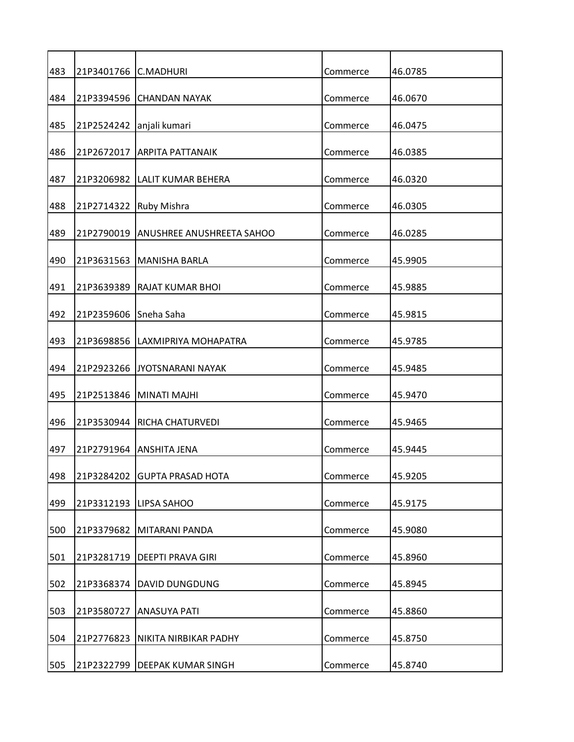| 483 | 21P3401766 | C.MADHURI                 | Commerce | 46.0785 |
|-----|------------|---------------------------|----------|---------|
| 484 | 21P3394596 | <b>CHANDAN NAYAK</b>      | Commerce | 46.0670 |
| 485 | 21P2524242 | anjali kumari             | Commerce | 46.0475 |
| 486 | 21P2672017 | ARPITA PATTANAIK          | Commerce | 46.0385 |
| 487 | 21P3206982 | LALIT KUMAR BEHERA        | Commerce | 46.0320 |
| 488 | 21P2714322 | <b>Ruby Mishra</b>        | Commerce | 46.0305 |
|     |            |                           |          |         |
| 489 | 21P2790019 | ANUSHREE ANUSHREETA SAHOO | Commerce | 46.0285 |
| 490 | 21P3631563 | <b>MANISHA BARLA</b>      | Commerce | 45.9905 |
| 491 | 21P3639389 | <b>RAJAT KUMAR BHOI</b>   | Commerce | 45.9885 |
| 492 | 21P2359606 | Sneha Saha                | Commerce | 45.9815 |
|     |            |                           |          |         |
| 493 | 21P3698856 | LAXMIPRIYA MOHAPATRA      | Commerce | 45.9785 |
| 494 | 21P2923266 | <b>JYOTSNARANI NAYAK</b>  | Commerce | 45.9485 |
| 495 | 21P2513846 | <b>MINATI MAJHI</b>       | Commerce | 45.9470 |
| 496 | 21P3530944 | RICHA CHATURVEDI          | Commerce | 45.9465 |
| 497 | 21P2791964 | ANSHITA JENA              | Commerce | 45.9445 |
| 498 | 21P3284202 | <b>GUPTA PRASAD HOTA</b>  | Commerce | 45.9205 |
| 499 | 21P3312193 | LIPSA SAHOO               | Commerce | 45.9175 |
| 500 | 21P3379682 | MITARANI PANDA            | Commerce | 45.9080 |
| 501 | 21P3281719 | <b>DEEPTI PRAVA GIRI</b>  | Commerce | 45.8960 |
| 502 | 21P3368374 | DAVID DUNGDUNG            | Commerce | 45.8945 |
| 503 | 21P3580727 | <b>ANASUYA PATI</b>       | Commerce | 45.8860 |
|     |            |                           |          |         |
| 504 | 21P2776823 | NIKITA NIRBIKAR PADHY     | Commerce | 45.8750 |
| 505 | 21P2322799 | <b>DEEPAK KUMAR SINGH</b> | Commerce | 45.8740 |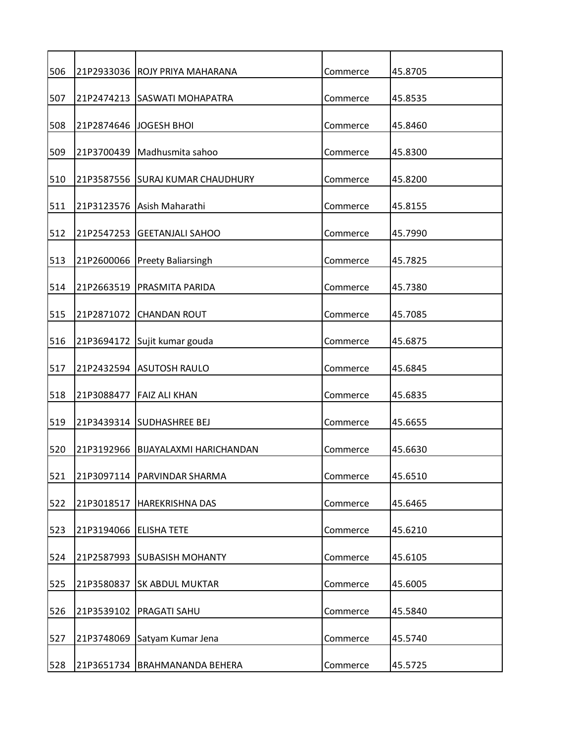| 506 | 21P2933036 | ROJY PRIYA MAHARANA       | Commerce | 45.8705 |
|-----|------------|---------------------------|----------|---------|
| 507 | 21P2474213 | SASWATI MOHAPATRA         | Commerce | 45.8535 |
| 508 | 21P2874646 | <b>JOGESH BHOI</b>        | Commerce | 45.8460 |
| 509 | 21P3700439 | Madhusmita sahoo          | Commerce | 45.8300 |
| 510 | 21P3587556 | SURAJ KUMAR CHAUDHURY     | Commerce | 45.8200 |
| 511 | 21P3123576 | Asish Maharathi           |          | 45.8155 |
|     |            |                           | Commerce |         |
| 512 | 21P2547253 | <b>GEETANJALI SAHOO</b>   | Commerce | 45.7990 |
| 513 | 21P2600066 | <b>Preety Baliarsingh</b> | Commerce | 45.7825 |
| 514 | 21P2663519 | PRASMITA PARIDA           | Commerce | 45.7380 |
| 515 | 21P2871072 | <b>CHANDAN ROUT</b>       | Commerce | 45.7085 |
|     |            |                           |          |         |
| 516 | 21P3694172 | Sujit kumar gouda         | Commerce | 45.6875 |
| 517 | 21P2432594 | <b>ASUTOSH RAULO</b>      | Commerce | 45.6845 |
| 518 | 21P3088477 | <b>FAIZ ALI KHAN</b>      | Commerce | 45.6835 |
| 519 | 21P3439314 | <b>SUDHASHREE BEJ</b>     | Commerce | 45.6655 |
| 520 | 21P3192966 | BIJAYALAXMI HARICHANDAN   | Commerce | 45.6630 |
| 521 | 21P3097114 | PARVINDAR SHARMA          | Commerce | 45.6510 |
| 522 | 21P3018517 | <b>HAREKRISHNA DAS</b>    | Commerce | 45.6465 |
| 523 | 21P3194066 | <b>ELISHA TETE</b>        | Commerce | 45.6210 |
| 524 | 21P2587993 | <b>SUBASISH MOHANTY</b>   | Commerce | 45.6105 |
| 525 | 21P3580837 | <b>SK ABDUL MUKTAR</b>    | Commerce | 45.6005 |
| 526 | 21P3539102 | PRAGATI SAHU              | Commerce | 45.5840 |
|     |            |                           |          |         |
| 527 | 21P3748069 | Satyam Kumar Jena         | Commerce | 45.5740 |
| 528 | 21P3651734 | <b>BRAHMANANDA BEHERA</b> | Commerce | 45.5725 |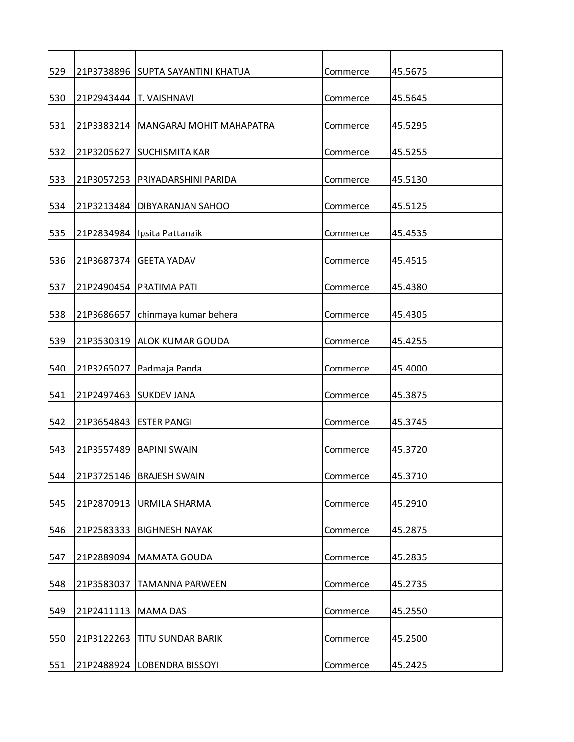| 529 | 21P3738896 | SUPTA SAYANTINI KHATUA                | Commerce | 45.5675 |
|-----|------------|---------------------------------------|----------|---------|
| 530 | 21P2943444 | <b>T. VAISHNAVI</b>                   | Commerce | 45.5645 |
| 531 |            | 21P3383214   MANGARAJ MOHIT MAHAPATRA | Commerce | 45.5295 |
| 532 | 21P3205627 | <b>SUCHISMITA KAR</b>                 | Commerce | 45.5255 |
| 533 | 21P3057253 | PRIYADARSHINI PARIDA                  | Commerce | 45.5130 |
| 534 | 21P3213484 | DIBYARANJAN SAHOO                     | Commerce | 45.5125 |
| 535 | 21P2834984 | Ipsita Pattanaik                      | Commerce | 45.4535 |
| 536 | 21P3687374 | <b>GEETA YADAV</b>                    | Commerce | 45.4515 |
| 537 | 21P2490454 | PRATIMA PATI                          | Commerce | 45.4380 |
| 538 | 21P3686657 | chinmaya kumar behera                 | Commerce | 45.4305 |
| 539 | 21P3530319 | ALOK KUMAR GOUDA                      | Commerce | 45.4255 |
| 540 | 21P3265027 | Padmaja Panda                         | Commerce | 45.4000 |
| 541 |            | 21P2497463 SUKDEV JANA                | Commerce | 45.3875 |
| 542 | 21P3654843 | <b>ESTER PANGI</b>                    | Commerce | 45.3745 |
| 543 | 21P3557489 | <b>BAPINI SWAIN</b>                   | Commerce | 45.3720 |
| 544 | 21P3725146 | <b>BRAJESH SWAIN</b>                  | Commerce | 45.3710 |
| 545 | 21P2870913 | <b>URMILA SHARMA</b>                  | Commerce | 45.2910 |
| 546 | 21P2583333 | <b>BIGHNESH NAYAK</b>                 | Commerce | 45.2875 |
| 547 | 21P2889094 | <b>MAMATA GOUDA</b>                   | Commerce | 45.2835 |
| 548 | 21P3583037 | <b>TAMANNA PARWEEN</b>                | Commerce | 45.2735 |
| 549 | 21P2411113 | <b>MAMA DAS</b>                       | Commerce | 45.2550 |
| 550 | 21P3122263 | TITU SUNDAR BARIK                     | Commerce | 45.2500 |
| 551 | 21P2488924 | <b>LOBENDRA BISSOYI</b>               | Commerce | 45.2425 |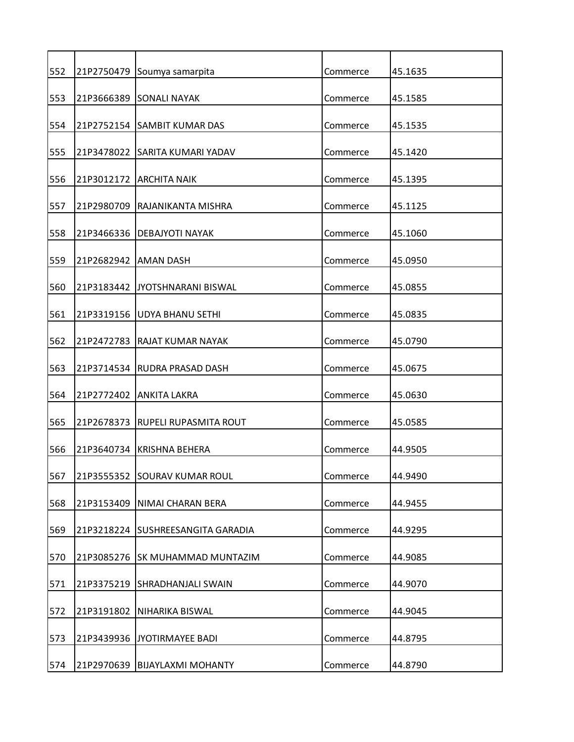| 552 | 21P2750479 | Soumya samarpita            | Commerce | 45.1635 |
|-----|------------|-----------------------------|----------|---------|
| 553 | 21P3666389 | <b>SONALI NAYAK</b>         | Commerce | 45.1585 |
| 554 |            | 21P2752154 SAMBIT KUMAR DAS | Commerce | 45.1535 |
| 555 | 21P3478022 | SARITA KUMARI YADAV         | Commerce | 45.1420 |
| 556 | 21P3012172 | <b>ARCHITA NAIK</b>         | Commerce | 45.1395 |
| 557 | 21P2980709 | RAJANIKANTA MISHRA          | Commerce | 45.1125 |
| 558 | 21P3466336 | <b>DEBAJYOTI NAYAK</b>      | Commerce | 45.1060 |
| 559 | 21P2682942 | <b>AMAN DASH</b>            | Commerce | 45.0950 |
| 560 | 21P3183442 | <b>JYOTSHNARANI BISWAL</b>  | Commerce | 45.0855 |
| 561 |            |                             |          |         |
|     | 21P3319156 | UDYA BHANU SETHI            | Commerce | 45.0835 |
| 562 | 21P2472783 | RAJAT KUMAR NAYAK           | Commerce | 45.0790 |
| 563 | 21P3714534 | <b>RUDRA PRASAD DASH</b>    | Commerce | 45.0675 |
| 564 | 21P2772402 | ANKITA LAKRA                | Commerce | 45.0630 |
| 565 | 21P2678373 | RUPELI RUPASMITA ROUT       | Commerce | 45.0585 |
| 566 | 21P3640734 | KRISHNA BEHERA              | Commerce | 44.9505 |
| 567 | 21P3555352 | <b>SOURAV KUMAR ROUL</b>    | Commerce | 44.9490 |
| 568 | 21P3153409 | NIMAI CHARAN BERA           | Commerce | 44.9455 |
| 569 | 21P3218224 | SUSHREESANGITA GARADIA      | Commerce | 44.9295 |
| 570 | 21P3085276 | SK MUHAMMAD MUNTAZIM        | Commerce | 44.9085 |
| 571 | 21P3375219 | SHRADHANJALI SWAIN          | Commerce | 44.9070 |
| 572 | 21P3191802 | NIHARIKA BISWAL             | Commerce | 44.9045 |
| 573 | 21P3439936 | <b>JYOTIRMAYEE BADI</b>     | Commerce | 44.8795 |
| 574 | 21P2970639 | <b>BIJAYLAXMI MOHANTY</b>   | Commerce | 44.8790 |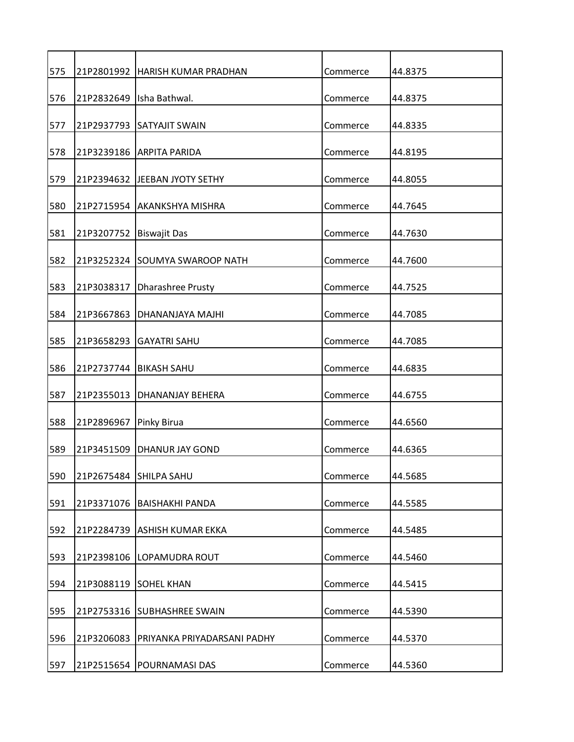| 575 | 21P2801992 | HARISH KUMAR PRADHAN           | Commerce | 44.8375 |
|-----|------------|--------------------------------|----------|---------|
| 576 | 21P2832649 | Isha Bathwal.                  | Commerce | 44.8375 |
| 577 |            | 21P2937793 SATYAJIT SWAIN      | Commerce | 44.8335 |
| 578 | 21P3239186 | <b>ARPITA PARIDA</b>           | Commerce | 44.8195 |
| 579 | 21P2394632 | JEEBAN JYOTY SETHY             | Commerce | 44.8055 |
| 580 | 21P2715954 | AKANKSHYA MISHRA               | Commerce | 44.7645 |
| 581 | 21P3207752 | <b>Biswajit Das</b>            | Commerce | 44.7630 |
| 582 |            | 21P3252324 SOUMYA SWAROOP NATH | Commerce | 44.7600 |
| 583 | 21P3038317 | <b>Dharashree Prusty</b>       | Commerce | 44.7525 |
| 584 | 21P3667863 | DHANANJAYA MAJHI               | Commerce | 44.7085 |
| 585 | 21P3658293 | <b>GAYATRI SAHU</b>            | Commerce | 44.7085 |
| 586 | 21P2737744 | <b>BIKASH SAHU</b>             |          | 44.6835 |
|     |            |                                | Commerce |         |
| 587 | 21P2355013 | IDHANANJAY BEHERA              | Commerce | 44.6755 |
| 588 | 21P2896967 | Pinky Birua                    | Commerce | 44.6560 |
| 589 | 21P3451509 | <b>DHANUR JAY GOND</b>         | Commerce | 44.6365 |
| 590 | 21P2675484 | <b>SHILPA SAHU</b>             | Commerce | 44.5685 |
| 591 | 21P3371076 | <b>BAISHAKHI PANDA</b>         | Commerce | 44.5585 |
| 592 | 21P2284739 | ASHISH KUMAR EKKA              | Commerce | 44.5485 |
| 593 | 21P2398106 | LOPAMUDRA ROUT                 | Commerce | 44.5460 |
| 594 | 21P3088119 | <b>SOHEL KHAN</b>              | Commerce | 44.5415 |
| 595 | 21P2753316 | <b>SUBHASHREE SWAIN</b>        | Commerce | 44.5390 |
| 596 | 21P3206083 | PRIYANKA PRIYADARSANI PADHY    | Commerce | 44.5370 |
| 597 |            | 21P2515654   POURNAMASI DAS    | Commerce | 44.5360 |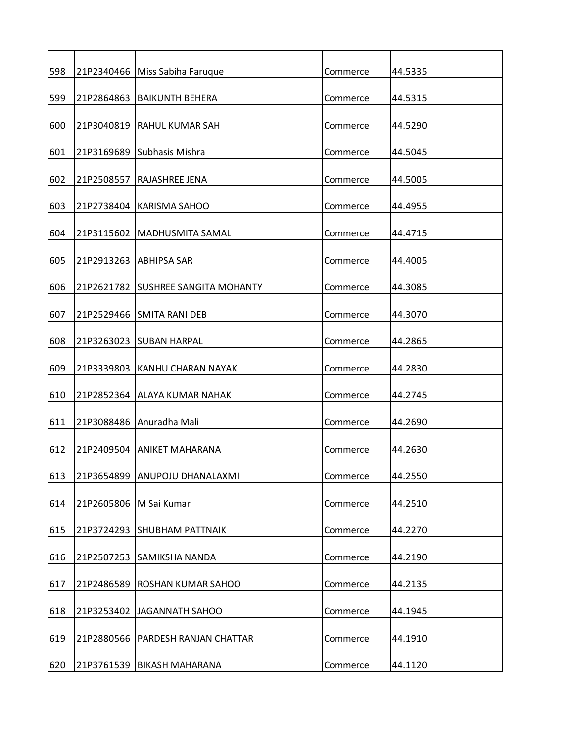| 598 | 21P2340466 | Miss Sabiha Faruque            | Commerce | 44.5335 |
|-----|------------|--------------------------------|----------|---------|
| 599 | 21P2864863 | <b>BAIKUNTH BEHERA</b>         | Commerce | 44.5315 |
| 600 |            | 21P3040819   RAHUL KUMAR SAH   | Commerce | 44.5290 |
| 601 | 21P3169689 | Subhasis Mishra                | Commerce | 44.5045 |
| 602 | 21P2508557 | RAJASHREE JENA                 | Commerce | 44.5005 |
| 603 | 21P2738404 | <b>KARISMA SAHOO</b>           | Commerce | 44.4955 |
| 604 | 21P3115602 | MADHUSMITA SAMAL               | Commerce | 44.4715 |
|     |            |                                |          |         |
| 605 | 21P2913263 | <b>ABHIPSA SAR</b>             | Commerce | 44.4005 |
| 606 | 21P2621782 | <b>SUSHREE SANGITA MOHANTY</b> | Commerce | 44.3085 |
| 607 | 21P2529466 | <b>SMITA RANI DEB</b>          | Commerce | 44.3070 |
| 608 | 21P3263023 | <b>SUBAN HARPAL</b>            | Commerce | 44.2865 |
| 609 | 21P3339803 | KANHU CHARAN NAYAK             | Commerce | 44.2830 |
| 610 | 21P2852364 | ALAYA KUMAR NAHAK              | Commerce | 44.2745 |
| 611 | 21P3088486 | Anuradha Mali                  | Commerce | 44.2690 |
| 612 | 21P2409504 | ANIKET MAHARANA                | Commerce | 44.2630 |
| 613 | 21P3654899 | ANUPOJU DHANALAXMI             | Commerce | 44.2550 |
| 614 | 21P2605806 | M Sai Kumar                    | Commerce | 44.2510 |
| 615 | 21P3724293 | <b>SHUBHAM PATTNAIK</b>        | Commerce | 44.2270 |
| 616 | 21P2507253 | SAMIKSHA NANDA                 | Commerce | 44.2190 |
| 617 | 21P2486589 | ROSHAN KUMAR SAHOO             | Commerce | 44.2135 |
| 618 | 21P3253402 | <b>JAGANNATH SAHOO</b>         | Commerce | 44.1945 |
| 619 | 21P2880566 | PARDESH RANJAN CHATTAR         | Commerce | 44.1910 |
| 620 | 21P3761539 | <b>BIKASH MAHARANA</b>         | Commerce | 44.1120 |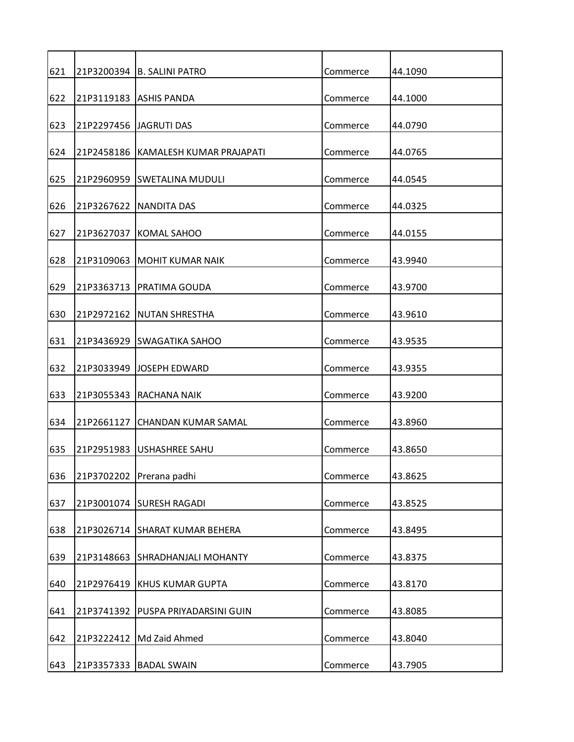| 621 | 21P3200394 | <b>B. SALINI PATRO</b>     | Commerce | 44.1090 |
|-----|------------|----------------------------|----------|---------|
| 622 | 21P3119183 | <b>ASHIS PANDA</b>         | Commerce | 44.1000 |
| 623 | 21P2297456 | <b>JAGRUTI DAS</b>         | Commerce | 44.0790 |
| 624 | 21P2458186 | KAMALESH KUMAR PRAJAPATI   | Commerce | 44.0765 |
| 625 | 21P2960959 | <b>SWETALINA MUDULI</b>    | Commerce | 44.0545 |
| 626 | 21P3267622 | INANDITA DAS               | Commerce | 44.0325 |
| 627 | 21P3627037 | <b>KOMAL SAHOO</b>         | Commerce | 44.0155 |
| 628 | 21P3109063 | <b>MOHIT KUMAR NAIK</b>    | Commerce | 43.9940 |
| 629 | 21P3363713 | PRATIMA GOUDA              | Commerce | 43.9700 |
| 630 | 21P2972162 | INUTAN SHRESTHA            | Commerce | 43.9610 |
| 631 | 21P3436929 | ISWAGATIKA SAHOO           | Commerce | 43.9535 |
| 632 | 21P3033949 | <b>JOSEPH EDWARD</b>       | Commerce | 43.9355 |
| 633 | 21P3055343 | IRACHANA NAIK              | Commerce | 43.9200 |
| 634 | 21P2661127 | <b>CHANDAN KUMAR SAMAL</b> | Commerce | 43.8960 |
| 635 | 21P2951983 | USHASHREE SAHU             | Commerce | 43.8650 |
| 636 | 21P3702202 | Prerana padhi              | Commerce | 43.8625 |
|     |            |                            |          |         |
| 637 | 21P3001074 | <b>SURESH RAGADI</b>       | Commerce | 43.8525 |
| 638 | 21P3026714 | <b>SHARAT KUMAR BEHERA</b> | Commerce | 43.8495 |
| 639 | 21P3148663 | SHRADHANJALI MOHANTY       | Commerce | 43.8375 |
| 640 | 21P2976419 | <b>KHUS KUMAR GUPTA</b>    | Commerce | 43.8170 |
| 641 | 21P3741392 | PUSPA PRIYADARSINI GUIN    | Commerce | 43.8085 |
| 642 | 21P3222412 | Md Zaid Ahmed              | Commerce | 43.8040 |
| 643 | 21P3357333 | <b>BADAL SWAIN</b>         | Commerce | 43.7905 |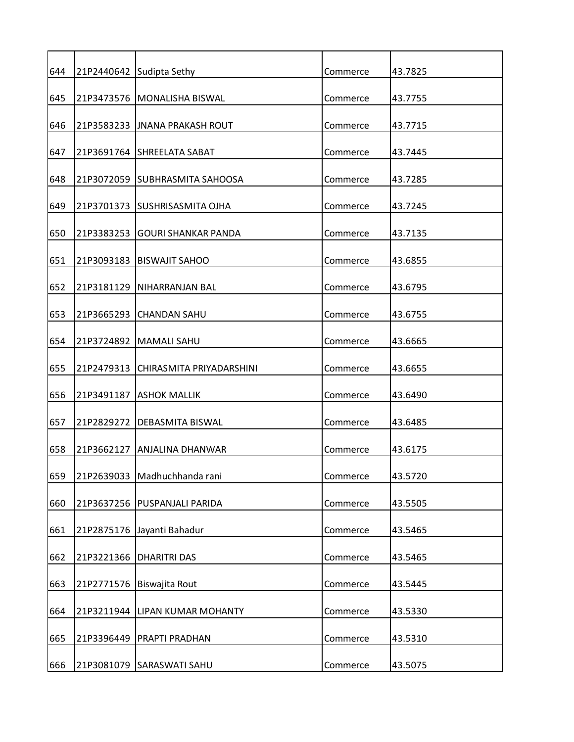| 644 | 21P2440642 | Sudipta Sethy              | Commerce | 43.7825 |
|-----|------------|----------------------------|----------|---------|
| 645 | 21P3473576 | MONALISHA BISWAL           | Commerce | 43.7755 |
| 646 | 21P3583233 | <b>JNANA PRAKASH ROUT</b>  | Commerce | 43.7715 |
| 647 | 21P3691764 | <b>SHREELATA SABAT</b>     | Commerce | 43.7445 |
| 648 | 21P3072059 | <b>SUBHRASMITA SAHOOSA</b> | Commerce | 43.7285 |
| 649 | 21P3701373 | ISUSHRISASMITA OJHA        | Commerce | 43.7245 |
| 650 | 21P3383253 | <b>GOURI SHANKAR PANDA</b> | Commerce | 43.7135 |
| 651 | 21P3093183 | <b>BISWAJIT SAHOO</b>      | Commerce | 43.6855 |
|     |            |                            |          |         |
| 652 | 21P3181129 | NIHARRANJAN BAL            | Commerce | 43.6795 |
| 653 | 21P3665293 | <b>CHANDAN SAHU</b>        | Commerce | 43.6755 |
| 654 | 21P3724892 | <b>MAMALI SAHU</b>         | Commerce | 43.6665 |
| 655 | 21P2479313 | CHIRASMITA PRIYADARSHINI   | Commerce | 43.6655 |
| 656 | 21P3491187 | <b>ASHOK MALLIK</b>        | Commerce | 43.6490 |
| 657 | 21P2829272 | <b>DEBASMITA BISWAL</b>    | Commerce | 43.6485 |
| 658 | 21P3662127 | ANJALINA DHANWAR           | Commerce | 43.6175 |
| 659 | 21P2639033 | Madhuchhanda rani          | Commerce | 43.5720 |
| 660 | 21P3637256 | PUSPANJALI PARIDA          | Commerce | 43.5505 |
| 661 | 21P2875176 | Jayanti Bahadur            | Commerce | 43.5465 |
| 662 | 21P3221366 | <b>DHARITRI DAS</b>        | Commerce | 43.5465 |
| 663 | 21P2771576 | Biswajita Rout             | Commerce | 43.5445 |
| 664 | 21P3211944 | LIPAN KUMAR MOHANTY        | Commerce | 43.5330 |
| 665 | 21P3396449 | PRAPTI PRADHAN             | Commerce | 43.5310 |
| 666 | 21P3081079 | SARASWATI SAHU             | Commerce | 43.5075 |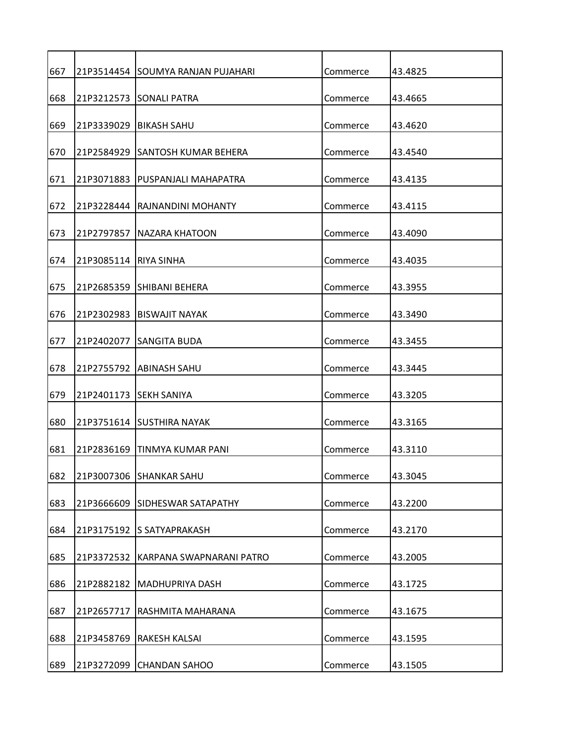| 667 | 21P3514454            | ISOUMYA RANJAN PUJAHARI  | Commerce | 43.4825 |
|-----|-----------------------|--------------------------|----------|---------|
| 668 | 21P3212573            | ISONALI PATRA            | Commerce | 43.4665 |
| 669 | 21P3339029            | IBIKASH SAHU             | Commerce | 43.4620 |
| 670 | 21P2584929            | ISANTOSH KUMAR BEHERA    | Commerce | 43.4540 |
| 671 | 21P3071883            | PUSPANJALI MAHAPATRA     | Commerce | 43.4135 |
| 672 | 21P3228444            | IRAJNANDINI MOHANTY      | Commerce | 43.4115 |
| 673 | 21P2797857            | NAZARA KHATOON           | Commerce | 43.4090 |
| 674 | 21P3085114 RIYA SINHA |                          | Commerce | 43.4035 |
| 675 | 21P2685359            | SHIBANI BEHERA           | Commerce | 43.3955 |
| 676 | 21P2302983            | <b>BISWAJIT NAYAK</b>    | Commerce | 43.3490 |
| 677 | 21P2402077            | SANGITA BUDA             | Commerce | 43.3455 |
| 678 | 21P2755792            | <b>ABINASH SAHU</b>      | Commerce | 43.3445 |
| 679 |                       | 21P2401173 SEKH SANIYA   | Commerce | 43.3205 |
| 680 | 21P3751614            | <b>SUSTHIRA NAYAK</b>    | Commerce | 43.3165 |
| 681 | 21P2836169            | TINMYA KUMAR PANI        | Commerce | 43.3110 |
| 682 | 21P3007306            | <b>SHANKAR SAHU</b>      | Commerce | 43.3045 |
| 683 | 21P3666609            | SIDHESWAR SATAPATHY      | Commerce | 43.2200 |
| 684 | 21P3175192            | <b>S SATYAPRAKASH</b>    | Commerce | 43.2170 |
| 685 | 21P3372532            | KARPANA SWAPNARANI PATRO | Commerce | 43.2005 |
| 686 | 21P2882182            | MADHUPRIYA DASH          | Commerce | 43.1725 |
| 687 | 21P2657717            | RASHMITA MAHARANA        | Commerce | 43.1675 |
| 688 | 21P3458769            | RAKESH KALSAI            | Commerce | 43.1595 |
| 689 | 21P3272099            | <b>CHANDAN SAHOO</b>     | Commerce | 43.1505 |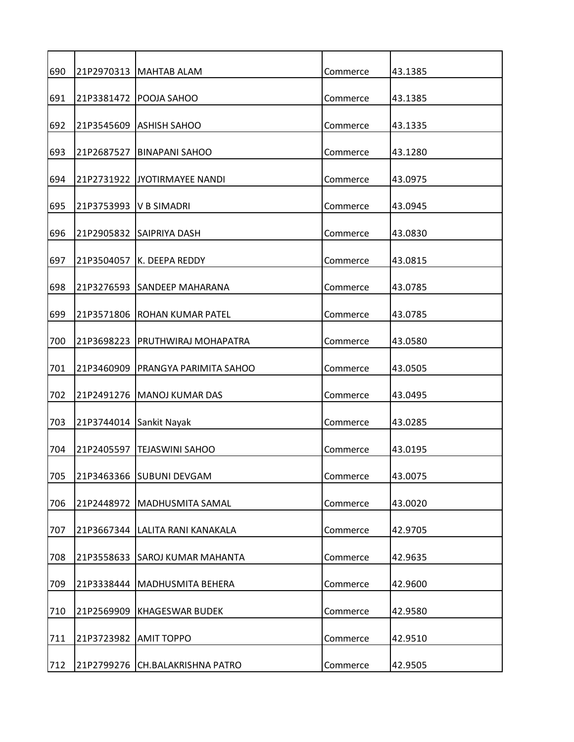| 690 | 21P2970313 | <b>MAHTAB ALAM</b>       | Commerce | 43.1385 |
|-----|------------|--------------------------|----------|---------|
| 691 | 21P3381472 | POOJA SAHOO              | Commerce | 43.1385 |
| 692 | 21P3545609 | <b>ASHISH SAHOO</b>      | Commerce | 43.1335 |
| 693 | 21P2687527 | <b>BINAPANI SAHOO</b>    | Commerce | 43.1280 |
|     |            | <b>JYOTIRMAYEE NANDI</b> |          |         |
| 694 | 21P2731922 |                          | Commerce | 43.0975 |
| 695 | 21P3753993 | V B SIMADRI              | Commerce | 43.0945 |
| 696 | 21P2905832 | SAIPRIYA DASH            | Commerce | 43.0830 |
| 697 | 21P3504057 | K. DEEPA REDDY           | Commerce | 43.0815 |
| 698 | 21P3276593 | SANDEEP MAHARANA         | Commerce | 43.0785 |
| 699 | 21P3571806 | ROHAN KUMAR PATEL        | Commerce | 43.0785 |
|     |            |                          |          |         |
| 700 | 21P3698223 | IPRUTHWIRAJ MOHAPATRA    | Commerce | 43.0580 |
| 701 | 21P3460909 | PRANGYA PARIMITA SAHOO   | Commerce | 43.0505 |
| 702 | 21P2491276 | MANOJ KUMAR DAS          | Commerce | 43.0495 |
| 703 | 21P3744014 | Sankit Nayak             | Commerce | 43.0285 |
| 704 | 21P2405597 | <b>TEJASWINI SAHOO</b>   | Commerce | 43.0195 |
| 705 | 21P3463366 | <b>SUBUNI DEVGAM</b>     | Commerce | 43.0075 |
| 706 | 21P2448972 | MADHUSMITA SAMAL         | Commerce | 43.0020 |
| 707 | 21P3667344 | LALITA RANI KANAKALA     | Commerce | 42.9705 |
| 708 | 21P3558633 | SAROJ KUMAR MAHANTA      | Commerce | 42.9635 |
| 709 | 21P3338444 | MADHUSMITA BEHERA        | Commerce | 42.9600 |
| 710 | 21P2569909 | <b>KHAGESWAR BUDEK</b>   | Commerce | 42.9580 |
|     |            |                          |          |         |
| 711 | 21P3723982 | <b>AMIT TOPPO</b>        | Commerce | 42.9510 |
| 712 | 21P2799276 | CH.BALAKRISHNA PATRO     | Commerce | 42.9505 |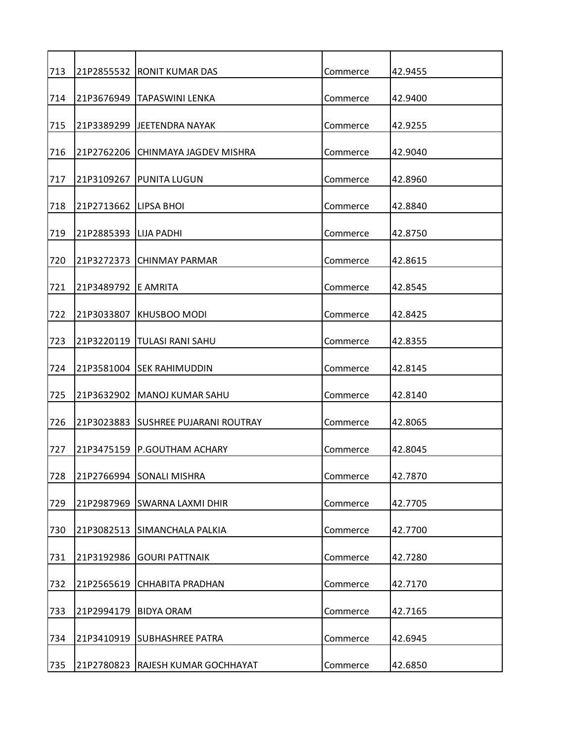| 713 | 21P2855532 | IRONIT KUMAR DAS          | Commerce | 42.9455 |
|-----|------------|---------------------------|----------|---------|
| 714 | 21P3676949 | ITAPASWINI LENKA          | Commerce | 42.9400 |
| 715 | 21P3389299 | JEETENDRA NAYAK           | Commerce | 42.9255 |
| 716 | 21P2762206 | CHINMAYA JAGDEV MISHRA    | Commerce | 42.9040 |
| 717 | 21P3109267 | IPUNITA LUGUN             | Commerce | 42.8960 |
| 718 | 21P2713662 | LIPSA BHOI                | Commerce | 42.8840 |
| 719 | 21P2885393 | <b>LIJA PADHI</b>         | Commerce | 42.8750 |
| 720 | 21P3272373 | CHINMAY PARMAR            | Commerce | 42.8615 |
| 721 | 21P3489792 | E AMRITA                  | Commerce | 42.8545 |
| 722 | 21P3033807 | KHUSBOO MODI              | Commerce | 42.8425 |
| 723 | 21P3220119 | <b>TULASI RANI SAHU</b>   | Commerce | 42.8355 |
| 724 | 21P3581004 | <b>SEK RAHIMUDDIN</b>     | Commerce | 42.8145 |
| 725 | 21P3632902 | lMANOJ KUMAR SAHU         | Commerce | 42.8140 |
| 726 | 21P3023883 | ISUSHREE PUJARANI ROUTRAY | Commerce | 42.8065 |
| 727 | 21P3475159 | IP.GOUTHAM ACHARY         | Commerce | 42.8045 |
| 728 | 21P2766994 | <b>SONALI MISHRA</b>      | Commerce | 42.7870 |
| 729 | 21P2987969 | SWARNA LAXMI DHIR         | Commerce | 42.7705 |
| 730 | 21P3082513 | SIMANCHALA PALKIA         | Commerce | 42.7700 |
| 731 | 21P3192986 | <b>GOURI PATTNAIK</b>     | Commerce | 42.7280 |
| 732 | 21P2565619 | CHHABITA PRADHAN          | Commerce | 42.7170 |
| 733 | 21P2994179 | <b>BIDYA ORAM</b>         | Commerce | 42.7165 |
| 734 | 21P3410919 | <b>SUBHASHREE PATRA</b>   | Commerce | 42.6945 |
| 735 | 21P2780823 | RAJESH KUMAR GOCHHAYAT    | Commerce | 42.6850 |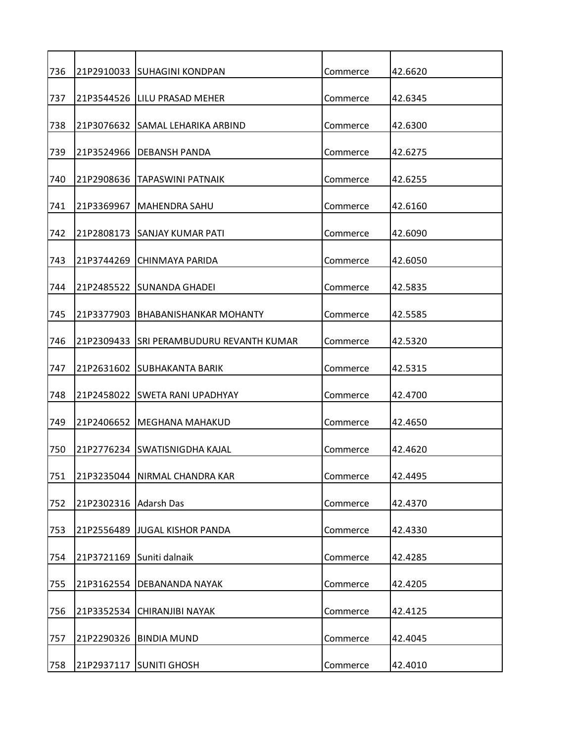| 736 | 21P2910033 | ISUHAGINI KONDPAN                 | Commerce | 42.6620 |
|-----|------------|-----------------------------------|----------|---------|
| 737 | 21P3544526 | LILU PRASAD MEHER                 | Commerce | 42.6345 |
| 738 |            | 21P3076632 ISAMAL LEHARIKA ARBIND | Commerce | 42.6300 |
| 739 | 21P3524966 | <b>DEBANSH PANDA</b>              | Commerce | 42.6275 |
|     |            |                                   |          |         |
| 740 | 21P2908636 | <b>TAPASWINI PATNAIK</b>          | Commerce | 42.6255 |
| 741 | 21P3369967 | <b>MAHENDRA SAHU</b>              | Commerce | 42.6160 |
| 742 | 21P2808173 | SANJAY KUMAR PATI                 | Commerce | 42.6090 |
| 743 | 21P3744269 | CHINMAYA PARIDA                   | Commerce | 42.6050 |
| 744 | 21P2485522 | ISUNANDA GHADEI                   | Commerce | 42.5835 |
| 745 | 21P3377903 | <b>BHABANISHANKAR MOHANTY</b>     | Commerce | 42.5585 |
|     |            |                                   |          |         |
| 746 | 21P2309433 | ISRI PERAMBUDURU REVANTH KUMAR    | Commerce | 42.5320 |
| 747 | 21P2631602 | <b>SUBHAKANTA BARIK</b>           | Commerce | 42.5315 |
| 748 |            | 21P2458022 ISWETA RANI UPADHYAY   | Commerce | 42.4700 |
| 749 | 21P2406652 | <b>MEGHANA MAHAKUD</b>            | Commerce | 42.4650 |
| 750 | 21P2776234 | ISWATISNIGDHA KAJAL               | Commerce | 42.4620 |
| 751 | 21P3235044 | NIRMAL CHANDRA KAR                | Commerce | 42.4495 |
| 752 | 21P2302316 | Adarsh Das                        | Commerce | 42.4370 |
| 753 | 21P2556489 | <b>JUGAL KISHOR PANDA</b>         | Commerce | 42.4330 |
| 754 | 21P3721169 | Suniti dalnaik                    | Commerce | 42.4285 |
| 755 | 21P3162554 | DEBANANDA NAYAK                   | Commerce | 42.4205 |
| 756 | 21P3352534 | CHIRANJIBI NAYAK                  | Commerce | 42.4125 |
| 757 | 21P2290326 | <b>BINDIA MUND</b>                | Commerce | 42.4045 |
| 758 | 21P2937117 | <b>SUNITI GHOSH</b>               | Commerce | 42.4010 |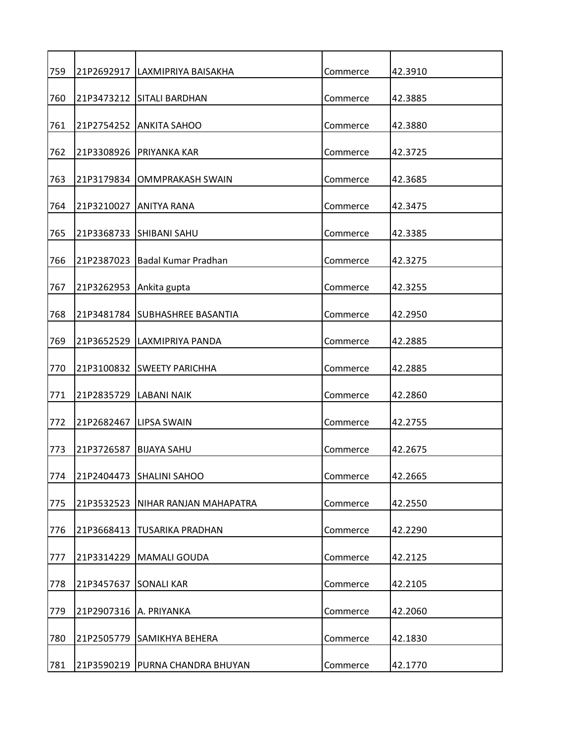| 759 | 21P2692917 | LAXMIPRIYA BAISAKHA               | Commerce | 42.3910 |
|-----|------------|-----------------------------------|----------|---------|
| 760 | 21P3473212 | <b>SITALI BARDHAN</b>             | Commerce | 42.3885 |
| 761 | 21P2754252 | <b>ANKITA SAHOO</b>               | Commerce | 42.3880 |
| 762 | 21P3308926 | PRIYANKA KAR                      | Commerce | 42.3725 |
| 763 | 21P3179834 | OMMPRAKASH SWAIN                  | Commerce | 42.3685 |
| 764 | 21P3210027 | ANITYA RANA                       | Commerce | 42.3475 |
| 765 | 21P3368733 | <b>SHIBANI SAHU</b>               | Commerce | 42.3385 |
| 766 | 21P2387023 | <b>Badal Kumar Pradhan</b>        | Commerce | 42.3275 |
| 767 | 21P3262953 | Ankita gupta                      | Commerce | 42.3255 |
| 768 | 21P3481784 | <b>SUBHASHREE BASANTIA</b>        | Commerce | 42.2950 |
| 769 | 21P3652529 | LAXMIPRIYA PANDA                  | Commerce | 42.2885 |
| 770 | 21P3100832 | <b>SWEETY PARICHHA</b>            | Commerce | 42.2885 |
| 771 | 21P2835729 | LABANI NAIK                       | Commerce | 42.2860 |
| 772 | 21P2682467 | <b>LIPSA SWAIN</b>                | Commerce | 42.2755 |
| 773 | 21P3726587 | <b>BIJAYA SAHU</b>                | Commerce | 42.2675 |
| 774 | 21P2404473 | <b>SHALINI SAHOO</b>              | Commerce | 42.2665 |
| 775 | 21P3532523 | NIHAR RANJAN MAHAPATRA            | Commerce | 42.2550 |
| 776 | 21P3668413 | <b>TUSARIKA PRADHAN</b>           |          | 42.2290 |
|     |            |                                   | Commerce |         |
| 777 | 21P3314229 | <b>MAMALI GOUDA</b>               | Commerce | 42.2125 |
| 778 | 21P3457637 | <b>SONALI KAR</b>                 | Commerce | 42.2105 |
| 779 | 21P2907316 | A. PRIYANKA                       | Commerce | 42.2060 |
| 780 | 21P2505779 | SAMIKHYA BEHERA                   | Commerce | 42.1830 |
| 781 |            | 21P3590219   PURNA CHANDRA BHUYAN | Commerce | 42.1770 |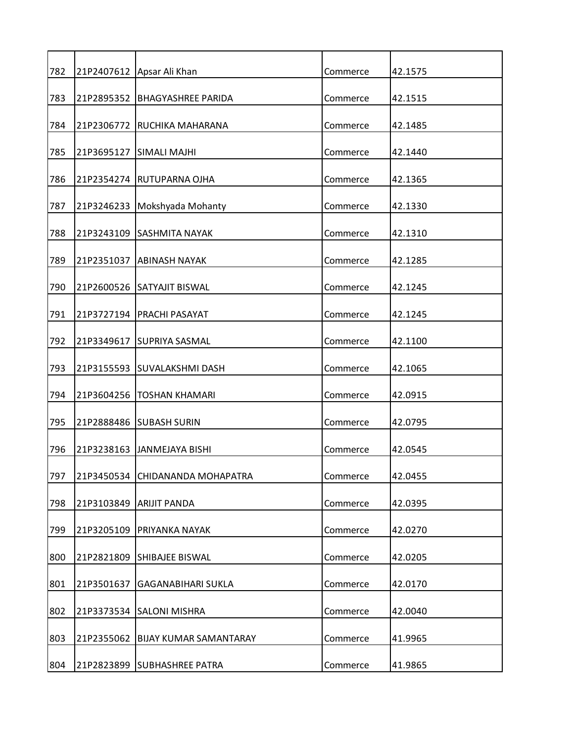| 782 | 21P2407612 | Apsar Ali Khan                | Commerce | 42.1575 |
|-----|------------|-------------------------------|----------|---------|
| 783 | 21P2895352 | <b>BHAGYASHREE PARIDA</b>     | Commerce | 42.1515 |
| 784 |            | 21P2306772 RUCHIKA MAHARANA   | Commerce | 42.1485 |
| 785 | 21P3695127 | <b>SIMALI MAJHI</b>           | Commerce | 42.1440 |
|     |            |                               |          |         |
| 786 | 21P2354274 | RUTUPARNA OJHA                | Commerce | 42.1365 |
| 787 | 21P3246233 | Mokshyada Mohanty             | Commerce | 42.1330 |
| 788 | 21P3243109 | <b>SASHMITA NAYAK</b>         | Commerce | 42.1310 |
| 789 | 21P2351037 | <b>ABINASH NAYAK</b>          | Commerce | 42.1285 |
| 790 | 21P2600526 | SATYAJIT BISWAL               | Commerce | 42.1245 |
| 791 | 21P3727194 | <b>PRACHI PASAYAT</b>         | Commerce | 42.1245 |
|     |            |                               |          |         |
| 792 | 21P3349617 | <b>SUPRIYA SASMAL</b>         | Commerce | 42.1100 |
| 793 | 21P3155593 | <b>SUVALAKSHMI DASH</b>       | Commerce | 42.1065 |
| 794 | 21P3604256 | <b>TOSHAN KHAMARI</b>         | Commerce | 42.0915 |
| 795 | 21P2888486 | <b>SUBASH SURIN</b>           | Commerce | 42.0795 |
| 796 | 21P3238163 | <b>JANMEJAYA BISHI</b>        | Commerce | 42.0545 |
| 797 | 21P3450534 | CHIDANANDA MOHAPATRA          | Commerce | 42.0455 |
| 798 | 21P3103849 | <b>ARIJIT PANDA</b>           | Commerce | 42.0395 |
| 799 | 21P3205109 | PRIYANKA NAYAK                | Commerce | 42.0270 |
| 800 | 21P2821809 | SHIBAJEE BISWAL               | Commerce | 42.0205 |
| 801 | 21P3501637 | <b>GAGANABIHARI SUKLA</b>     | Commerce | 42.0170 |
| 802 | 21P3373534 | <b>SALONI MISHRA</b>          | Commerce | 42.0040 |
| 803 | 21P2355062 | <b>BIJAY KUMAR SAMANTARAY</b> | Commerce | 41.9965 |
| 804 | 21P2823899 | <b>SUBHASHREE PATRA</b>       | Commerce | 41.9865 |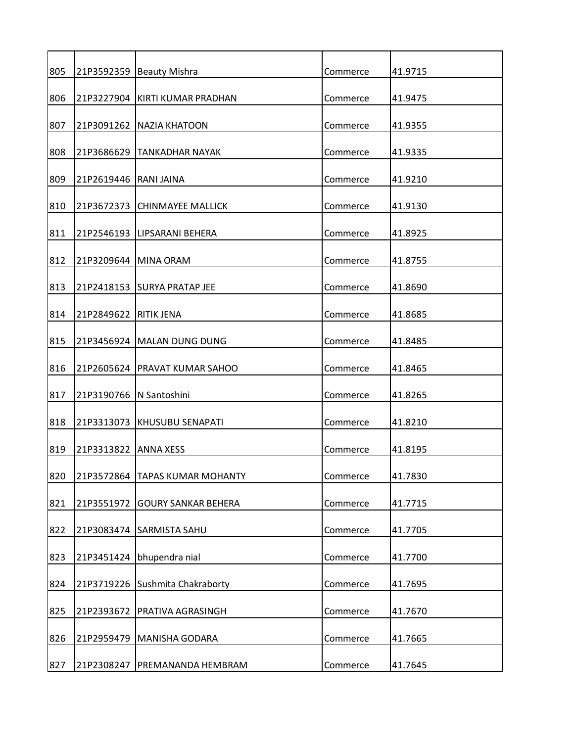| 805 | 21P3592359 | <b>Beauty Mishra</b>       | Commerce | 41.9715 |
|-----|------------|----------------------------|----------|---------|
| 806 | 21P3227904 | IKIRTI KUMAR PRADHAN       | Commerce | 41.9475 |
| 807 | 21P3091262 | <b>NAZIA KHATOON</b>       | Commerce | 41.9355 |
| 808 | 21P3686629 | TANKADHAR NAYAK            | Commerce | 41.9335 |
| 809 | 21P2619446 | <b>RANI JAINA</b>          | Commerce | 41.9210 |
| 810 | 21P3672373 | <b>CHINMAYEE MALLICK</b>   | Commerce | 41.9130 |
| 811 | 21P2546193 | LIPSARANI BEHERA           | Commerce | 41.8925 |
| 812 | 21P3209644 | <b>MINA ORAM</b>           | Commerce | 41.8755 |
| 813 | 21P2418153 | <b>SURYA PRATAP JEE</b>    | Commerce | 41.8690 |
| 814 | 21P2849622 | <b>RITIK JENA</b>          | Commerce | 41.8685 |
| 815 | 21P3456924 | <b>MALAN DUNG DUNG</b>     | Commerce | 41.8485 |
| 816 | 21P2605624 | <b>PRAVAT KUMAR SAHOO</b>  | Commerce | 41.8465 |
| 817 | 21P3190766 | N Santoshini               | Commerce | 41.8265 |
| 818 | 21P3313073 | KHUSUBU SENAPATI           | Commerce | 41.8210 |
| 819 | 21P3313822 | <b>ANNA XESS</b>           | Commerce | 41.8195 |
| 820 | 21P3572864 | <b>TAPAS KUMAR MOHANTY</b> | Commerce | 41.7830 |
| 821 | 21P3551972 | <b>GOURY SANKAR BEHERA</b> | Commerce | 41.7715 |
| 822 | 21P3083474 | <b>SARMISTA SAHU</b>       | Commerce | 41.7705 |
| 823 | 21P3451424 | bhupendra nial             | Commerce | 41.7700 |
| 824 | 21P3719226 | Sushmita Chakraborty       | Commerce | 41.7695 |
| 825 | 21P2393672 | PRATIVA AGRASINGH          | Commerce | 41.7670 |
| 826 | 21P2959479 | <b>MANISHA GODARA</b>      | Commerce | 41.7665 |
| 827 | 21P2308247 | PREMANANDA HEMBRAM         | Commerce | 41.7645 |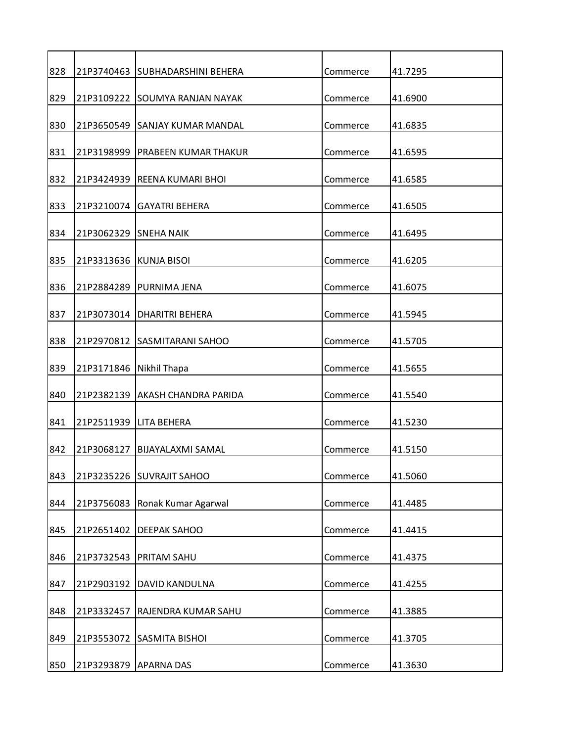| 828 | 21P3740463             | ISUBHADARSHINI BEHERA          | Commerce | 41.7295 |
|-----|------------------------|--------------------------------|----------|---------|
| 829 | 21P3109222             | SOUMYA RANJAN NAYAK            | Commerce | 41.6900 |
| 830 |                        | 21P3650549 SANJAY KUMAR MANDAL | Commerce | 41.6835 |
| 831 | 21P3198999             | PRABEEN KUMAR THAKUR           | Commerce | 41.6595 |
| 832 | 21P3424939             | REENA KUMARI BHOI              | Commerce | 41.6585 |
| 833 | 21P3210074             | <b>GAYATRI BEHERA</b>          | Commerce | 41.6505 |
| 834 | 21P3062329             |                                | Commerce | 41.6495 |
|     |                        | SNEHA NAIK                     |          |         |
| 835 | 21P3313636 KUNJA BISOI |                                | Commerce | 41.6205 |
| 836 | 21P2884289             | PURNIMA JENA                   | Commerce | 41.6075 |
| 837 | 21P3073014             | DHARITRI BEHERA                | Commerce | 41.5945 |
| 838 | 21P2970812             | SASMITARANI SAHOO              | Commerce | 41.5705 |
| 839 | 21P3171846             | Nikhil Thapa                   | Commerce | 41.5655 |
| 840 |                        |                                |          |         |
|     | 21P2382139             | AKASH CHANDRA PARIDA           | Commerce | 41.5540 |
| 841 | 21P2511939             | <b>LITA BEHERA</b>             | Commerce | 41.5230 |
| 842 | 21P3068127             | BIJAYALAXMI SAMAL              | Commerce | 41.5150 |
| 843 | 21P3235226             | <b>SUVRAJIT SAHOO</b>          | Commerce | 41.5060 |
| 844 | 21P3756083             | Ronak Kumar Agarwal            | Commerce | 41.4485 |
| 845 | 21P2651402             | DEEPAK SAHOO                   | Commerce | 41.4415 |
| 846 | 21P3732543             | PRITAM SAHU                    | Commerce | 41.4375 |
| 847 | 21P2903192             | <b>DAVID KANDULNA</b>          | Commerce | 41.4255 |
| 848 | 21P3332457             | RAJENDRA KUMAR SAHU            | Commerce | 41.3885 |
|     |                        |                                |          |         |
| 849 | 21P3553072             | SASMITA BISHOI                 | Commerce | 41.3705 |
| 850 | 21P3293879             | <b>APARNA DAS</b>              | Commerce | 41.3630 |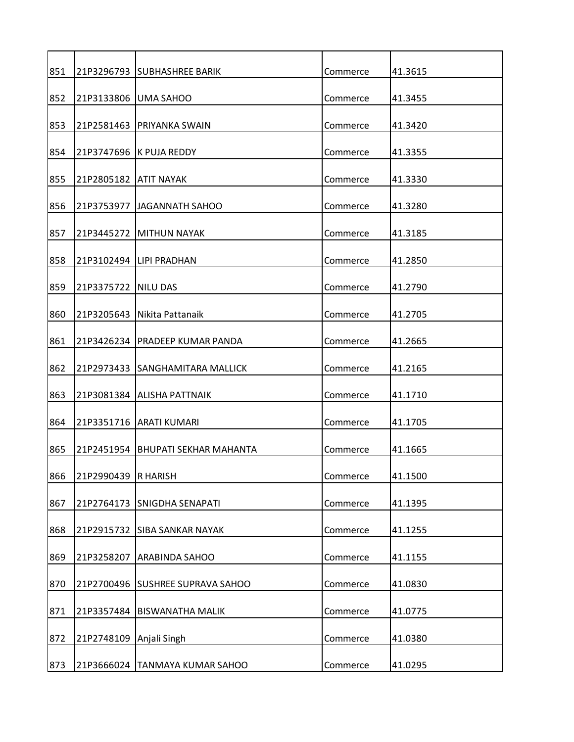| 852<br>21P3133806<br>UMA SAHOO<br>41.3455<br>Commerce<br>853<br>21P2581463<br>IPRIYANKA SWAIN<br>41.3420<br>Commerce<br>854<br>21P3747696<br>K PUJA REDDY<br>Commerce<br>41.3355<br>855<br>21P2805182<br><b>ATIT NAYAK</b><br>41.3330<br>Commerce<br>856<br>21P3753977<br><b>JAGANNATH SAHOO</b><br>41.3280<br>Commerce<br>857<br>21P3445272<br><b>MITHUN NAYAK</b><br>41.3185<br>Commerce<br>858<br>21P3102494 ILIPI PRADHAN<br>41.2850<br>Commerce<br>859<br>21P3375722<br><b>NILU DAS</b><br>41.2790<br>Commerce<br>860<br>21P3205643<br>Nikita Pattanaik<br>41.2705<br>Commerce<br>861<br>21P3426234<br>41.2665<br>IPRADEEP KUMAR PANDA<br>Commerce<br>862<br>21P2973433<br>SANGHAMITARA MALLICK<br>41.2165<br>Commerce<br>863<br>21P3081384<br>ALISHA PATTNAIK<br>41.1710<br>Commerce<br>864<br>21P3351716<br><b>ARATI KUMARI</b><br>Commerce<br>41.1705<br>865<br>21P2451954<br>BHUPATI SEKHAR MAHANTA<br>41.1665<br>Commerce<br>866<br>21P2990439<br>41.1500<br><b>R HARISH</b><br>Commerce<br>867<br>21P2764173<br>SNIGDHA SENAPATI<br>41.1395<br>Commerce<br>21P2915732<br>868<br><b>SIBA SANKAR NAYAK</b><br>41.1255<br>Commerce<br>869<br>21P3258207<br>ARABINDA SAHOO<br>41.1155<br>Commerce<br>870<br>21P2700496<br><b>SUSHREE SUPRAVA SAHOO</b><br>Commerce<br>41.0830<br>871<br>21P3357484<br><b>BISWANATHA MALIK</b><br>41.0775<br>Commerce | 851 | 21P3296793 | ISUBHASHREE BARIK | Commerce | 41.3615 |
|-------------------------------------------------------------------------------------------------------------------------------------------------------------------------------------------------------------------------------------------------------------------------------------------------------------------------------------------------------------------------------------------------------------------------------------------------------------------------------------------------------------------------------------------------------------------------------------------------------------------------------------------------------------------------------------------------------------------------------------------------------------------------------------------------------------------------------------------------------------------------------------------------------------------------------------------------------------------------------------------------------------------------------------------------------------------------------------------------------------------------------------------------------------------------------------------------------------------------------------------------------------------------------------------------------------------------------------------------------------|-----|------------|-------------------|----------|---------|
|                                                                                                                                                                                                                                                                                                                                                                                                                                                                                                                                                                                                                                                                                                                                                                                                                                                                                                                                                                                                                                                                                                                                                                                                                                                                                                                                                             |     |            |                   |          |         |
|                                                                                                                                                                                                                                                                                                                                                                                                                                                                                                                                                                                                                                                                                                                                                                                                                                                                                                                                                                                                                                                                                                                                                                                                                                                                                                                                                             |     |            |                   |          |         |
|                                                                                                                                                                                                                                                                                                                                                                                                                                                                                                                                                                                                                                                                                                                                                                                                                                                                                                                                                                                                                                                                                                                                                                                                                                                                                                                                                             |     |            |                   |          |         |
|                                                                                                                                                                                                                                                                                                                                                                                                                                                                                                                                                                                                                                                                                                                                                                                                                                                                                                                                                                                                                                                                                                                                                                                                                                                                                                                                                             |     |            |                   |          |         |
|                                                                                                                                                                                                                                                                                                                                                                                                                                                                                                                                                                                                                                                                                                                                                                                                                                                                                                                                                                                                                                                                                                                                                                                                                                                                                                                                                             |     |            |                   |          |         |
|                                                                                                                                                                                                                                                                                                                                                                                                                                                                                                                                                                                                                                                                                                                                                                                                                                                                                                                                                                                                                                                                                                                                                                                                                                                                                                                                                             |     |            |                   |          |         |
|                                                                                                                                                                                                                                                                                                                                                                                                                                                                                                                                                                                                                                                                                                                                                                                                                                                                                                                                                                                                                                                                                                                                                                                                                                                                                                                                                             |     |            |                   |          |         |
|                                                                                                                                                                                                                                                                                                                                                                                                                                                                                                                                                                                                                                                                                                                                                                                                                                                                                                                                                                                                                                                                                                                                                                                                                                                                                                                                                             |     |            |                   |          |         |
|                                                                                                                                                                                                                                                                                                                                                                                                                                                                                                                                                                                                                                                                                                                                                                                                                                                                                                                                                                                                                                                                                                                                                                                                                                                                                                                                                             |     |            |                   |          |         |
|                                                                                                                                                                                                                                                                                                                                                                                                                                                                                                                                                                                                                                                                                                                                                                                                                                                                                                                                                                                                                                                                                                                                                                                                                                                                                                                                                             |     |            |                   |          |         |
|                                                                                                                                                                                                                                                                                                                                                                                                                                                                                                                                                                                                                                                                                                                                                                                                                                                                                                                                                                                                                                                                                                                                                                                                                                                                                                                                                             |     |            |                   |          |         |
|                                                                                                                                                                                                                                                                                                                                                                                                                                                                                                                                                                                                                                                                                                                                                                                                                                                                                                                                                                                                                                                                                                                                                                                                                                                                                                                                                             |     |            |                   |          |         |
|                                                                                                                                                                                                                                                                                                                                                                                                                                                                                                                                                                                                                                                                                                                                                                                                                                                                                                                                                                                                                                                                                                                                                                                                                                                                                                                                                             |     |            |                   |          |         |
|                                                                                                                                                                                                                                                                                                                                                                                                                                                                                                                                                                                                                                                                                                                                                                                                                                                                                                                                                                                                                                                                                                                                                                                                                                                                                                                                                             |     |            |                   |          |         |
|                                                                                                                                                                                                                                                                                                                                                                                                                                                                                                                                                                                                                                                                                                                                                                                                                                                                                                                                                                                                                                                                                                                                                                                                                                                                                                                                                             |     |            |                   |          |         |
|                                                                                                                                                                                                                                                                                                                                                                                                                                                                                                                                                                                                                                                                                                                                                                                                                                                                                                                                                                                                                                                                                                                                                                                                                                                                                                                                                             |     |            |                   |          |         |
|                                                                                                                                                                                                                                                                                                                                                                                                                                                                                                                                                                                                                                                                                                                                                                                                                                                                                                                                                                                                                                                                                                                                                                                                                                                                                                                                                             |     |            |                   |          |         |
|                                                                                                                                                                                                                                                                                                                                                                                                                                                                                                                                                                                                                                                                                                                                                                                                                                                                                                                                                                                                                                                                                                                                                                                                                                                                                                                                                             |     |            |                   |          |         |
|                                                                                                                                                                                                                                                                                                                                                                                                                                                                                                                                                                                                                                                                                                                                                                                                                                                                                                                                                                                                                                                                                                                                                                                                                                                                                                                                                             |     |            |                   |          |         |
|                                                                                                                                                                                                                                                                                                                                                                                                                                                                                                                                                                                                                                                                                                                                                                                                                                                                                                                                                                                                                                                                                                                                                                                                                                                                                                                                                             |     |            |                   |          |         |
|                                                                                                                                                                                                                                                                                                                                                                                                                                                                                                                                                                                                                                                                                                                                                                                                                                                                                                                                                                                                                                                                                                                                                                                                                                                                                                                                                             |     |            |                   |          |         |
| 872<br>21P2748109<br>Anjali Singh<br>41.0380<br>Commerce<br>873<br>21P3666024<br><b>TANMAYA KUMAR SAHOO</b><br>41.0295<br>Commerce                                                                                                                                                                                                                                                                                                                                                                                                                                                                                                                                                                                                                                                                                                                                                                                                                                                                                                                                                                                                                                                                                                                                                                                                                          |     |            |                   |          |         |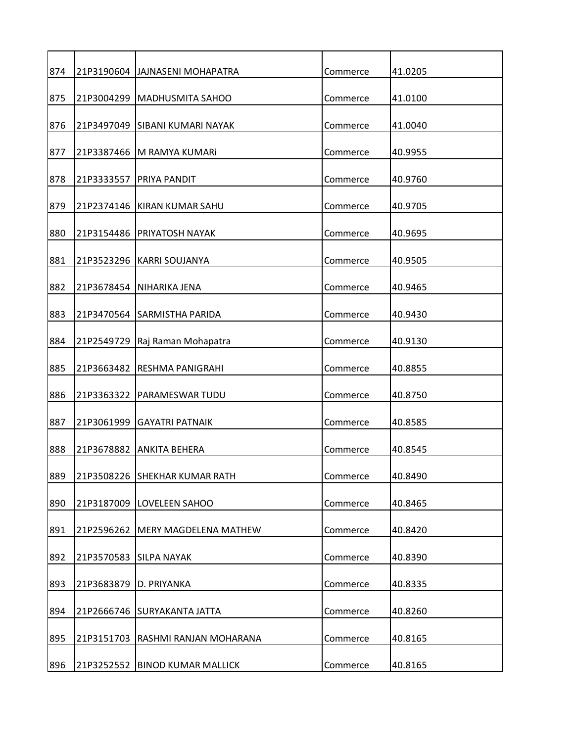| 874 | 21P3190604 | JAJNASENI MOHAPATRA            | Commerce | 41.0205 |
|-----|------------|--------------------------------|----------|---------|
| 875 | 21P3004299 | MADHUSMITA SAHOO               | Commerce | 41.0100 |
| 876 |            | 21P3497049 SIBANI KUMARI NAYAK | Commerce | 41.0040 |
| 877 | 21P3387466 | M RAMYA KUMARI                 | Commerce | 40.9955 |
| 878 | 21P3333557 | PRIYA PANDIT                   | Commerce | 40.9760 |
| 879 | 21P2374146 | KIRAN KUMAR SAHU               | Commerce | 40.9705 |
|     |            |                                |          |         |
| 880 | 21P3154486 | <b>PRIYATOSH NAYAK</b>         | Commerce | 40.9695 |
| 881 | 21P3523296 | <b>KARRI SOUJANYA</b>          | Commerce | 40.9505 |
| 882 | 21P3678454 | NIHARIKA JENA                  | Commerce | 40.9465 |
| 883 | 21P3470564 | SARMISTHA PARIDA               | Commerce | 40.9430 |
| 884 | 21P2549729 | Raj Raman Mohapatra            | Commerce | 40.9130 |
|     |            |                                |          |         |
| 885 | 21P3663482 | <b>RESHMA PANIGRAHI</b>        | Commerce | 40.8855 |
| 886 | 21P3363322 | <b>PARAMESWAR TUDU</b>         | Commerce | 40.8750 |
| 887 | 21P3061999 | <b>GAYATRI PATNAIK</b>         | Commerce | 40.8585 |
| 888 | 21P3678882 | <b>ANKITA BEHERA</b>           | Commerce | 40.8545 |
| 889 | 21P3508226 | <b>SHEKHAR KUMAR RATH</b>      | Commerce | 40.8490 |
| 890 | 21P3187009 | LOVELEEN SAHOO                 | Commerce | 40.8465 |
| 891 | 21P2596262 | <b>MERY MAGDELENA MATHEW</b>   | Commerce | 40.8420 |
| 892 | 21P3570583 | <b>SILPA NAYAK</b>             | Commerce | 40.8390 |
| 893 | 21P3683879 | D. PRIYANKA                    | Commerce | 40.8335 |
| 894 | 21P2666746 | SURYAKANTA JATTA               | Commerce | 40.8260 |
|     |            |                                |          |         |
| 895 | 21P3151703 | RASHMI RANJAN MOHARANA         | Commerce | 40.8165 |
| 896 | 21P3252552 | <b>BINOD KUMAR MALLICK</b>     | Commerce | 40.8165 |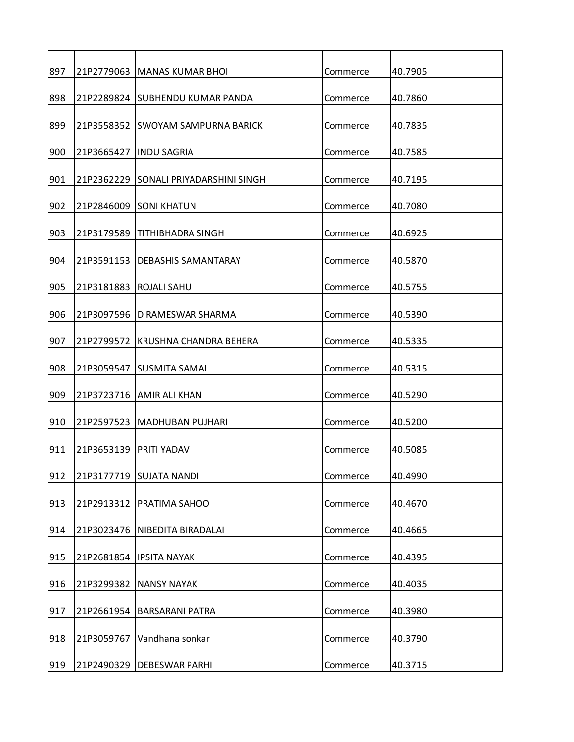| 897 | 21P2779063 | IMANAS KUMAR BHOI             | Commerce | 40.7905 |
|-----|------------|-------------------------------|----------|---------|
| 898 | 21P2289824 | ISUBHENDU KUMAR PANDA         | Commerce | 40.7860 |
| 899 | 21P3558352 | <b>SWOYAM SAMPURNA BARICK</b> | Commerce | 40.7835 |
| 900 | 21P3665427 | <b>INDU SAGRIA</b>            | Commerce | 40.7585 |
| 901 | 21P2362229 | ISONALI PRIYADARSHINI SINGH   | Commerce | 40.7195 |
| 902 | 21P2846009 | ISONI KHATUN                  | Commerce | 40.7080 |
| 903 | 21P3179589 | TITHIBHADRA SINGH             | Commerce | 40.6925 |
| 904 | 21P3591153 | DEBASHIS SAMANTARAY           | Commerce | 40.5870 |
| 905 | 21P3181883 | <b>ROJALI SAHU</b>            | Commerce | 40.5755 |
| 906 | 21P3097596 | D RAMESWAR SHARMA             | Commerce | 40.5390 |
| 907 | 21P2799572 | KRUSHNA CHANDRA BEHERA        | Commerce | 40.5335 |
| 908 | 21P3059547 | <b>SUSMITA SAMAL</b>          | Commerce | 40.5315 |
| 909 | 21P3723716 | AMIR ALI KHAN                 | Commerce | 40.5290 |
| 910 | 21P2597523 | <b>MADHUBAN PUJHARI</b>       | Commerce | 40.5200 |
| 911 | 21P3653139 | PRITI YADAV                   | Commerce | 40.5085 |
|     |            | 21P3177719 SUJATA NANDI       |          |         |
| 912 |            |                               | Commerce | 40.4990 |
| 913 | 21P2913312 | PRATIMA SAHOO                 | Commerce | 40.4670 |
| 914 | 21P3023476 | NIBEDITA BIRADALAI            | Commerce | 40.4665 |
| 915 | 21P2681854 | <b>IPSITA NAYAK</b>           | Commerce | 40.4395 |
| 916 | 21P3299382 | <b>NANSY NAYAK</b>            | Commerce | 40.4035 |
| 917 | 21P2661954 | <b>BARSARANI PATRA</b>        | Commerce | 40.3980 |
| 918 | 21P3059767 | Vandhana sonkar               | Commerce | 40.3790 |
| 919 | 21P2490329 | <b>DEBESWAR PARHI</b>         | Commerce | 40.3715 |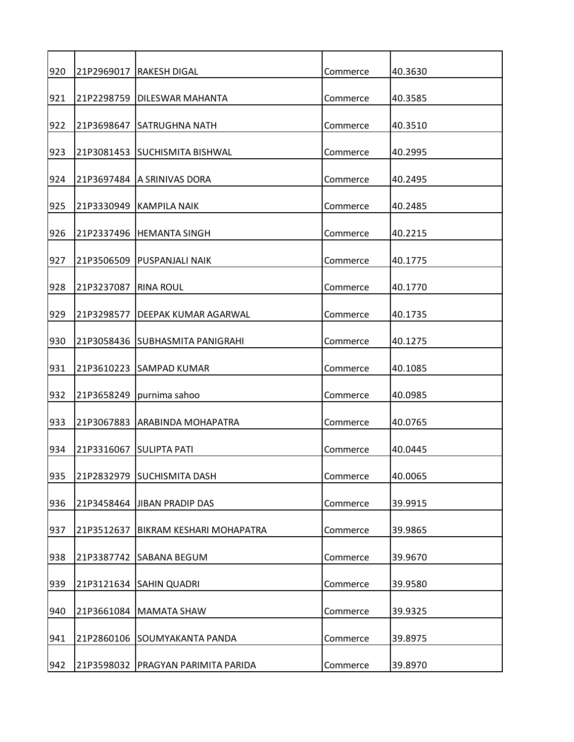| 920 | 21P2969017 | IRAKESH DIGAL              | Commerce | 40.3630 |
|-----|------------|----------------------------|----------|---------|
| 921 | 21P2298759 | DILESWAR MAHANTA           | Commerce | 40.3585 |
| 922 | 21P3698647 | ISATRUGHNA NATH            | Commerce | 40.3510 |
| 923 | 21P3081453 | SUCHISMITA BISHWAL         | Commerce | 40.2995 |
| 924 | 21P3697484 | A SRINIVAS DORA            | Commerce | 40.2495 |
| 925 | 21P3330949 | IKAMPILA NAIK              | Commerce | 40.2485 |
| 926 |            | <b>HEMANTA SINGH</b>       |          |         |
|     | 21P2337496 |                            | Commerce | 40.2215 |
| 927 |            | 21P3506509 PUSPANJALI NAIK | Commerce | 40.1775 |
| 928 | 21P3237087 | <b>RINA ROUL</b>           | Commerce | 40.1770 |
| 929 | 21P3298577 | DEEPAK KUMAR AGARWAL       | Commerce | 40.1735 |
| 930 | 21P3058436 | ISUBHASMITA PANIGRAHI      | Commerce | 40.1275 |
| 931 | 21P3610223 | <b>SAMPAD KUMAR</b>        | Commerce | 40.1085 |
| 932 | 21P3658249 | purnima sahoo              | Commerce | 40.0985 |
| 933 | 21P3067883 | ARABINDA MOHAPATRA         | Commerce | 40.0765 |
| 934 | 21P3316067 | <b>SULIPTA PATI</b>        | Commerce | 40.0445 |
| 935 | 21P2832979 | <b>SUCHISMITA DASH</b>     | Commerce | 40.0065 |
| 936 | 21P3458464 | <b>JIBAN PRADIP DAS</b>    | Commerce | 39.9915 |
| 937 | 21P3512637 | BIKRAM KESHARI MOHAPATRA   | Commerce | 39.9865 |
| 938 | 21P3387742 | SABANA BEGUM               | Commerce | 39.9670 |
| 939 | 21P3121634 | <b>SAHIN QUADRI</b>        | Commerce | 39.9580 |
| 940 | 21P3661084 | <b>MAMATA SHAW</b>         | Commerce | 39.9325 |
| 941 | 21P2860106 | SOUMYAKANTA PANDA          | Commerce | 39.8975 |
| 942 | 21P3598032 | PRAGYAN PARIMITA PARIDA    | Commerce | 39.8970 |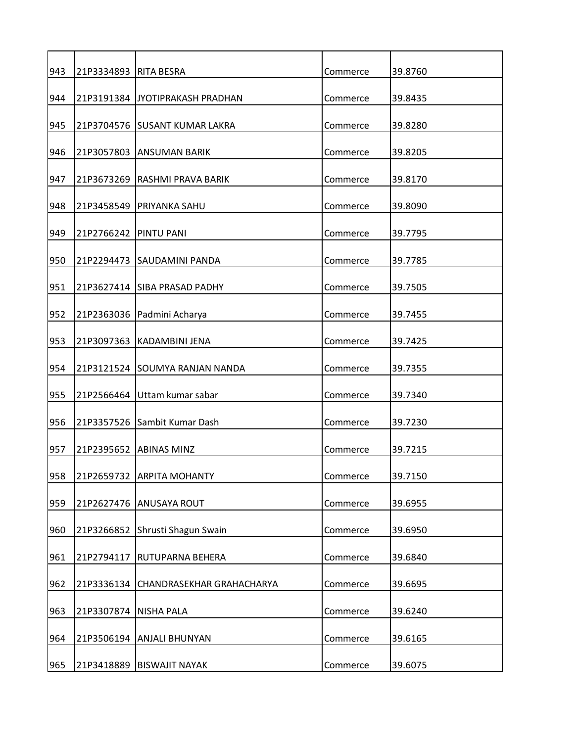| 943 | 21P3334893 | <b>RITA BESRA</b>             | Commerce | 39.8760 |
|-----|------------|-------------------------------|----------|---------|
| 944 | 21P3191384 | <b>JYOTIPRAKASH PRADHAN</b>   | Commerce | 39.8435 |
| 945 |            | 21P3704576 SUSANT KUMAR LAKRA | Commerce | 39.8280 |
| 946 | 21P3057803 | <b>ANSUMAN BARIK</b>          | Commerce | 39.8205 |
|     |            |                               |          |         |
| 947 | 21P3673269 | RASHMI PRAVA BARIK            | Commerce | 39.8170 |
| 948 | 21P3458549 | PRIYANKA SAHU                 | Commerce | 39.8090 |
| 949 | 21P2766242 | <b>PINTU PANI</b>             | Commerce | 39.7795 |
| 950 |            | 21P2294473 SAUDAMINI PANDA    | Commerce | 39.7785 |
| 951 | 21P3627414 | SIBA PRASAD PADHY             | Commerce | 39.7505 |
| 952 | 21P2363036 | Padmini Acharya               | Commerce | 39.7455 |
|     |            |                               |          |         |
| 953 | 21P3097363 | KADAMBINI JENA                | Commerce | 39.7425 |
| 954 | 21P3121524 | SOUMYA RANJAN NANDA           | Commerce | 39.7355 |
| 955 | 21P2566464 | Uttam kumar sabar             | Commerce | 39.7340 |
| 956 | 21P3357526 | Sambit Kumar Dash             | Commerce | 39.7230 |
| 957 | 21P2395652 | <b>ABINAS MINZ</b>            | Commerce | 39.7215 |
| 958 | 21P2659732 | <b>ARPITA MOHANTY</b>         | Commerce | 39.7150 |
| 959 | 21P2627476 | ANUSAYA ROUT                  | Commerce | 39.6955 |
| 960 | 21P3266852 | Shrusti Shagun Swain          | Commerce | 39.6950 |
| 961 | 21P2794117 | RUTUPARNA BEHERA              | Commerce | 39.6840 |
| 962 | 21P3336134 | CHANDRASEKHAR GRAHACHARYA     | Commerce | 39.6695 |
| 963 | 21P3307874 | <b>NISHA PALA</b>             | Commerce | 39.6240 |
| 964 | 21P3506194 | ANJALI BHUNYAN                | Commerce | 39.6165 |
| 965 | 21P3418889 | <b>BISWAJIT NAYAK</b>         | Commerce | 39.6075 |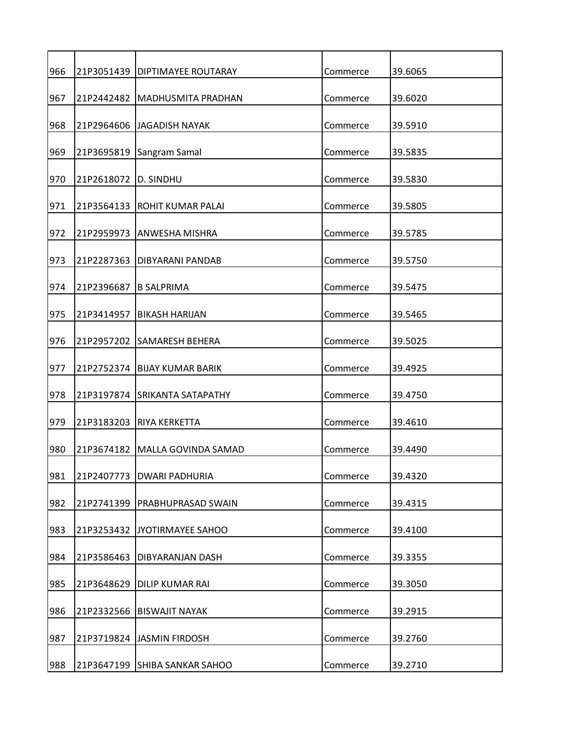| 966 | 21P3051439 | <b>DIPTIMAYEE ROUTARAY</b>    | Commerce | 39.6065 |
|-----|------------|-------------------------------|----------|---------|
| 967 | 21P2442482 | MADHUSMITA PRADHAN            | Commerce | 39.6020 |
| 968 | 21P2964606 | JAGADISH NAYAK                | Commerce | 39.5910 |
| 969 | 21P3695819 | Sangram Samal                 | Commerce | 39.5835 |
| 970 | 21P2618072 | D. SINDHU                     | Commerce | 39.5830 |
| 971 | 21P3564133 | ROHIT KUMAR PALAI             | Commerce | 39.5805 |
| 972 | 21P2959973 | ANWESHA MISHRA                | Commerce | 39.5785 |
|     |            |                               |          |         |
| 973 | 21P2287363 | <b>DIBYARANI PANDAB</b>       | Commerce | 39.5750 |
| 974 | 21P2396687 | <b>B SALPRIMA</b>             | Commerce | 39.5475 |
| 975 | 21P3414957 | <b>BIKASH HARIJAN</b>         | Commerce | 39.5465 |
| 976 | 21P2957202 | SAMARESH BEHERA               | Commerce | 39.5025 |
| 977 | 21P2752374 | <b>BIJAY KUMAR BARIK</b>      | Commerce | 39.4925 |
| 978 | 21P3197874 | ISRIKANTA SATAPATHY           | Commerce | 39.4750 |
| 979 | 21P3183203 | <b>RIYA KERKETTA</b>          | Commerce | 39.4610 |
| 980 | 21P3674182 | MALLA GOVINDA SAMAD           | Commerce | 39.4490 |
| 981 | 21P2407773 | <b>DWARI PADHURIA</b>         | Commerce | 39.4320 |
| 982 | 21P2741399 | <b>PRABHUPRASAD SWAIN</b>     | Commerce | 39.4315 |
| 983 | 21P3253432 | JYOTIRMAYEE SAHOO             | Commerce | 39.4100 |
| 984 | 21P3586463 | DIBYARANJAN DASH              | Commerce | 39.3355 |
| 985 | 21P3648629 | <b>DILIP KUMAR RAI</b>        | Commerce | 39.3050 |
| 986 | 21P2332566 | <b>BISWAJIT NAYAK</b>         | Commerce | 39.2915 |
| 987 | 21P3719824 | <b>JASMIN FIRDOSH</b>         | Commerce | 39.2760 |
| 988 |            | 21P3647199 SHIBA SANKAR SAHOO | Commerce | 39.2710 |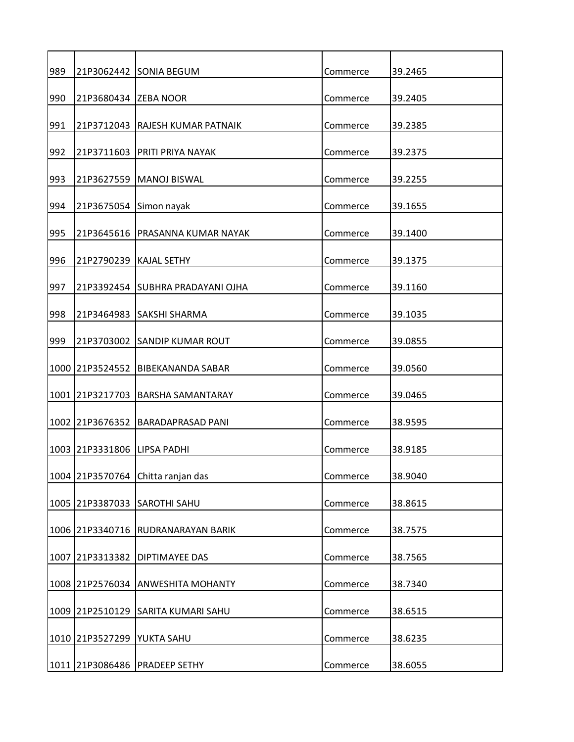| 989 | 21P3062442             | <b>SONIA BEGUM</b>              | Commerce | 39.2465 |
|-----|------------------------|---------------------------------|----------|---------|
| 990 | 21P3680434             | <b>ZEBA NOOR</b>                | Commerce | 39.2405 |
| 991 |                        | 21P3712043 RAJESH KUMAR PATNAIK | Commerce | 39.2385 |
| 992 | 21P3711603             | PRITI PRIYA NAYAK               | Commerce | 39.2375 |
| 993 | 21P3627559             | <b>MANOJ BISWAL</b>             | Commerce | 39.2255 |
| 994 | 21P3675054             | Simon nayak                     | Commerce | 39.1655 |
| 995 | 21P3645616             | PRASANNA KUMAR NAYAK            | Commerce | 39.1400 |
| 996 | 21P2790239 KAJAL SETHY |                                 | Commerce | 39.1375 |
| 997 | 21P3392454             | SUBHRA PRADAYANI OJHA           | Commerce | 39.1160 |
| 998 | 21P3464983             | SAKSHI SHARMA                   | Commerce | 39.1035 |
| 999 | 21P3703002             | <b>SANDIP KUMAR ROUT</b>        | Commerce | 39.0855 |
|     | 1000 21P3524552        | <b>BIBEKANANDA SABAR</b>        | Commerce | 39.0560 |
|     | 1001 21P3217703        | IBARSHA SAMANTARAY              | Commerce | 39.0465 |
|     | 1002 21P3676352        | <b>BARADAPRASAD PANI</b>        | Commerce | 38.9595 |
|     | 1003 21P3331806        | LIPSA PADHI                     | Commerce | 38.9185 |
|     | 1004 21P3570764        | Chitta ranjan das               | Commerce | 38.9040 |
|     | 1005 21P3387033        | SAROTHI SAHU                    | Commerce | 38.8615 |
|     | 1006 21P3340716        | RUDRANARAYAN BARIK              | Commerce | 38.7575 |
|     | 1007 21P3313382        | <b>DIPTIMAYEE DAS</b>           | Commerce | 38.7565 |
|     | 1008 21P2576034        | <b>ANWESHITA MOHANTY</b>        | Commerce | 38.7340 |
|     | 1009 21P2510129        | SARITA KUMARI SAHU              | Commerce | 38.6515 |
|     | 1010 21P3527299        | YUKTA SAHU                      | Commerce | 38.6235 |
|     |                        | 1011 21P3086486 PRADEEP SETHY   | Commerce | 38.6055 |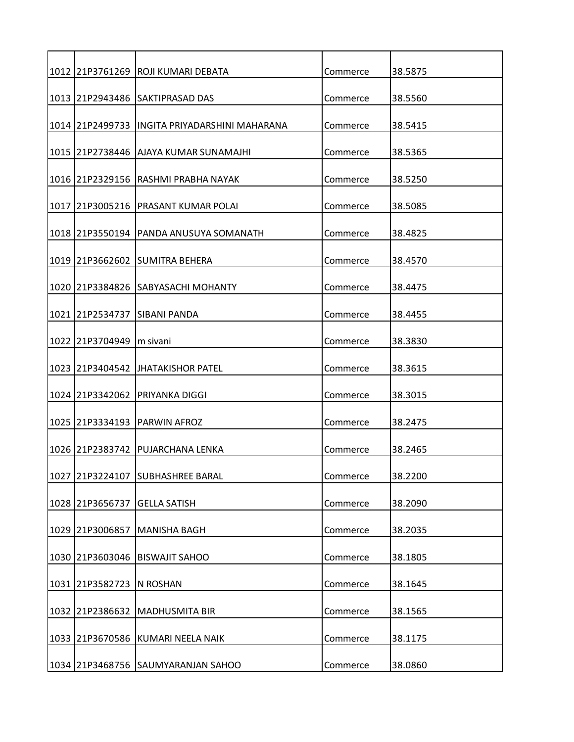| 1012 121P3761269 | ROJI KUMARI DEBATA                 | Commerce | 38.5875 |
|------------------|------------------------------------|----------|---------|
| 1013 21P2943486  | <b>SAKTIPRASAD DAS</b>             | Commerce | 38.5560 |
| 1014 121P2499733 | IINGITA PRIYADARSHINI MAHARANA     | Commerce | 38.5415 |
| 1015 121P2738446 | AJAYA KUMAR SUNAMAJHI              | Commerce | 38.5365 |
|                  | RASHMI PRABHA NAYAK                | Commerce |         |
| 1016 21P2329156  |                                    |          | 38.5250 |
| 1017 21P3005216  | <b>PRASANT KUMAR POLAI</b>         | Commerce | 38.5085 |
| 1018 21P3550194  | PANDA ANUSUYA SOMANATH             | Commerce | 38.4825 |
|                  | 1019 21P3662602 SUMITRA BEHERA     | Commerce | 38.4570 |
| 1020 21P3384826  | SABYASACHI MOHANTY                 | Commerce | 38.4475 |
| 1021 21P2534737  | ISIBANI PANDA                      | Commerce | 38.4455 |
| 1022 21P3704949  | m sivani                           | Commerce | 38.3830 |
|                  |                                    |          |         |
| 1023 21P3404542  | <b>JHATAKISHOR PATEL</b>           | Commerce | 38.3615 |
| 1024 21P3342062  | <b>PRIYANKA DIGGI</b>              | Commerce | 38.3015 |
| 1025 21P3334193  | <b>PARWIN AFROZ</b>                | Commerce | 38.2475 |
| 1026 21P2383742  | IPUJARCHANA LENKA                  | Commerce | 38.2465 |
| 1027 21P3224107  | <b>SUBHASHREE BARAL</b>            | Commerce | 38.2200 |
| 1028 21P3656737  | <b>GELLA SATISH</b>                | Commerce | 38.2090 |
| 1029 21P3006857  | <b>MANISHA BAGH</b>                | Commerce | 38.2035 |
| 1030 21P3603046  | <b>BISWAJIT SAHOO</b>              | Commerce | 38.1805 |
| 1031 21P3582723  | N ROSHAN                           | Commerce | 38.1645 |
| 1032 21P2386632  | <b>MADHUSMITA BIR</b>              | Commerce | 38.1565 |
| 1033 21P3670586  | KUMARI NEELA NAIK                  | Commerce | 38.1175 |
|                  | 1034 21P3468756 SAUMYARANJAN SAHOO | Commerce | 38.0860 |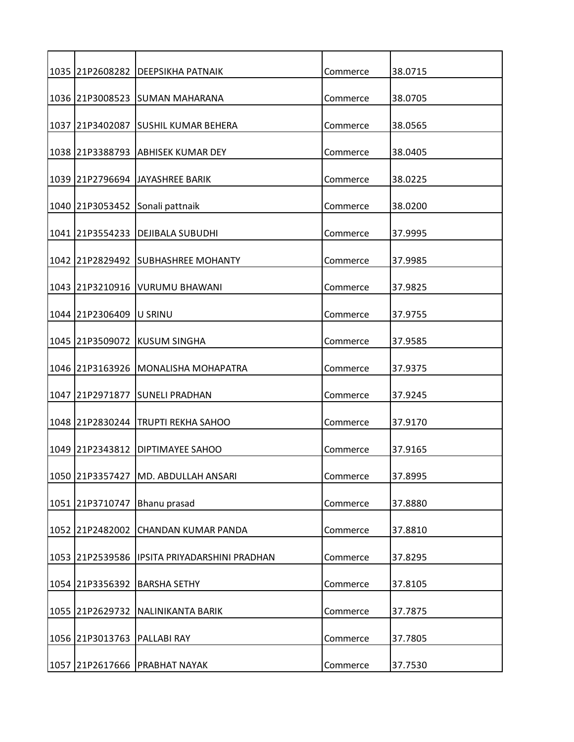| 1035 | 21P2608282      | DEEPSIKHA PATNAIK                   | Commerce | 38.0715 |
|------|-----------------|-------------------------------------|----------|---------|
|      | 1036 21P3008523 | <b>SUMAN MAHARANA</b>               | Commerce | 38.0705 |
|      |                 | 1037 21P3402087 SUSHIL KUMAR BEHERA | Commerce | 38.0565 |
|      |                 |                                     |          |         |
|      | 1038 21P3388793 | ABHISEK KUMAR DEY                   | Commerce | 38.0405 |
|      | 1039 21P2796694 | <b>JAYASHREE BARIK</b>              | Commerce | 38.0225 |
|      | 1040 21P3053452 | Sonali pattnaik                     | Commerce | 38.0200 |
|      | 1041 21P3554233 | <b>DEJIBALA SUBUDHI</b>             | Commerce | 37.9995 |
|      |                 | 1042 21P2829492 SUBHASHREE MOHANTY  | Commerce | 37.9985 |
|      | 1043 21P3210916 | <b>VURUMU BHAWANI</b>               | Commerce | 37.9825 |
|      | 1044 21P2306409 | U SRINU                             | Commerce | 37.9755 |
|      |                 |                                     |          |         |
|      | 1045 21P3509072 | <b>KUSUM SINGHA</b>                 | Commerce | 37.9585 |
|      | 1046 21P3163926 | <b>MONALISHA MOHAPATRA</b>          | Commerce | 37.9375 |
|      | 1047 21P2971877 | ISUNELI PRADHAN                     | Commerce | 37.9245 |
|      | 1048 21P2830244 | <b>TRUPTI REKHA SAHOO</b>           | Commerce | 37.9170 |
|      | 1049 21P2343812 | <b>DIPTIMAYEE SAHOO</b>             | Commerce | 37.9165 |
|      | 1050 21P3357427 | MD. ABDULLAH ANSARI                 | Commerce | 37.8995 |
|      | 1051 21P3710747 | Bhanu prasad                        | Commerce | 37.8880 |
|      | 1052 21P2482002 | <b>CHANDAN KUMAR PANDA</b>          | Commerce | 37.8810 |
|      | 1053 21P2539586 | IPSITA PRIYADARSHINI PRADHAN        | Commerce | 37.8295 |
|      | 1054 21P3356392 | <b>BARSHA SETHY</b>                 | Commerce | 37.8105 |
|      | 1055 21P2629732 | NALINIKANTA BARIK                   | Commerce | 37.7875 |
|      | 1056 21P3013763 | PALLABI RAY                         | Commerce | 37.7805 |
|      |                 | 1057 21P2617666 PRABHAT NAYAK       | Commerce | 37.7530 |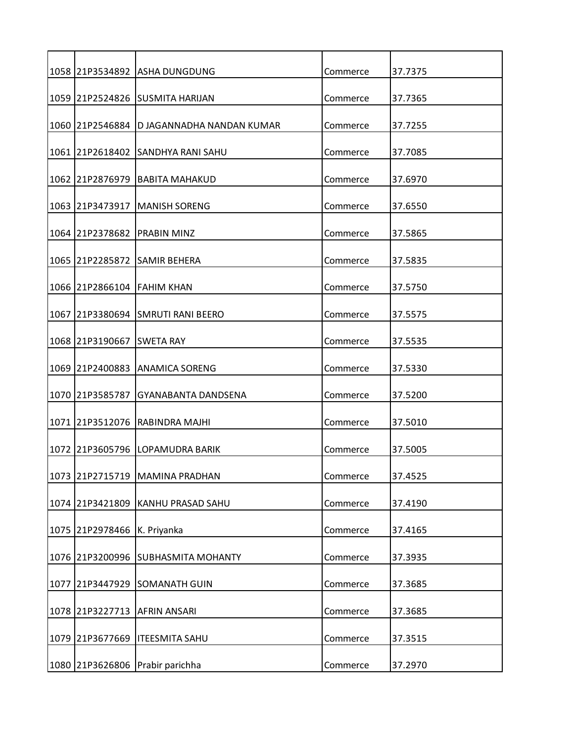| 1058 | 21P3534892       | ASHA DUNGDUNG                   | Commerce | 37.7375 |
|------|------------------|---------------------------------|----------|---------|
|      | 1059 21P2524826  | <b>SUSMITA HARIJAN</b>          | Commerce | 37.7365 |
|      | 1060  21P2546884 | D JAGANNADHA NANDAN KUMAR       | Commerce | 37.7255 |
|      | 1061 21P2618402  | SANDHYA RANI SAHU               | Commerce | 37.7085 |
|      |                  |                                 |          |         |
|      | 1062 21P2876979  | <b>BABITA MAHAKUD</b>           | Commerce | 37.6970 |
|      | 1063 I21P3473917 | IMANISH SORENG                  | Commerce | 37.6550 |
|      | 1064 21P2378682  | <b>PRABIN MINZ</b>              | Commerce | 37.5865 |
|      |                  | 1065 121P2285872 ISAMIR BEHERA  | Commerce | 37.5835 |
|      | 1066 21P2866104  | <b>FAHIM KHAN</b>               | Commerce | 37.5750 |
|      | 1067 I21P3380694 | ISMRUTI RANI BEERO              | Commerce | 37.5575 |
|      |                  |                                 |          |         |
|      | 1068 21P3190667  | <b>SWETA RAY</b>                | Commerce | 37.5535 |
|      | 1069 21P2400883  | <b>ANAMICA SORENG</b>           | Commerce | 37.5330 |
|      | 1070 21P3585787  | GYANABANTA DANDSENA             | Commerce | 37.5200 |
|      | 1071 21P3512076  | RABINDRA MAJHI                  | Commerce | 37.5010 |
|      | 1072 21P3605796  | LOPAMUDRA BARIK                 | Commerce | 37.5005 |
|      | 1073 21P2715719  | <b>MAMINA PRADHAN</b>           | Commerce | 37.4525 |
|      | 1074 21P3421809  | KANHU PRASAD SAHU               | Commerce | 37.4190 |
|      | 1075 21P2978466  | K. Priyanka                     | Commerce | 37.4165 |
|      | 1076 21P3200996  | <b>SUBHASMITA MOHANTY</b>       | Commerce | 37.3935 |
| 1077 | 21P3447929       | <b>SOMANATH GUIN</b>            | Commerce | 37.3685 |
|      | 1078 21P3227713  | <b>AFRIN ANSARI</b>             | Commerce | 37.3685 |
|      | 1079 21P3677669  | <b>ITEESMITA SAHU</b>           | Commerce | 37.3515 |
|      |                  | 1080 21P3626806 Prabir parichha | Commerce | 37.2970 |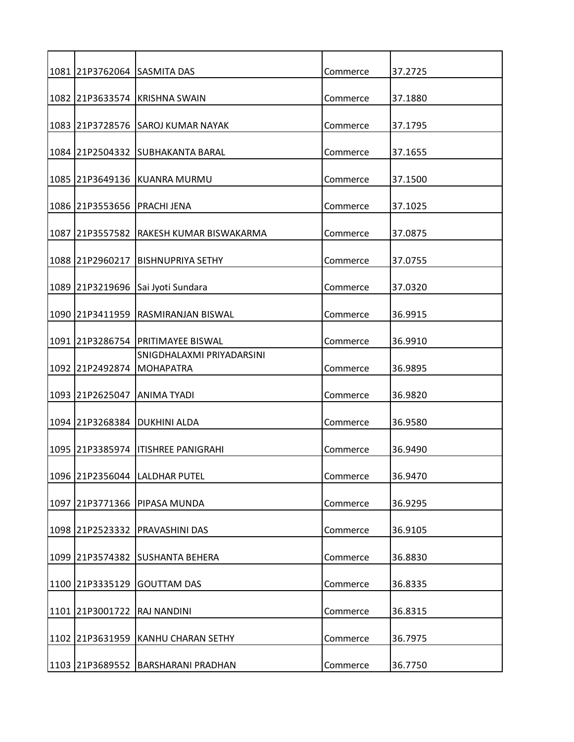|      | 1081 21P3762064 | <b>SASMITA DAS</b>                 | Commerce | 37.2725 |
|------|-----------------|------------------------------------|----------|---------|
| 1082 | 21P3633574      | <b>KRISHNA SWAIN</b>               | Commerce | 37.1880 |
|      |                 | 1083 21P3728576 SAROJ KUMAR NAYAK  | Commerce | 37.1795 |
|      |                 |                                    |          |         |
|      |                 | 1084 21P2504332 SUBHAKANTA BARAL   | Commerce | 37.1655 |
|      | 1085 21P3649136 | KUANRA MURMU                       | Commerce | 37.1500 |
|      | 1086 21P3553656 | <b>PRACHI JENA</b>                 | Commerce | 37.1025 |
|      | 1087 21P3557582 | RAKESH KUMAR BISWAKARMA            | Commerce | 37.0875 |
|      | 1088 21P2960217 | <b>BISHNUPRIYA SETHY</b>           | Commerce | 37.0755 |
|      | 1089 21P3219696 | Sai Jyoti Sundara                  | Commerce | 37.0320 |
|      |                 |                                    |          |         |
|      | 1090 21P3411959 | RASMIRANJAN BISWAL                 | Commerce | 36.9915 |
|      | 1091 21P3286754 | <b>PRITIMAYEE BISWAL</b>           | Commerce | 36.9910 |
|      |                 | SNIGDHALAXMI PRIYADARSINI          |          |         |
|      | 1092 21P2492874 | <b>MOHAPATRA</b>                   | Commerce | 36.9895 |
|      | 1093 21P2625047 | <b>ANIMA TYADI</b>                 | Commerce | 36.9820 |
|      | 1094 21P3268384 | <b>DUKHINI ALDA</b>                | Commerce | 36.9580 |
|      |                 | 1095 21P3385974 ITISHREE PANIGRAHI | Commerce | 36.9490 |
|      | 1096 21P2356044 | <b>LALDHAR PUTEL</b>               | Commerce | 36.9470 |
|      | 1097 21P3771366 | PIPASA MUNDA                       | Commerce | 36.9295 |
|      | 1098 21P2523332 | PRAVASHINI DAS                     | Commerce | 36.9105 |
|      | 1099 21P3574382 | <b>SUSHANTA BEHERA</b>             | Commerce | 36.8830 |
|      | 1100 21P3335129 | <b>GOUTTAM DAS</b>                 | Commerce | 36.8335 |
|      | 1101 21P3001722 | <b>RAJ NANDINI</b>                 | Commerce | 36.8315 |
|      |                 |                                    |          |         |
|      | 1102 21P3631959 | KANHU CHARAN SETHY                 | Commerce | 36.7975 |
|      | 1103 21P3689552 | <b>BARSHARANI PRADHAN</b>          | Commerce | 36.7750 |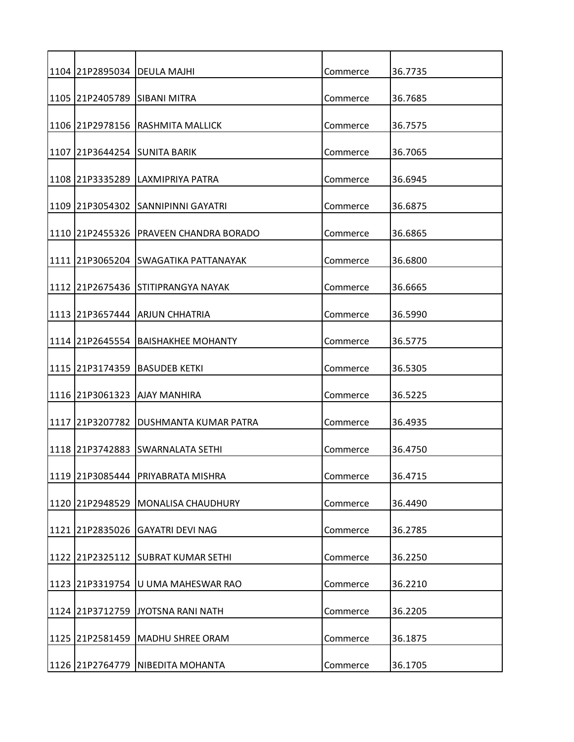| 1104 121P2895034  | <b>DEULA MAJHI</b>                     | Commerce | 36.7735 |
|-------------------|----------------------------------------|----------|---------|
| 1105 21P2405789   | <b>SIBANI MITRA</b>                    | Commerce | 36.7685 |
| 1106  21P2978156  | IRASHMITA MALLICK                      | Commerce | 36.7575 |
| 1107 21P3644254   | ISUNITA BARIK                          | Commerce | 36.7065 |
| 1108 121P3335289  | LAXMIPRIYA PATRA                       | Commerce | 36.6945 |
| 1109 21P3054302   | ISANNIPINNI GAYATRI                    |          | 36.6875 |
|                   |                                        | Commerce |         |
| 1110 21P2455326   | PRAVEEN CHANDRA BORADO                 | Commerce | 36.6865 |
| 1111 21P3065204   | SWAGATIKA PATTANAYAK                   | Commerce | 36.6800 |
| 1112 21P2675436   | İSTITIPRANGYA NAYAK                    | Commerce | 36.6665 |
| l1113 l21P3657444 | <b>ARJUN CHHATRIA</b>                  | Commerce | 36.5990 |
| 1114 21P2645554   | <b>BAISHAKHEE MOHANTY</b>              | Commerce | 36.5775 |
|                   |                                        |          |         |
| 1115 21P3174359   | <b>BASUDEB KETKI</b>                   | Commerce | 36.5305 |
| 1116 21P3061323   | <b>AJAY MANHIRA</b>                    | Commerce | 36.5225 |
| 1117 21P3207782   | DUSHMANTA KUMAR PATRA                  | Commerce | 36.4935 |
| 1118 21P3742883   | SWARNALATA SETHI                       | Commerce | 36.4750 |
| 1119 21P3085444   | PRIYABRATA MISHRA                      | Commerce | 36.4715 |
| 1120 21P2948529   | MONALISA CHAUDHURY                     | Commerce | 36.4490 |
| 1121 21P2835026   | <b>GAYATRI DEVI NAG</b>                | Commerce | 36.2785 |
|                   | 1122   21P2325112   SUBRAT KUMAR SETHI | Commerce | 36.2250 |
| 1123 21P3319754   | U UMA MAHESWAR RAO                     | Commerce | 36.2210 |
| 1124 21P3712759   | <b>JYOTSNA RANI NATH</b>               | Commerce | 36.2205 |
| 1125 21P2581459   | MADHU SHREE ORAM                       | Commerce | 36.1875 |
|                   | 1126 21P2764779 NIBEDITA MOHANTA       | Commerce | 36.1705 |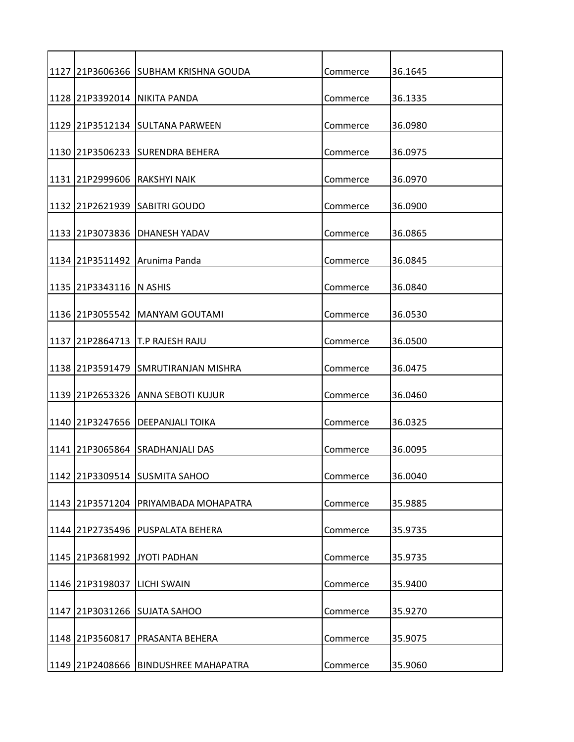| 1127 | 21P3606366       | SUBHAM KRISHNA GOUDA                    | Commerce | 36.1645 |
|------|------------------|-----------------------------------------|----------|---------|
|      | 1128 21P3392014  | INIKITA PANDA                           | Commerce | 36.1335 |
|      |                  | 1129   21   23   24   30   TANA PARWEEN | Commerce | 36.0980 |
|      | 1130 21P3506233  | ISURENDRA BEHERA                        | Commerce | 36.0975 |
|      |                  |                                         |          |         |
|      | 1131 21P2999606  | <b>RAKSHYI NAIK</b>                     | Commerce | 36.0970 |
|      | 1132 21P2621939  | <b>SABITRI GOUDO</b>                    | Commerce | 36.0900 |
|      | 1133 21P3073836  | <b>DHANESH YADAV</b>                    | Commerce | 36.0865 |
|      | 1134  21P3511492 | Arunima Panda                           | Commerce | 36.0845 |
|      | 1135 21P3343116  | N ASHIS                                 | Commerce | 36.0840 |
|      | 1136 21P3055542  | <b>MANYAM GOUTAMI</b>                   | Commerce | 36.0530 |
|      |                  |                                         |          |         |
| 1137 | 21P2864713       | T.P RAJESH RAJU                         | Commerce | 36.0500 |
|      | 1138 21P3591479  | SMRUTIRANJAN MISHRA                     | Commerce | 36.0475 |
|      | 1139  21P2653326 | ANNA SEBOTI KUJUR                       | Commerce | 36.0460 |
|      | 1140 21P3247656  | <b>DEEPANJALI TOIKA</b>                 | Commerce | 36.0325 |
|      | 1141 21P3065864  | ISRADHANJALI DAS                        | Commerce | 36.0095 |
|      | 1142 21P3309514  | <b>SUSMITA SAHOO</b>                    | Commerce | 36.0040 |
|      | 1143 21P3571204  | PRIYAMBADA MOHAPATRA                    | Commerce | 35.9885 |
|      | 1144 21P2735496  | <b>PUSPALATA BEHERA</b>                 | Commerce | 35.9735 |
|      | 1145 21P3681992  | <b>JYOTI PADHAN</b>                     | Commerce | 35.9735 |
|      | 1146 21P3198037  | <b>LICHI SWAIN</b>                      | Commerce | 35.9400 |
| 1147 | 21P3031266       | <b>SUJATA SAHOO</b>                     | Commerce | 35.9270 |
|      | 1148 21P3560817  | PRASANTA BEHERA                         | Commerce | 35.9075 |
|      | 1149 21P2408666  | <b>BINDUSHREE MAHAPATRA</b>             | Commerce | 35.9060 |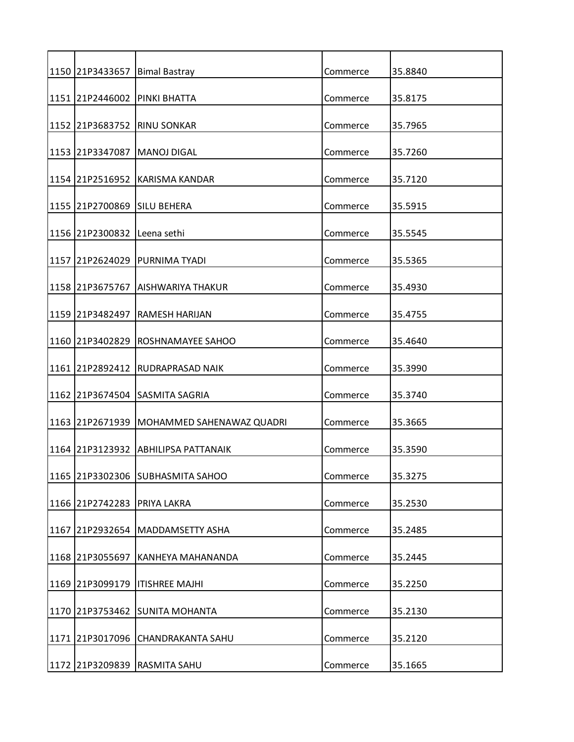| 1150 21P3433657  | <b>Bimal Bastray</b>          | Commerce | 35.8840 |
|------------------|-------------------------------|----------|---------|
| 1151 21P2446002  | PINKI BHATTA                  | Commerce | 35.8175 |
| 1152 21P3683752  | <b>RINU SONKAR</b>            | Commerce | 35.7965 |
| 1153 21P3347087  | <b>MANOJ DIGAL</b>            | Commerce | 35.7260 |
| 1154 21P2516952  | KARISMA KANDAR                | Commerce | 35.7120 |
| 1155 21P2700869  | <b>SILU BEHERA</b>            | Commerce | 35.5915 |
| 1156 21P2300832  | Leena sethi                   |          | 35.5545 |
|                  |                               | Commerce |         |
|                  | 1157 21P2624029 PURNIMA TYADI | Commerce | 35.5365 |
| 1158 21P3675767  | AISHWARIYA THAKUR             | Commerce | 35.4930 |
| 1159 21P3482497  | RAMESH HARIJAN                | Commerce | 35.4755 |
| 1160 21P3402829  | IROSHNAMAYEE SAHOO            | Commerce | 35.4640 |
| 1161 21P2892412  | <b>RUDRAPRASAD NAIK</b>       | Commerce | 35.3990 |
|                  |                               |          |         |
| 1162 21P3674504  | <b>SASMITA SAGRIA</b>         | Commerce | 35.3740 |
| 1163  21P2671939 | MOHAMMED SAHENAWAZ QUADRI     | Commerce | 35.3665 |
| 1164 21P3123932  | ABHILIPSA PATTANAIK           | Commerce | 35.3590 |
| 1165 21P3302306  | <b>SUBHASMITA SAHOO</b>       | Commerce | 35.3275 |
| 1166 21P2742283  | PRIYA LAKRA                   | Commerce | 35.2530 |
| 1167 21P2932654  | MADDAMSETTY ASHA              | Commerce | 35.2485 |
| 1168 21P3055697  | KANHEYA MAHANANDA             | Commerce | 35.2445 |
| 1169 21P3099179  | <b>ITISHREE MAJHI</b>         | Commerce | 35.2250 |
| 1170 21P3753462  | <b>SUNITA MOHANTA</b>         | Commerce | 35.2130 |
| 1171 21P3017096  | CHANDRAKANTA SAHU             | Commerce | 35.2120 |
| 1172 21P3209839  | RASMITA SAHU                  | Commerce | 35.1665 |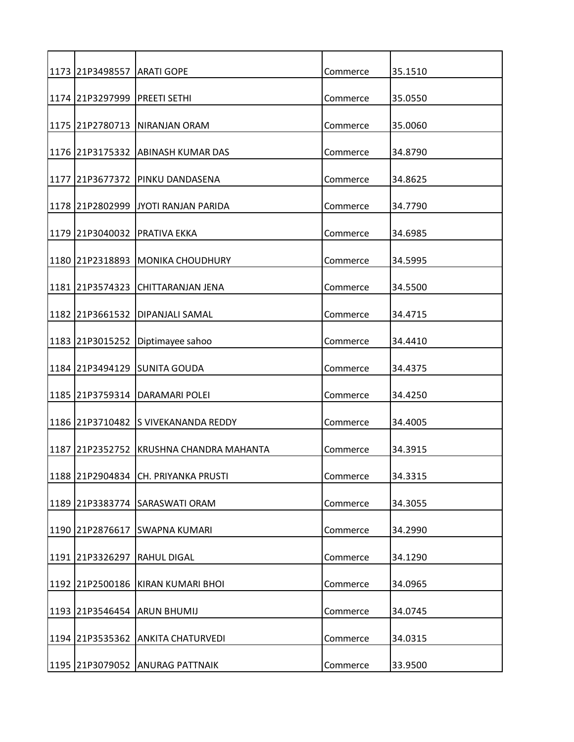|      | 1173 121P3498557 | <b>ARATI GOPE</b>                   | Commerce | 35.1510 |
|------|------------------|-------------------------------------|----------|---------|
|      | 1174 21P3297999  | <b>PREETI SETHI</b>                 | Commerce | 35.0550 |
|      |                  | 1175 21P2780713   NIRANJAN ORAM     | Commerce | 35.0060 |
|      | 1176 21P3175332  | ABINASH KUMAR DAS                   | Commerce | 34.8790 |
|      | 1177 21P3677372  | PINKU DANDASENA                     | Commerce | 34.8625 |
|      |                  |                                     |          |         |
|      | 1178 21P2802999  | JYOTI RANJAN PARIDA                 | Commerce | 34.7790 |
|      | 1179 21P3040032  | PRATIVA EKKA                        | Commerce | 34.6985 |
|      | 1180 21P2318893  | <b>MONIKA CHOUDHURY</b>             | Commerce | 34.5995 |
|      | 1181 21P3574323  | CHITTARANJAN JENA                   | Commerce | 34.5500 |
|      | 1182 21P3661532  | DIPANJALI SAMAL                     | Commerce | 34.4715 |
|      |                  |                                     |          |         |
|      | 1183 21P3015252  | Diptimayee sahoo                    | Commerce | 34.4410 |
|      | 1184 21P3494129  | <b>SUNITA GOUDA</b>                 | Commerce | 34.4375 |
|      |                  | 1185 21P3759314 DARAMARI POLEI      | Commerce | 34.4250 |
|      |                  | 1186 21P3710482 S VIVEKANANDA REDDY | Commerce | 34.4005 |
| 1187 | 21P2352752       | KRUSHNA CHANDRA MAHANTA             | Commerce | 34.3915 |
|      | 1188 21P2904834  | CH. PRIYANKA PRUSTI                 | Commerce | 34.3315 |
|      | 1189 21P3383774  | <b>SARASWATI ORAM</b>               | Commerce | 34.3055 |
|      | 1190 21P2876617  | <b>SWAPNA KUMARI</b>                | Commerce | 34.2990 |
|      | 1191 21P3326297  | <b>RAHUL DIGAL</b>                  | Commerce | 34.1290 |
|      |                  |                                     |          |         |
|      | 1192 21P2500186  | KIRAN KUMARI BHOI                   | Commerce | 34.0965 |
|      | 1193 21P3546454  | <b>ARUN BHUMIJ</b>                  | Commerce | 34.0745 |
|      | 1194 21P3535362  | <b>ANKITA CHATURVEDI</b>            | Commerce | 34.0315 |
|      |                  |                                     |          |         |
|      | 1195 21P3079052  | <b>ANURAG PATTNAIK</b>              | Commerce | 33.9500 |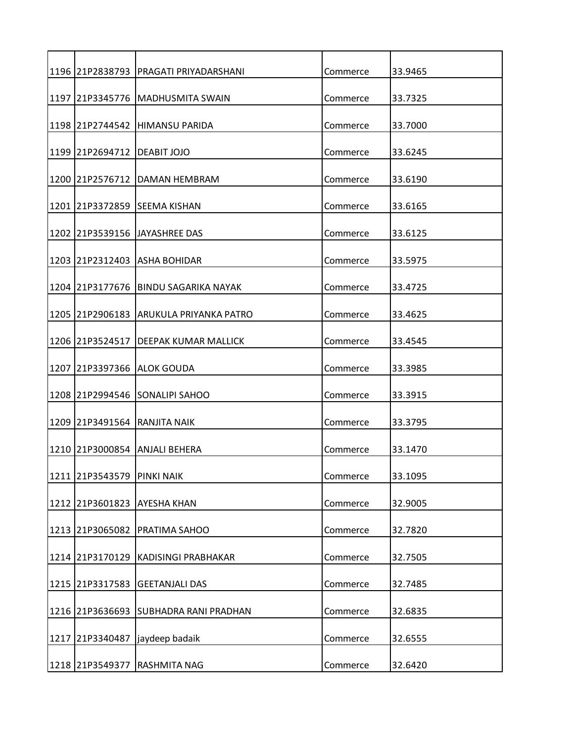| 1196 21P2838793  | PRAGATI PRIYADARSHANI            | Commerce | 33.9465 |
|------------------|----------------------------------|----------|---------|
| 1197 21P3345776  | <b>MADHUSMITA SWAIN</b>          | Commerce | 33.7325 |
| 1198  21P2744542 | <b>HIMANSU PARIDA</b>            | Commerce | 33.7000 |
| 1199 21P2694712  | DEABIT JOJO                      | Commerce | 33.6245 |
| 1200 21P2576712  | DAMAN HEMBRAM                    | Commerce | 33.6190 |
| 1201 21P3372859  | lSEEMA KISHAN                    | Commerce | 33.6165 |
| 1202 21P3539156  | <b>JAYASHREE DAS</b>             | Commerce | 33.6125 |
| 1203  21P2312403 | ASHA BOHIDAR                     | Commerce | 33.5975 |
| 1204 21P3177676  | BINDU SAGARIKA NAYAK             | Commerce | 33.4725 |
| 1205 21P2906183  | ARUKULA PRIYANKA PATRO           | Commerce | 33.4625 |
| 1206 21P3524517  | DEEPAK KUMAR MALLICK             | Commerce | 33.4545 |
|                  |                                  |          |         |
| 1207 21P3397366  | <b>ALOK GOUDA</b>                | Commerce | 33.3985 |
|                  | 1208  21P2994546  SONALIPI SAHOO | Commerce | 33.3915 |
| 1209 21P3491564  | RANJITA NAIK                     | Commerce | 33.3795 |
| 1210 21P3000854  | <b>ANJALI BEHERA</b>             | Commerce | 33.1470 |
| 1211 21P3543579  | <b>PINKI NAIK</b>                | Commerce | 33.1095 |
| 1212 21P3601823  | <b>AYESHA KHAN</b>               | Commerce | 32.9005 |
| 1213 21P3065082  | PRATIMA SAHOO                    | Commerce | 32.7820 |
| 1214 21P3170129  | KADISINGI PRABHAKAR              | Commerce | 32.7505 |
| 1215 21P3317583  | <b>GEETANJALI DAS</b>            | Commerce | 32.7485 |
| 1216 21P3636693  | SUBHADRA RANI PRADHAN            | Commerce | 32.6835 |
| 1217 21P3340487  | jaydeep badaik                   | Commerce | 32.6555 |
|                  |                                  |          |         |
| 1218 21P3549377  | RASHMITA NAG                     | Commerce | 32.6420 |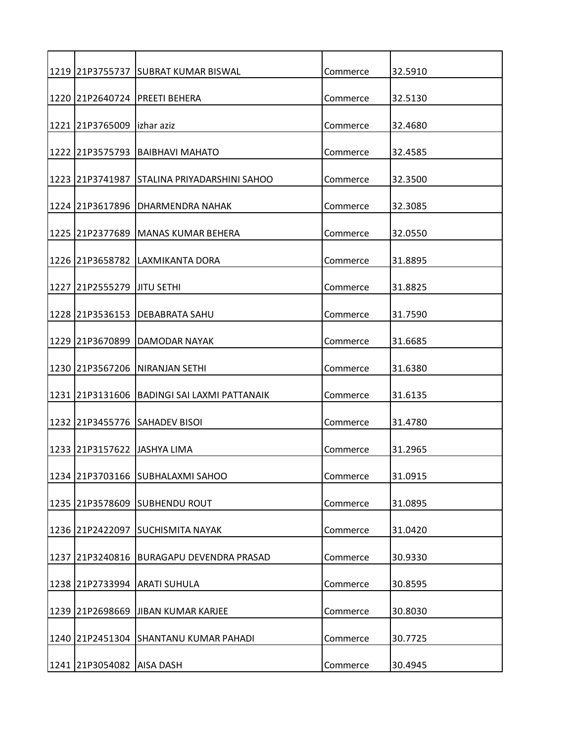| 1219 121P3755737      | ISUBRAT KUMAR BISWAL            | Commerce | 32.5910 |
|-----------------------|---------------------------------|----------|---------|
| 1220 21P2640724       | <b>PREETI BEHERA</b>            | Commerce | 32.5130 |
| 1221 21P3765009       | izhar aziz                      | Commerce | 32.4680 |
|                       |                                 |          |         |
| 1222 21P3575793       | <b>BAIBHAVI MAHATO</b>          | Commerce | 32.4585 |
| l 1223 l 21 P374 1987 | STALINA PRIYADARSHINI SAHOO     | Commerce | 32.3500 |
| 1224 21P3617896       | DHARMENDRA NAHAK                | Commerce | 32.3085 |
| 1225 21P2377689       | <b>MANAS KUMAR BEHERA</b>       | Commerce | 32.0550 |
| 1226 21P3658782       | LAXMIKANTA DORA                 | Commerce | 31.8895 |
| 1227 21P2555279       | IJITU SETHI                     | Commerce | 31.8825 |
| 1228 21P3536153       | <b>DEBABRATA SAHU</b>           | Commerce | 31.7590 |
|                       |                                 |          |         |
| 1229 21P3670899       | DAMODAR NAYAK                   | Commerce | 31.6685 |
| 1230 21P3567206       | <b>NIRANJAN SETHI</b>           | Commerce | 31.6380 |
| 1231  21P3131606      | BADINGI SAI LAXMI PATTANAIK     | Commerce | 31.6135 |
| 1232 21P3455776       | <b>SAHADEV BISOI</b>            | Commerce | 31.4780 |
| 1233 21P3157622       | JASHYA LIMA                     | Commerce | 31.2965 |
| 1234 21P3703166       | <b>SUBHALAXMI SAHOO</b>         | Commerce | 31.0915 |
| 1235 21P3578609       | <b>SUBHENDU ROUT</b>            | Commerce | 31.0895 |
| 1236 21P2422097       | <b>SUCHISMITA NAYAK</b>         | Commerce | 31.0420 |
| 1237 21P3240816       | <b>BURAGAPU DEVENDRA PRASAD</b> | Commerce | 30.9330 |
| 1238 21P2733994       | <b>ARATI SUHULA</b>             | Commerce | 30.8595 |
| 1239 21P2698669       | <b>JIBAN KUMAR KARJEE</b>       | Commerce | 30.8030 |
| 1240 21P2451304       | SHANTANU KUMAR PAHADI           | Commerce | 30.7725 |
| 1241 21P3054082       | <b>AISA DASH</b>                | Commerce | 30.4945 |